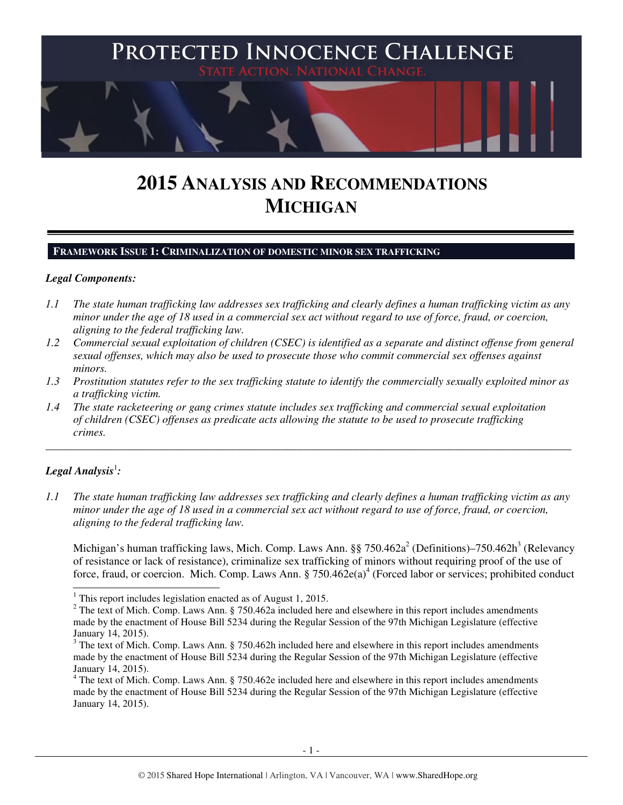

# **2015 ANALYSIS AND RECOMMENDATIONS MICHIGAN**

#### **FRAMEWORK ISSUE 1: CRIMINALIZATION OF DOMESTIC MINOR SEX TRAFFICKING**

#### *Legal Components:*

- *1.1 The state human trafficking law addresses sex trafficking and clearly defines a human trafficking victim as any minor under the age of 18 used in a commercial sex act without regard to use of force, fraud, or coercion, aligning to the federal trafficking law.*
- *1.2 Commercial sexual exploitation of children (CSEC) is identified as a separate and distinct offense from general sexual offenses, which may also be used to prosecute those who commit commercial sex offenses against minors.*
- *1.3 Prostitution statutes refer to the sex trafficking statute to identify the commercially sexually exploited minor as a trafficking victim.*

\_\_\_\_\_\_\_\_\_\_\_\_\_\_\_\_\_\_\_\_\_\_\_\_\_\_\_\_\_\_\_\_\_\_\_\_\_\_\_\_\_\_\_\_\_\_\_\_\_\_\_\_\_\_\_\_\_\_\_\_\_\_\_\_\_\_\_\_\_\_\_\_\_\_\_\_\_\_\_\_\_\_\_\_\_\_\_\_\_\_\_\_\_\_

*1.4 The state racketeering or gang crimes statute includes sex trafficking and commercial sexual exploitation of children (CSEC) offenses as predicate acts allowing the statute to be used to prosecute trafficking crimes.* 

# $\bm{L}$ egal Analysis $^1$ :

*1.1 The state human trafficking law addresses sex trafficking and clearly defines a human trafficking victim as any minor under the age of 18 used in a commercial sex act without regard to use of force, fraud, or coercion, aligning to the federal trafficking law.* 

Michigan's human trafficking laws, Mich. Comp. Laws Ann.  $\S$ § 750.462a<sup>2</sup> (Definitions)–750.462h<sup>3</sup> (Relevancy of resistance or lack of resistance), criminalize sex trafficking of minors without requiring proof of the use of force, fraud, or coercion. Mich. Comp. Laws Ann. §  $750.462e(a)^4$  (Forced labor or services; prohibited conduct

<sup>&</sup>lt;sup>1</sup> This report includes legislation enacted as of August 1, 2015.

 $2^2$  The text of Mich. Comp. Laws Ann. § 750.462a included here and elsewhere in this report includes amendments made by the enactment of House Bill 5234 during the Regular Session of the 97th Michigan Legislature (effective January 14, 2015).

 $3$  The text of Mich. Comp. Laws Ann. § 750.462h included here and elsewhere in this report includes amendments made by the enactment of House Bill 5234 during the Regular Session of the 97th Michigan Legislature (effective January 14, 2015).

<sup>&</sup>lt;sup>4</sup> The text of Mich. Comp. Laws Ann. § 750.462e included here and elsewhere in this report includes amendments made by the enactment of House Bill 5234 during the Regular Session of the 97th Michigan Legislature (effective January 14, 2015).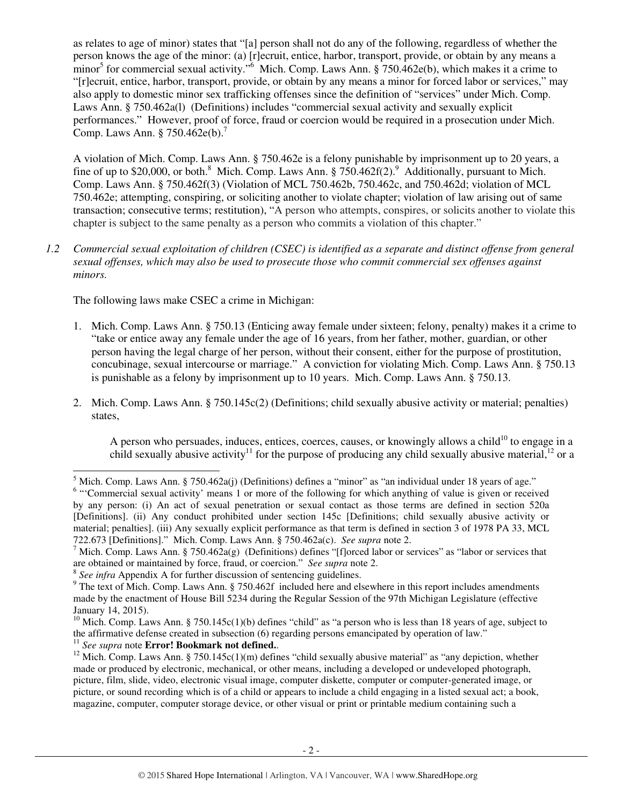as relates to age of minor) states that "[a] person shall not do any of the following, regardless of whether the person knows the age of the minor: (a) [r]ecruit, entice, harbor, transport, provide, or obtain by any means a minor<sup>5</sup> for commercial sexual activity."<sup>6</sup> Mich. Comp. Laws Ann.  $\S 750.462e(b)$ , which makes it a crime to "[r]ecruit, entice, harbor, transport, provide, or obtain by any means a minor for forced labor or services," may also apply to domestic minor sex trafficking offenses since the definition of "services" under Mich. Comp. Laws Ann. § 750.462a(l) (Definitions) includes "commercial sexual activity and sexually explicit performances." However, proof of force, fraud or coercion would be required in a prosecution under Mich. Comp. Laws Ann. §  $750.462e(b)$ .<sup>7</sup>

A violation of Mich. Comp. Laws Ann. § 750.462e is a felony punishable by imprisonment up to 20 years, a fine of up to \$20,000, or both.<sup>8</sup> Mich. Comp. Laws Ann. § 750.462f(2).<sup>9</sup> Additionally, pursuant to Mich. Comp. Laws Ann. § 750.462f(3) (Violation of MCL 750.462b, 750.462c, and 750.462d; violation of MCL 750.462e; attempting, conspiring, or soliciting another to violate chapter; violation of law arising out of same transaction; consecutive terms; restitution), "A person who attempts, conspires, or solicits another to violate this chapter is subject to the same penalty as a person who commits a violation of this chapter."

*1.2 Commercial sexual exploitation of children (CSEC) is identified as a separate and distinct offense from general sexual offenses, which may also be used to prosecute those who commit commercial sex offenses against minors.* 

The following laws make CSEC a crime in Michigan:

- 1. Mich. Comp. Laws Ann. § 750.13 (Enticing away female under sixteen; felony, penalty) makes it a crime to "take or entice away any female under the age of 16 years, from her father, mother, guardian, or other person having the legal charge of her person, without their consent, either for the purpose of prostitution, concubinage, sexual intercourse or marriage." A conviction for violating Mich. Comp. Laws Ann. § 750.13 is punishable as a felony by imprisonment up to 10 years. Mich. Comp. Laws Ann. § 750.13.
- 2. Mich. Comp. Laws Ann. § 750.145c(2) (Definitions; child sexually abusive activity or material; penalties) states,

A person who persuades, induces, entices, coerces, causes, or knowingly allows a child $10$  to engage in a child sexually abusive activity<sup>11</sup> for the purpose of producing any child sexually abusive material,<sup>12</sup> or a

<sup>11</sup> *See supra* note **Error! Bookmark not defined.**.

l

<sup>&</sup>lt;sup>5</sup> Mich. Comp. Laws Ann. § 750.462a(j) (Definitions) defines a "minor" as "an individual under 18 years of age."

<sup>&</sup>lt;sup>6</sup> "Commercial sexual activity' means 1 or more of the following for which anything of value is given or received by any person: (i) An act of sexual penetration or sexual contact as those terms are defined in section 520a [Definitions]. (ii) Any conduct prohibited under section 145c [Definitions; child sexually abusive activity or material; penalties]. (iii) Any sexually explicit performance as that term is defined in section 3 of 1978 PA 33, MCL 722.673 [Definitions]." Mich. Comp. Laws Ann. § 750.462a(c). *See supra* note 2.

<sup>&</sup>lt;sup>7</sup> Mich. Comp. Laws Ann. § 750.462a(g) (Definitions) defines "[f]orced labor or services" as "labor or services that are obtained or maintained by force, fraud, or coercion." *See supra* note 2.

<sup>8</sup> *See infra* Appendix A for further discussion of sentencing guidelines.

<sup>&</sup>lt;sup>9</sup> The text of Mich. Comp. Laws Ann. § 750.462f included here and elsewhere in this report includes amendments made by the enactment of House Bill 5234 during the Regular Session of the 97th Michigan Legislature (effective January 14, 2015).

<sup>&</sup>lt;sup>10</sup> Mich. Comp. Laws Ann. § 750.145c(1)(b) defines "child" as "a person who is less than 18 years of age, subject to the affirmative defense created in subsection (6) regarding persons emancipated by operation of law."

<sup>&</sup>lt;sup>12</sup> Mich. Comp. Laws Ann. § 750.145c(1)(m) defines "child sexually abusive material" as "any depiction, whether made or produced by electronic, mechanical, or other means, including a developed or undeveloped photograph, picture, film, slide, video, electronic visual image, computer diskette, computer or computer-generated image, or picture, or sound recording which is of a child or appears to include a child engaging in a listed sexual act; a book, magazine, computer, computer storage device, or other visual or print or printable medium containing such a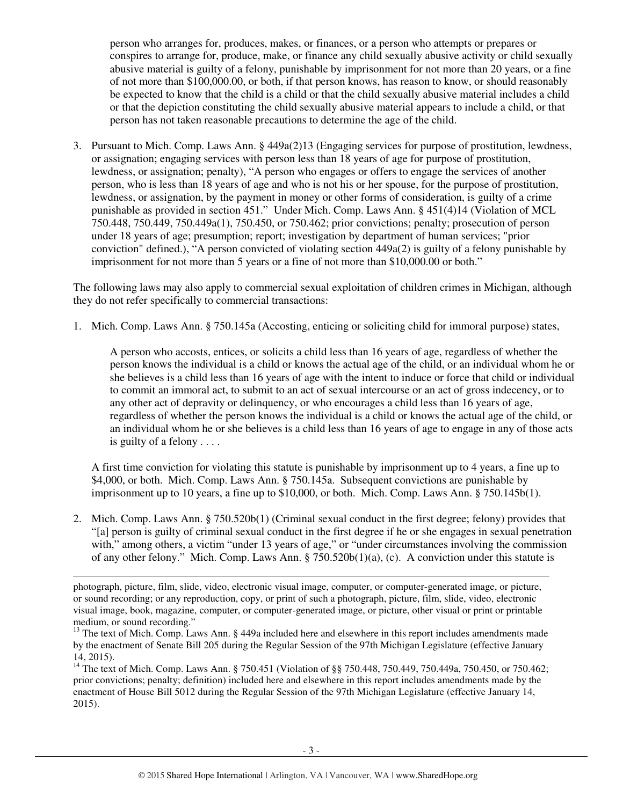person who arranges for, produces, makes, or finances, or a person who attempts or prepares or conspires to arrange for, produce, make, or finance any child sexually abusive activity or child sexually abusive material is guilty of a felony, punishable by imprisonment for not more than 20 years, or a fine of not more than \$100,000.00, or both, if that person knows, has reason to know, or should reasonably be expected to know that the child is a child or that the child sexually abusive material includes a child or that the depiction constituting the child sexually abusive material appears to include a child, or that person has not taken reasonable precautions to determine the age of the child.

3. Pursuant to Mich. Comp. Laws Ann. § 449a(2)13 (Engaging services for purpose of prostitution, lewdness, or assignation; engaging services with person less than 18 years of age for purpose of prostitution, lewdness, or assignation; penalty), "A person who engages or offers to engage the services of another person, who is less than 18 years of age and who is not his or her spouse, for the purpose of prostitution, lewdness, or assignation, by the payment in money or other forms of consideration, is guilty of a crime punishable as provided in section 451." Under Mich. Comp. Laws Ann. § 451(4)14 (Violation of MCL 750.448, 750.449, 750.449a(1), 750.450, or 750.462; prior convictions; penalty; prosecution of person under 18 years of age; presumption; report; investigation by department of human services; "prior conviction" defined.), "A person convicted of violating section 449a(2) is guilty of a felony punishable by imprisonment for not more than 5 years or a fine of not more than \$10,000.00 or both."

The following laws may also apply to commercial sexual exploitation of children crimes in Michigan, although they do not refer specifically to commercial transactions:

1. Mich. Comp. Laws Ann. § 750.145a (Accosting, enticing or soliciting child for immoral purpose) states,

A person who accosts, entices, or solicits a child less than 16 years of age, regardless of whether the person knows the individual is a child or knows the actual age of the child, or an individual whom he or she believes is a child less than 16 years of age with the intent to induce or force that child or individual to commit an immoral act, to submit to an act of sexual intercourse or an act of gross indecency, or to any other act of depravity or delinquency, or who encourages a child less than 16 years of age, regardless of whether the person knows the individual is a child or knows the actual age of the child, or an individual whom he or she believes is a child less than 16 years of age to engage in any of those acts is guilty of a felony . . . .

A first time conviction for violating this statute is punishable by imprisonment up to 4 years, a fine up to \$4,000, or both. Mich. Comp. Laws Ann. § 750.145a. Subsequent convictions are punishable by imprisonment up to 10 years, a fine up to \$10,000, or both. Mich. Comp. Laws Ann. § 750.145b(1).

2. Mich. Comp. Laws Ann. § 750.520b(1) (Criminal sexual conduct in the first degree; felony) provides that "[a] person is guilty of criminal sexual conduct in the first degree if he or she engages in sexual penetration with," among others, a victim "under 13 years of age," or "under circumstances involving the commission of any other felony." Mich. Comp. Laws Ann. § 750.520b(1)(a), (c). A conviction under this statute is

j

photograph, picture, film, slide, video, electronic visual image, computer, or computer-generated image, or picture, or sound recording; or any reproduction, copy, or print of such a photograph, picture, film, slide, video, electronic visual image, book, magazine, computer, or computer-generated image, or picture, other visual or print or printable medium, or sound recording."

<sup>&</sup>lt;sup>13</sup> The text of Mich. Comp. Laws Ann. § 449a included here and elsewhere in this report includes amendments made by the enactment of Senate Bill 205 during the Regular Session of the 97th Michigan Legislature (effective January 14, 2015).

<sup>&</sup>lt;sup>14</sup> The text of Mich. Comp. Laws Ann. § 750.451 (Violation of §§ 750.448, 750.449, 750.449a, 750.450, or 750.462; prior convictions; penalty; definition) included here and elsewhere in this report includes amendments made by the enactment of House Bill 5012 during the Regular Session of the 97th Michigan Legislature (effective January 14, 2015).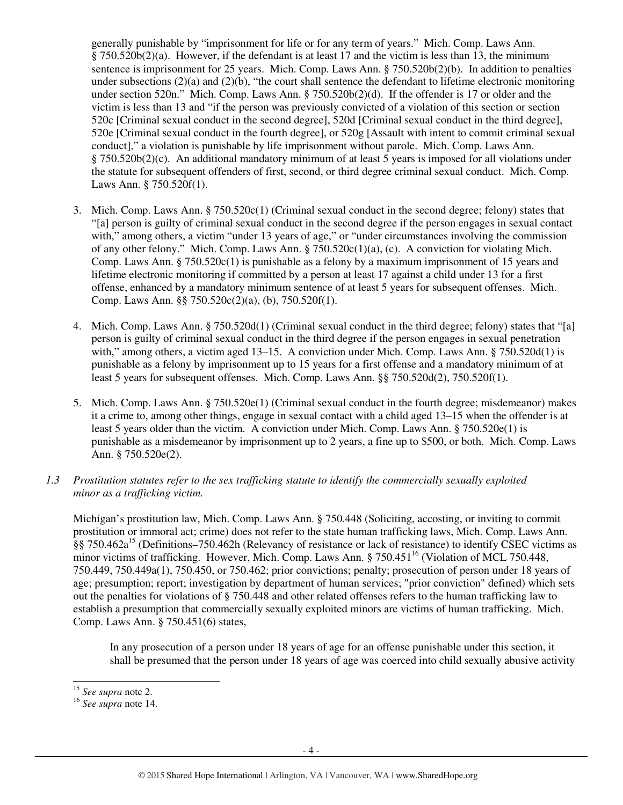generally punishable by "imprisonment for life or for any term of years." Mich. Comp. Laws Ann.  $§ 750.520b(2)(a)$ . However, if the defendant is at least 17 and the victim is less than 13, the minimum sentence is imprisonment for 25 years. Mich. Comp. Laws Ann. § 750.520b(2)(b). In addition to penalties under subsections  $(2)(a)$  and  $(2)(b)$ , "the court shall sentence the defendant to lifetime electronic monitoring under section 520n." Mich. Comp. Laws Ann. § 750.520b(2)(d). If the offender is 17 or older and the victim is less than 13 and "if the person was previously convicted of a violation of this section or section 520c [Criminal sexual conduct in the second degree], 520d [Criminal sexual conduct in the third degree], 520e [Criminal sexual conduct in the fourth degree], or 520g [Assault with intent to commit criminal sexual conduct]," a violation is punishable by life imprisonment without parole. Mich. Comp. Laws Ann. § 750.520b(2)(c). An additional mandatory minimum of at least 5 years is imposed for all violations under the statute for subsequent offenders of first, second, or third degree criminal sexual conduct. Mich. Comp. Laws Ann. § 750.520f(1).

- 3. Mich. Comp. Laws Ann. § 750.520c(1) (Criminal sexual conduct in the second degree; felony) states that "[a] person is guilty of criminal sexual conduct in the second degree if the person engages in sexual contact with," among others, a victim "under 13 years of age," or "under circumstances involving the commission of any other felony." Mich. Comp. Laws Ann. §  $750.520c(1)(a)$ , (c). A conviction for violating Mich. Comp. Laws Ann. § 750.520c(1) is punishable as a felony by a maximum imprisonment of 15 years and lifetime electronic monitoring if committed by a person at least 17 against a child under 13 for a first offense, enhanced by a mandatory minimum sentence of at least 5 years for subsequent offenses. Mich. Comp. Laws Ann. §§ 750.520c(2)(a), (b), 750.520f(1).
- 4. Mich. Comp. Laws Ann. § 750.520d(1) (Criminal sexual conduct in the third degree; felony) states that "[a] person is guilty of criminal sexual conduct in the third degree if the person engages in sexual penetration with," among others, a victim aged 13–15. A conviction under Mich. Comp. Laws Ann. § 750.520d(1) is punishable as a felony by imprisonment up to 15 years for a first offense and a mandatory minimum of at least 5 years for subsequent offenses. Mich. Comp. Laws Ann. §§ 750.520d(2), 750.520f(1).
- 5. Mich. Comp. Laws Ann. § 750.520e(1) (Criminal sexual conduct in the fourth degree; misdemeanor) makes it a crime to, among other things, engage in sexual contact with a child aged 13–15 when the offender is at least 5 years older than the victim. A conviction under Mich. Comp. Laws Ann. § 750.520e(1) is punishable as a misdemeanor by imprisonment up to 2 years, a fine up to \$500, or both. Mich. Comp. Laws Ann. § 750.520e(2).
- *1.3 Prostitution statutes refer to the sex trafficking statute to identify the commercially sexually exploited minor as a trafficking victim.*

Michigan's prostitution law, Mich. Comp. Laws Ann. § 750.448 (Soliciting, accosting, or inviting to commit prostitution or immoral act; crime) does not refer to the state human trafficking laws, Mich. Comp. Laws Ann. §§ 750.462a<sup>15</sup> (Definitions–750.462h (Relevancy of resistance or lack of resistance) to identify CSEC victims as minor victims of trafficking. However, Mich. Comp. Laws Ann.  $\S 750.451^{16}$  (Violation of MCL 750.448, 750.449, 750.449a(1), 750.450, or 750.462; prior convictions; penalty; prosecution of person under 18 years of age; presumption; report; investigation by department of human services; "prior conviction" defined) which sets out the penalties for violations of § 750.448 and other related offenses refers to the human trafficking law to establish a presumption that commercially sexually exploited minors are victims of human trafficking. Mich. Comp. Laws Ann. § 750.451(6) states,

In any prosecution of a person under 18 years of age for an offense punishable under this section, it shall be presumed that the person under 18 years of age was coerced into child sexually abusive activity

l <sup>15</sup> *See supra* note 2.

<sup>16</sup> *See supra* note 14.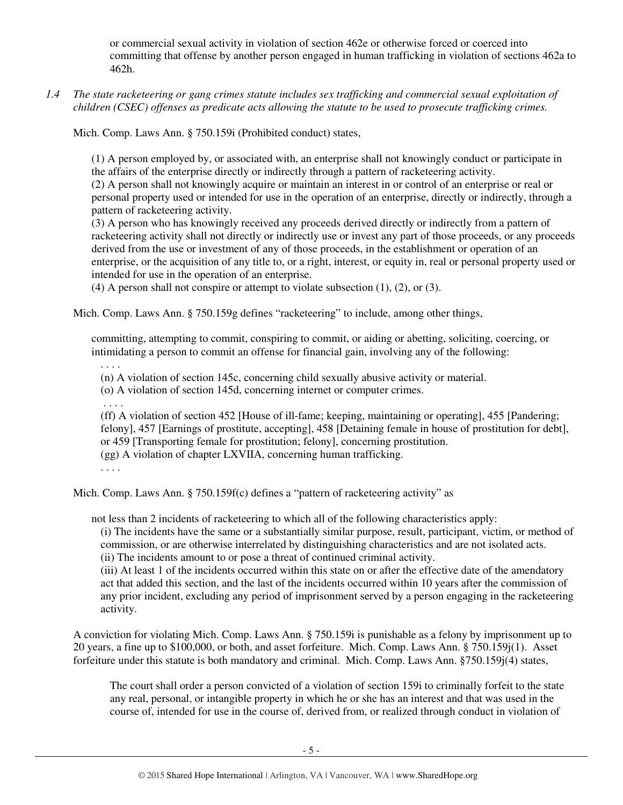or commercial sexual activity in violation of section 462e or otherwise forced or coerced into committing that offense by another person engaged in human trafficking in violation of sections 462a to 462h.

*1.4 The state racketeering or gang crimes statute includes sex trafficking and commercial sexual exploitation of children (CSEC) offenses as predicate acts allowing the statute to be used to prosecute trafficking crimes.* 

Mich. Comp. Laws Ann. § 750.159i (Prohibited conduct) states,

(1) A person employed by, or associated with, an enterprise shall not knowingly conduct or participate in the affairs of the enterprise directly or indirectly through a pattern of racketeering activity.

(2) A person shall not knowingly acquire or maintain an interest in or control of an enterprise or real or personal property used or intended for use in the operation of an enterprise, directly or indirectly, through a pattern of racketeering activity.

(3) A person who has knowingly received any proceeds derived directly or indirectly from a pattern of racketeering activity shall not directly or indirectly use or invest any part of those proceeds, or any proceeds derived from the use or investment of any of those proceeds, in the establishment or operation of an enterprise, or the acquisition of any title to, or a right, interest, or equity in, real or personal property used or intended for use in the operation of an enterprise.

(4) A person shall not conspire or attempt to violate subsection (1), (2), or (3).

Mich. Comp. Laws Ann. § 750.159g defines "racketeering" to include, among other things,

committing, attempting to commit, conspiring to commit, or aiding or abetting, soliciting, coercing, or intimidating a person to commit an offense for financial gain, involving any of the following:

(n) A violation of section 145c, concerning child sexually abusive activity or material.

(o) A violation of section 145d, concerning internet or computer crimes.

. . . .

. . . .

(ff) A violation of section 452 [House of ill-fame; keeping, maintaining or operating], 455 [Pandering; felony], 457 [Earnings of prostitute, accepting], 458 [Detaining female in house of prostitution for debt], or 459 [Transporting female for prostitution; felony], concerning prostitution. (gg) A violation of chapter LXVIIA, concerning human trafficking.

Mich. Comp. Laws Ann. § 750.159f(c) defines a "pattern of racketeering activity" as

not less than 2 incidents of racketeering to which all of the following characteristics apply:

(i) The incidents have the same or a substantially similar purpose, result, participant, victim, or method of commission, or are otherwise interrelated by distinguishing characteristics and are not isolated acts. (ii) The incidents amount to or pose a threat of continued criminal activity.

(iii) At least 1 of the incidents occurred within this state on or after the effective date of the amendatory act that added this section, and the last of the incidents occurred within 10 years after the commission of any prior incident, excluding any period of imprisonment served by a person engaging in the racketeering activity.

A conviction for violating Mich. Comp. Laws Ann. § 750.159i is punishable as a felony by imprisonment up to 20 years, a fine up to \$100,000, or both, and asset forfeiture. Mich. Comp. Laws Ann. § 750.159j(1). Asset forfeiture under this statute is both mandatory and criminal. Mich. Comp. Laws Ann. §750.159j(4) states,

The court shall order a person convicted of a violation of section 159i to criminally forfeit to the state any real, personal, or intangible property in which he or she has an interest and that was used in the course of, intended for use in the course of, derived from, or realized through conduct in violation of

<sup>. . . .</sup>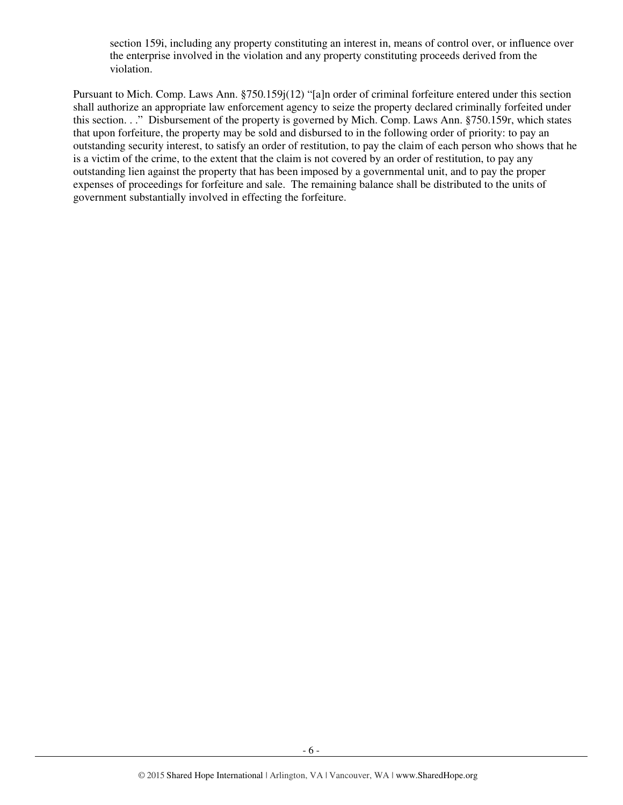section 159i, including any property constituting an interest in, means of control over, or influence over the enterprise involved in the violation and any property constituting proceeds derived from the violation.

Pursuant to Mich. Comp. Laws Ann. §750.159j(12) "[a]n order of criminal forfeiture entered under this section shall authorize an appropriate law enforcement agency to seize the property declared criminally forfeited under this section. . ." Disbursement of the property is governed by Mich. Comp. Laws Ann. §750.159r, which states that upon forfeiture, the property may be sold and disbursed to in the following order of priority: to pay an outstanding security interest, to satisfy an order of restitution, to pay the claim of each person who shows that he is a victim of the crime, to the extent that the claim is not covered by an order of restitution, to pay any outstanding lien against the property that has been imposed by a governmental unit, and to pay the proper expenses of proceedings for forfeiture and sale. The remaining balance shall be distributed to the units of government substantially involved in effecting the forfeiture.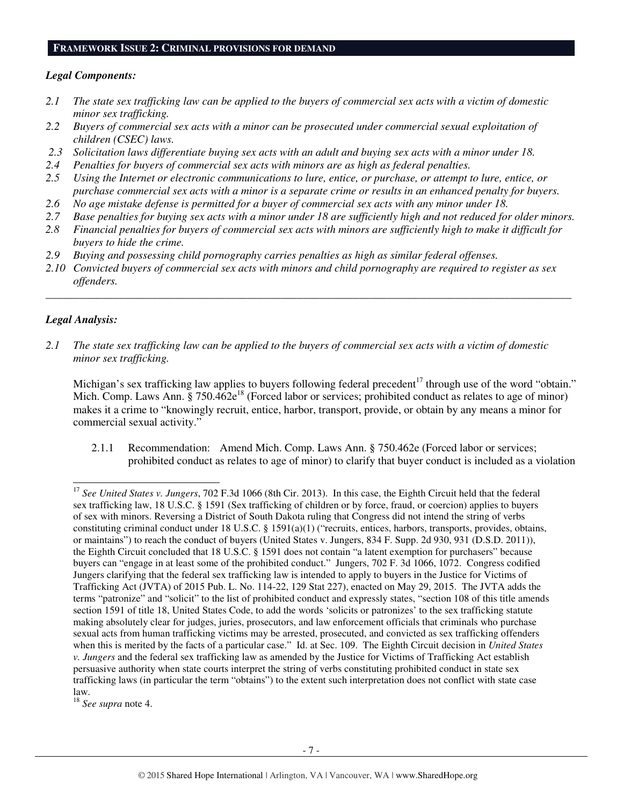#### **FRAMEWORK ISSUE 2: CRIMINAL PROVISIONS FOR DEMAND**

#### *Legal Components:*

- *2.1 The state sex trafficking law can be applied to the buyers of commercial sex acts with a victim of domestic minor sex trafficking.*
- *2.2 Buyers of commercial sex acts with a minor can be prosecuted under commercial sexual exploitation of children (CSEC) laws.*
- *2.3 Solicitation laws differentiate buying sex acts with an adult and buying sex acts with a minor under 18.*
- *2.4 Penalties for buyers of commercial sex acts with minors are as high as federal penalties.*
- *2.5 Using the Internet or electronic communications to lure, entice, or purchase, or attempt to lure, entice, or purchase commercial sex acts with a minor is a separate crime or results in an enhanced penalty for buyers.*
- *2.6 No age mistake defense is permitted for a buyer of commercial sex acts with any minor under 18.*
- *2.7 Base penalties for buying sex acts with a minor under 18 are sufficiently high and not reduced for older minors.*
- *2.8 Financial penalties for buyers of commercial sex acts with minors are sufficiently high to make it difficult for buyers to hide the crime.*
- *2.9 Buying and possessing child pornography carries penalties as high as similar federal offenses.*
- *2.10 Convicted buyers of commercial sex acts with minors and child pornography are required to register as sex offenders.*

\_\_\_\_\_\_\_\_\_\_\_\_\_\_\_\_\_\_\_\_\_\_\_\_\_\_\_\_\_\_\_\_\_\_\_\_\_\_\_\_\_\_\_\_\_\_\_\_\_\_\_\_\_\_\_\_\_\_\_\_\_\_\_\_\_\_\_\_\_\_\_\_\_\_\_\_\_\_\_\_\_\_\_\_\_\_\_\_\_\_\_\_\_\_

## *Legal Analysis:*

-

*2.1 The state sex trafficking law can be applied to the buyers of commercial sex acts with a victim of domestic minor sex trafficking.* 

Michigan's sex trafficking law applies to buyers following federal precedent<sup>17</sup> through use of the word "obtain." Mich. Comp. Laws Ann. § 750.462e<sup>18</sup> (Forced labor or services; prohibited conduct as relates to age of minor) makes it a crime to "knowingly recruit, entice, harbor, transport, provide, or obtain by any means a minor for commercial sexual activity."

2.1.1 Recommendation: Amend Mich. Comp. Laws Ann. § 750.462e (Forced labor or services; prohibited conduct as relates to age of minor) to clarify that buyer conduct is included as a violation

<sup>18</sup> *See supra* note 4.

<sup>17</sup> *See United States v. Jungers*, 702 F.3d 1066 (8th Cir. 2013). In this case, the Eighth Circuit held that the federal sex trafficking law, 18 U.S.C. § 1591 (Sex trafficking of children or by force, fraud, or coercion) applies to buyers of sex with minors. Reversing a District of South Dakota ruling that Congress did not intend the string of verbs constituting criminal conduct under 18 U.S.C. § 1591(a)(1) ("recruits, entices, harbors, transports, provides, obtains, or maintains") to reach the conduct of buyers (United States v. Jungers, 834 F. Supp. 2d 930, 931 (D.S.D. 2011)), the Eighth Circuit concluded that 18 U.S.C. § 1591 does not contain "a latent exemption for purchasers" because buyers can "engage in at least some of the prohibited conduct." Jungers, 702 F. 3d 1066, 1072. Congress codified Jungers clarifying that the federal sex trafficking law is intended to apply to buyers in the Justice for Victims of Trafficking Act (JVTA) of 2015 Pub. L. No. 114-22, 129 Stat 227), enacted on May 29, 2015. The JVTA adds the terms "patronize" and "solicit" to the list of prohibited conduct and expressly states, "section 108 of this title amends section 1591 of title 18, United States Code, to add the words 'solicits or patronizes' to the sex trafficking statute making absolutely clear for judges, juries, prosecutors, and law enforcement officials that criminals who purchase sexual acts from human trafficking victims may be arrested, prosecuted, and convicted as sex trafficking offenders when this is merited by the facts of a particular case." Id. at Sec. 109. The Eighth Circuit decision in *United States v. Jungers* and the federal sex trafficking law as amended by the Justice for Victims of Trafficking Act establish persuasive authority when state courts interpret the string of verbs constituting prohibited conduct in state sex trafficking laws (in particular the term "obtains") to the extent such interpretation does not conflict with state case law.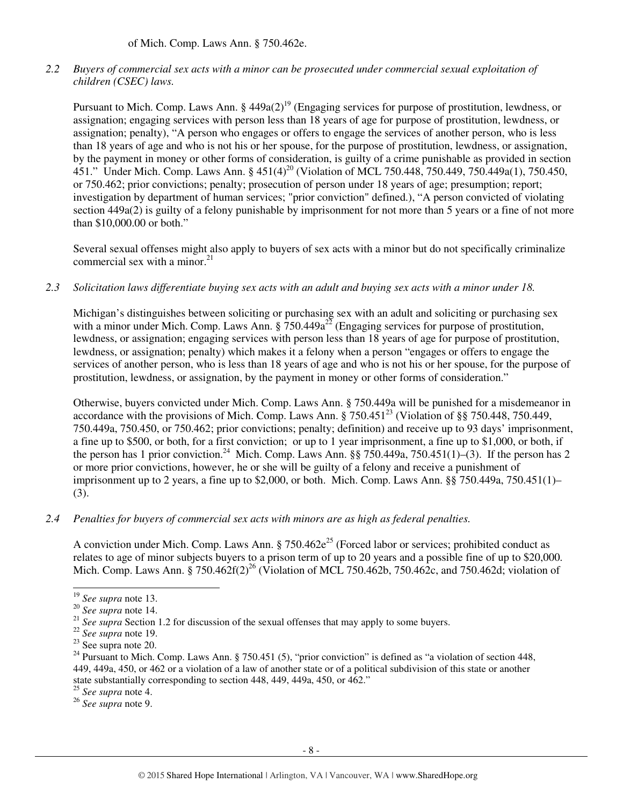of Mich. Comp. Laws Ann. § 750.462e.

*2.2 Buyers of commercial sex acts with a minor can be prosecuted under commercial sexual exploitation of children (CSEC) laws.* 

Pursuant to Mich. Comp. Laws Ann. §  $449a(2)^{19}$  (Engaging services for purpose of prostitution, lewdness, or assignation; engaging services with person less than 18 years of age for purpose of prostitution, lewdness, or assignation; penalty), "A person who engages or offers to engage the services of another person, who is less than 18 years of age and who is not his or her spouse, for the purpose of prostitution, lewdness, or assignation, by the payment in money or other forms of consideration, is guilty of a crime punishable as provided in section 451." Under Mich. Comp. Laws Ann. § 451(4)<sup>20</sup> (Violation of MCL 750.448, 750.449, 750.449a(1), 750.450, or 750.462; prior convictions; penalty; prosecution of person under 18 years of age; presumption; report; investigation by department of human services; "prior conviction" defined.), "A person convicted of violating section 449a(2) is guilty of a felony punishable by imprisonment for not more than 5 years or a fine of not more than \$10,000.00 or both."

Several sexual offenses might also apply to buyers of sex acts with a minor but do not specifically criminalize commercial sex with a minor. $^{21}$ 

*2.3 Solicitation laws differentiate buying sex acts with an adult and buying sex acts with a minor under 18.* 

Michigan's distinguishes between soliciting or purchasing sex with an adult and soliciting or purchasing sex with a minor under Mich. Comp. Laws Ann.  $\S 750.449a^{22}$  (Engaging services for purpose of prostitution, lewdness, or assignation; engaging services with person less than 18 years of age for purpose of prostitution, lewdness, or assignation; penalty) which makes it a felony when a person "engages or offers to engage the services of another person, who is less than 18 years of age and who is not his or her spouse, for the purpose of prostitution, lewdness, or assignation, by the payment in money or other forms of consideration."

Otherwise, buyers convicted under Mich. Comp. Laws Ann. § 750.449a will be punished for a misdemeanor in accordance with the provisions of Mich. Comp. Laws Ann.  $\frac{8}{3}$  750.451<sup>23</sup> (Violation of  $\frac{8}{3}$  750.448, 750.449, 750.449a, 750.450, or 750.462; prior convictions; penalty; definition) and receive up to 93 days' imprisonment, a fine up to \$500, or both, for a first conviction; or up to 1 year imprisonment, a fine up to \$1,000, or both, if the person has 1 prior conviction.<sup>24</sup> Mich. Comp. Laws Ann. §§ 750.449a, 750.451(1)–(3). If the person has 2 or more prior convictions, however, he or she will be guilty of a felony and receive a punishment of imprisonment up to 2 years, a fine up to \$2,000, or both. Mich. Comp. Laws Ann. §§ 750.449a, 750.451(1)– (3).

## *2.4 Penalties for buyers of commercial sex acts with minors are as high as federal penalties.*

A conviction under Mich. Comp. Laws Ann.  $\frac{8750.462e^{25}}{2}$  (Forced labor or services; prohibited conduct as relates to age of minor subjects buyers to a prison term of up to 20 years and a possible fine of up to \$20,000. Mich. Comp. Laws Ann. § 750.462f(2)<sup>26</sup> (Violation of MCL 750.462b, 750.462c, and 750.462d; violation of

<sup>-</sup><sup>19</sup> *See supra* note 13.

<sup>20</sup> *See supra* note 14.

<sup>&</sup>lt;sup>21</sup> See supra Section 1.2 for discussion of the sexual offenses that may apply to some buyers.

<sup>22</sup> *See supra* note 19.

<sup>23</sup> See supra note 20.

<sup>&</sup>lt;sup>24</sup> Pursuant to Mich. Comp. Laws Ann. § 750.451 (5), "prior conviction" is defined as "a violation of section 448, 449, 449a, 450, or 462 or a violation of a law of another state or of a political subdivision of this state or another state substantially corresponding to section 448, 449, 449a, 450, or 462."

<sup>25</sup> *See supra* note 4.

<sup>26</sup> *See supra* note 9.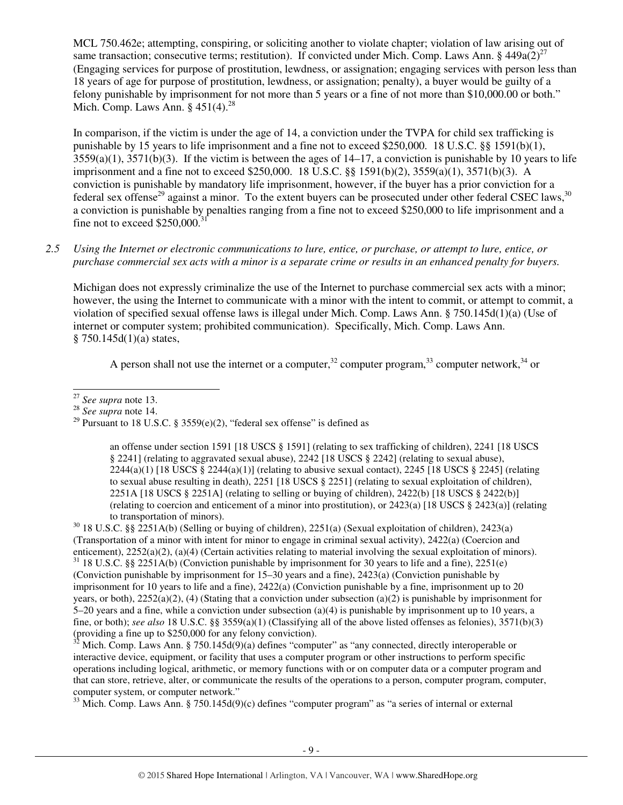MCL 750.462e; attempting, conspiring, or soliciting another to violate chapter; violation of law arising out of same transaction; consecutive terms; restitution). If convicted under Mich. Comp. Laws Ann. §  $449a(2)^{27}$ (Engaging services for purpose of prostitution, lewdness, or assignation; engaging services with person less than 18 years of age for purpose of prostitution, lewdness, or assignation; penalty), a buyer would be guilty of a felony punishable by imprisonment for not more than 5 years or a fine of not more than \$10,000.00 or both." Mich. Comp. Laws Ann.  $§$  451(4).<sup>28</sup>

In comparison, if the victim is under the age of 14, a conviction under the TVPA for child sex trafficking is punishable by 15 years to life imprisonment and a fine not to exceed \$250,000. 18 U.S.C. §§ 1591(b)(1),  $3559(a)(1)$ ,  $3571(b)(3)$ . If the victim is between the ages of  $14-17$ , a conviction is punishable by 10 years to life imprisonment and a fine not to exceed \$250,000. 18 U.S.C. §§ 1591(b)(2), 3559(a)(1), 3571(b)(3). A conviction is punishable by mandatory life imprisonment, however, if the buyer has a prior conviction for a federal sex offense<sup>29</sup> against a minor. To the extent buyers can be prosecuted under other federal CSEC laws,<sup>30</sup> a conviction is punishable by penalties ranging from a fine not to exceed \$250,000 to life imprisonment and a fine not to exceed  $$250,000$ .<sup>31</sup>

## *2.5 Using the Internet or electronic communications to lure, entice, or purchase, or attempt to lure, entice, or purchase commercial sex acts with a minor is a separate crime or results in an enhanced penalty for buyers.*

Michigan does not expressly criminalize the use of the Internet to purchase commercial sex acts with a minor; however, the using the Internet to communicate with a minor with the intent to commit, or attempt to commit, a violation of specified sexual offense laws is illegal under Mich. Comp. Laws Ann. § 750.145d(1)(a) (Use of internet or computer system; prohibited communication). Specifically, Mich. Comp. Laws Ann.  $§ 750.145d(1)(a) states,$ 

A person shall not use the internet or a computer,  $32^{\circ}$  computer program,  $33^{\circ}$  computer network,  $34^{\circ}$  or

an offense under section 1591 [18 USCS § 1591] (relating to sex trafficking of children), 2241 [18 USCS § 2241] (relating to aggravated sexual abuse), 2242 [18 USCS § 2242] (relating to sexual abuse),  $2244(a)(1)$  [18 USCS §  $2244(a)(1)$ ] (relating to abusive sexual contact),  $2245$  [18 USCS § 2245] (relating to sexual abuse resulting in death), 2251 [18 USCS § 2251] (relating to sexual exploitation of children), 2251A [18 USCS § 2251A] (relating to selling or buying of children), 2422(b) [18 USCS § 2422(b)] (relating to coercion and enticement of a minor into prostitution), or 2423(a) [18 USCS § 2423(a)] (relating to transportation of minors).

 $30\,18$  U.S.C. §§ 2251A(b) (Selling or buying of children), 2251(a) (Sexual exploitation of children), 2423(a) (Transportation of a minor with intent for minor to engage in criminal sexual activity), 2422(a) (Coercion and enticement), 2252(a)(2), (a)(4) (Certain activities relating to material involving the sexual exploitation of minors).

<sup>31</sup> 18 U.S.C. §§ 2251A(b) (Conviction punishable by imprisonment for 30 years to life and a fine), 2251(e) (Conviction punishable by imprisonment for 15–30 years and a fine), 2423(a) (Conviction punishable by imprisonment for 10 years to life and a fine), 2422(a) (Conviction punishable by a fine, imprisonment up to 20 years, or both),  $2252(a)(2)$ , (4) (Stating that a conviction under subsection (a)(2) is punishable by imprisonment for 5–20 years and a fine, while a conviction under subsection (a)(4) is punishable by imprisonment up to 10 years, a fine, or both); *see also* 18 U.S.C. §§ 3559(a)(1) (Classifying all of the above listed offenses as felonies), 3571(b)(3) (providing a fine up to \$250,000 for any felony conviction).

 $32$  Mich. Comp. Laws Ann. § 750.145d(9)(a) defines "computer" as "any connected, directly interoperable or interactive device, equipment, or facility that uses a computer program or other instructions to perform specific operations including logical, arithmetic, or memory functions with or on computer data or a computer program and that can store, retrieve, alter, or communicate the results of the operations to a person, computer program, computer, computer system, or computer network."

 $33$  Mich. Comp. Laws Ann. § 750.145d(9)(c) defines "computer program" as "a series of internal or external

l <sup>27</sup> *See supra* note 13.

<sup>28</sup> *See supra* note 14.

<sup>&</sup>lt;sup>29</sup> Pursuant to 18 U.S.C. § 3559(e)(2), "federal sex offense" is defined as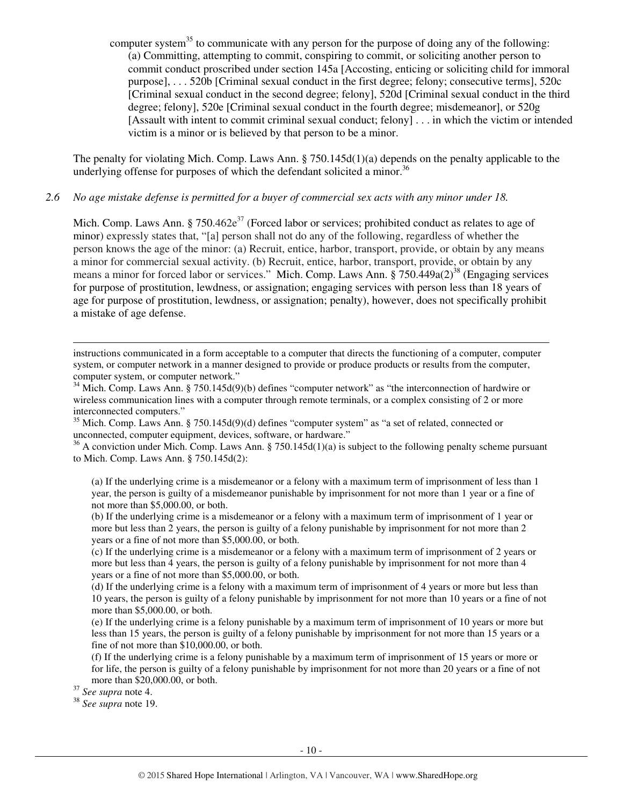computer system<sup>35</sup> to communicate with any person for the purpose of doing any of the following: (a) Committing, attempting to commit, conspiring to commit, or soliciting another person to commit conduct proscribed under section 145a [Accosting, enticing or soliciting child for immoral purpose], . . . 520b [Criminal sexual conduct in the first degree; felony; consecutive terms], 520c [Criminal sexual conduct in the second degree; felony], 520d [Criminal sexual conduct in the third degree; felony], 520e [Criminal sexual conduct in the fourth degree; misdemeanor], or 520g [Assault with intent to commit criminal sexual conduct; felony] . . . in which the victim or intended victim is a minor or is believed by that person to be a minor.

The penalty for violating Mich. Comp. Laws Ann. § 750.145d(1)(a) depends on the penalty applicable to the underlying offense for purposes of which the defendant solicited a minor.<sup>36</sup>

#### *2.6 No age mistake defense is permitted for a buyer of commercial sex acts with any minor under 18.*

Mich. Comp. Laws Ann. § 750.462 $e^{37}$  (Forced labor or services; prohibited conduct as relates to age of minor) expressly states that, "[a] person shall not do any of the following, regardless of whether the person knows the age of the minor: (a) Recruit, entice, harbor, transport, provide, or obtain by any means a minor for commercial sexual activity. (b) Recruit, entice, harbor, transport, provide, or obtain by any means a minor for forced labor or services." Mich. Comp. Laws Ann.  $\S 750.449a(2)^{38}$  (Engaging services for purpose of prostitution, lewdness, or assignation; engaging services with person less than 18 years of age for purpose of prostitution, lewdness, or assignation; penalty), however, does not specifically prohibit a mistake of age defense.

instructions communicated in a form acceptable to a computer that directs the functioning of a computer, computer system, or computer network in a manner designed to provide or produce products or results from the computer, computer system, or computer network."

<sup>34</sup> Mich. Comp. Laws Ann. § 750.145d(9)(b) defines "computer network" as "the interconnection of hardwire or wireless communication lines with a computer through remote terminals, or a complex consisting of 2 or more interconnected computers."

<sup>35</sup> Mich. Comp. Laws Ann. § 750.145d(9)(d) defines "computer system" as "a set of related, connected or unconnected, computer equipment, devices, software, or hardware."

 $36$  A conviction under Mich. Comp. Laws Ann. § 750.145d(1)(a) is subject to the following penalty scheme pursuant to Mich. Comp. Laws Ann. § 750.145d(2):

(a) If the underlying crime is a misdemeanor or a felony with a maximum term of imprisonment of less than 1 year, the person is guilty of a misdemeanor punishable by imprisonment for not more than 1 year or a fine of not more than \$5,000.00, or both.

(b) If the underlying crime is a misdemeanor or a felony with a maximum term of imprisonment of 1 year or more but less than 2 years, the person is guilty of a felony punishable by imprisonment for not more than 2 years or a fine of not more than \$5,000.00, or both.

(c) If the underlying crime is a misdemeanor or a felony with a maximum term of imprisonment of 2 years or more but less than 4 years, the person is guilty of a felony punishable by imprisonment for not more than 4 years or a fine of not more than \$5,000.00, or both.

(d) If the underlying crime is a felony with a maximum term of imprisonment of 4 years or more but less than 10 years, the person is guilty of a felony punishable by imprisonment for not more than 10 years or a fine of not more than \$5,000.00, or both.

(e) If the underlying crime is a felony punishable by a maximum term of imprisonment of 10 years or more but less than 15 years, the person is guilty of a felony punishable by imprisonment for not more than 15 years or a fine of not more than \$10,000.00, or both.

(f) If the underlying crime is a felony punishable by a maximum term of imprisonment of 15 years or more or for life, the person is guilty of a felony punishable by imprisonment for not more than 20 years or a fine of not more than \$20,000.00, or both.

<sup>37</sup> *See supra* note 4.

-

<sup>38</sup> *See supra* note 19.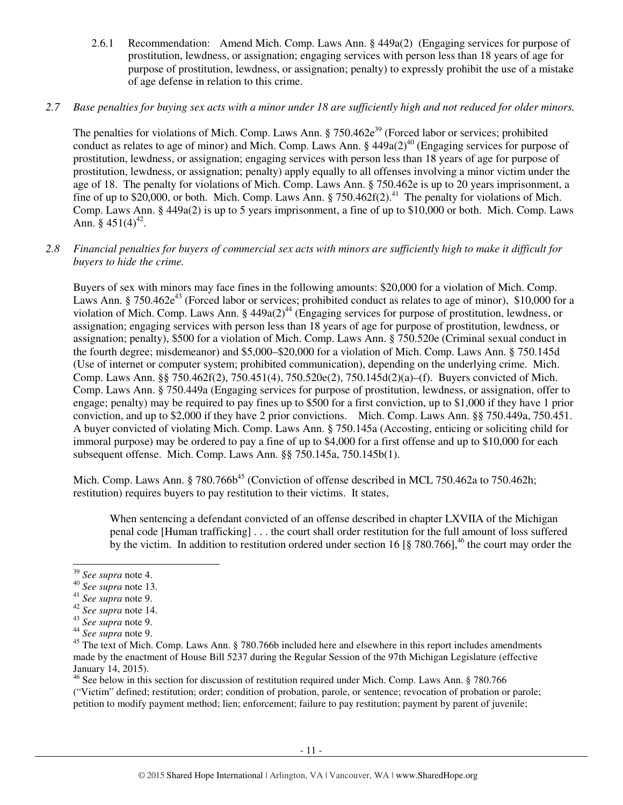2.6.1 Recommendation: Amend Mich. Comp. Laws Ann. § 449a(2) (Engaging services for purpose of prostitution, lewdness, or assignation; engaging services with person less than 18 years of age for purpose of prostitution, lewdness, or assignation; penalty) to expressly prohibit the use of a mistake of age defense in relation to this crime.

## *2.7 Base penalties for buying sex acts with a minor under 18 are sufficiently high and not reduced for older minors.*

The penalties for violations of Mich. Comp. Laws Ann.  $\S 750.462e^{39}$  (Forced labor or services; prohibited conduct as relates to age of minor) and Mich. Comp. Laws Ann. §  $449a(2)^{40}$  (Engaging services for purpose of prostitution, lewdness, or assignation; engaging services with person less than 18 years of age for purpose of prostitution, lewdness, or assignation; penalty) apply equally to all offenses involving a minor victim under the age of 18. The penalty for violations of Mich. Comp. Laws Ann. § 750.462e is up to 20 years imprisonment, a fine of up to \$20,000, or both. Mich. Comp. Laws Ann. § 750.462f(2).<sup>41</sup> The penalty for violations of Mich. Comp. Laws Ann. § 449a(2) is up to 5 years imprisonment, a fine of up to \$10,000 or both. Mich. Comp. Laws Ann.  $§$  451(4)<sup>42</sup>.

## *2.8 Financial penalties for buyers of commercial sex acts with minors are sufficiently high to make it difficult for buyers to hide the crime.*

Buyers of sex with minors may face fines in the following amounts: \$20,000 for a violation of Mich. Comp. Laws Ann. §  $750.462e^{43}$  (Forced labor or services; prohibited conduct as relates to age of minor), \$10,000 for a violation of Mich. Comp. Laws Ann. §  $449a(2)^{44}$  (Engaging services for purpose of prostitution, lewdness, or assignation; engaging services with person less than 18 years of age for purpose of prostitution, lewdness, or assignation; penalty), \$500 for a violation of Mich. Comp. Laws Ann. § 750.520e (Criminal sexual conduct in the fourth degree; misdemeanor) and \$5,000–\$20,000 for a violation of Mich. Comp. Laws Ann. § 750.145d (Use of internet or computer system; prohibited communication), depending on the underlying crime. Mich. Comp. Laws Ann. §§ 750.462f(2), 750.451(4), 750.520e(2), 750.145d(2)(a)–(f). Buyers convicted of Mich. Comp. Laws Ann. § 750.449a (Engaging services for purpose of prostitution, lewdness, or assignation, offer to engage; penalty) may be required to pay fines up to \$500 for a first conviction, up to \$1,000 if they have 1 prior conviction, and up to \$2,000 if they have 2 prior convictions. Mich. Comp. Laws Ann. §§ 750.449a, 750.451. A buyer convicted of violating Mich. Comp. Laws Ann. § 750.145a (Accosting, enticing or soliciting child for immoral purpose) may be ordered to pay a fine of up to \$4,000 for a first offense and up to \$10,000 for each subsequent offense. Mich. Comp. Laws Ann. §§ 750.145a, 750.145b(1).

Mich. Comp. Laws Ann. § 780.766b<sup>45</sup> (Conviction of offense described in MCL 750.462a to 750.462h; restitution) requires buyers to pay restitution to their victims. It states,

When sentencing a defendant convicted of an offense described in chapter LXVIIA of the Michigan penal code [Human trafficking] . . . the court shall order restitution for the full amount of loss suffered by the victim. In addition to restitution ordered under section 16 [8 780.766], <sup>46</sup> the court may order the

l

<sup>46</sup> See below in this section for discussion of restitution required under Mich. Comp. Laws Ann. § 780.766 ("Victim" defined; restitution; order; condition of probation, parole, or sentence; revocation of probation or parole; petition to modify payment method; lien; enforcement; failure to pay restitution; payment by parent of juvenile;

<sup>39</sup> *See supra* note 4.

<sup>40</sup> *See supra* note 13.

<sup>41</sup> *See supra* note 9.

<sup>42</sup> *See supra* note 14.

<sup>43</sup> *See supra* note 9.

<sup>44</sup> *See supra* note 9.

<sup>&</sup>lt;sup>45</sup> The text of Mich. Comp. Laws Ann. § 780.766b included here and elsewhere in this report includes amendments made by the enactment of House Bill 5237 during the Regular Session of the 97th Michigan Legislature (effective January 14, 2015).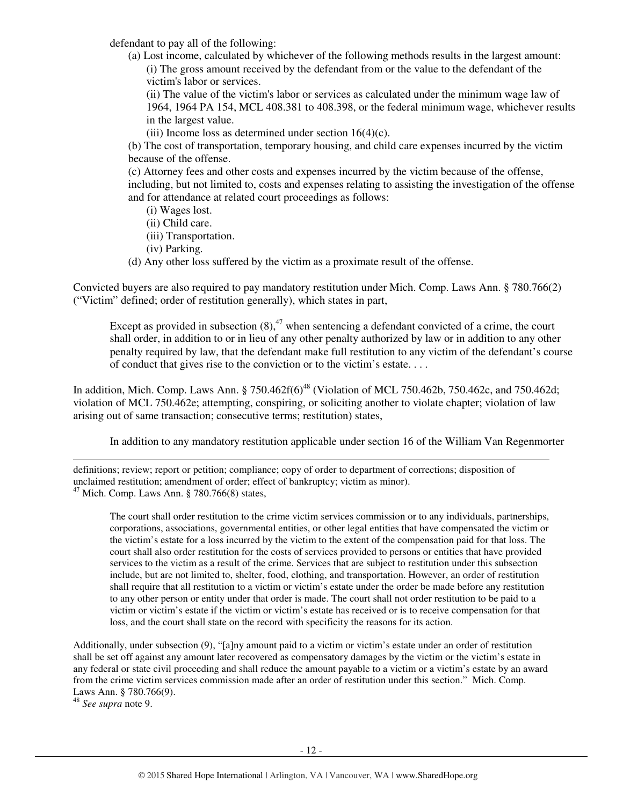defendant to pay all of the following:

(a) Lost income, calculated by whichever of the following methods results in the largest amount: (i) The gross amount received by the defendant from or the value to the defendant of the victim's labor or services.

(ii) The value of the victim's labor or services as calculated under the minimum wage law of 1964, 1964 PA 154, MCL 408.381 to 408.398, or the federal minimum wage, whichever results in the largest value.

(iii) Income loss as determined under section  $16(4)(c)$ .

(b) The cost of transportation, temporary housing, and child care expenses incurred by the victim because of the offense.

(c) Attorney fees and other costs and expenses incurred by the victim because of the offense, including, but not limited to, costs and expenses relating to assisting the investigation of the offense and for attendance at related court proceedings as follows:

- (i) Wages lost.
- (ii) Child care.
- (iii) Transportation.
- (iv) Parking.
- (d) Any other loss suffered by the victim as a proximate result of the offense.

Convicted buyers are also required to pay mandatory restitution under Mich. Comp. Laws Ann. § 780.766(2) ("Victim" defined; order of restitution generally), which states in part,

Except as provided in subsection  $(8)$ ,<sup>47</sup> when sentencing a defendant convicted of a crime, the court shall order, in addition to or in lieu of any other penalty authorized by law or in addition to any other penalty required by law, that the defendant make full restitution to any victim of the defendant's course of conduct that gives rise to the conviction or to the victim's estate. . . .

In addition, Mich. Comp. Laws Ann. § 750.462f(6)<sup>48</sup> (Violation of MCL 750.462b, 750.462c, and 750.462d; violation of MCL 750.462e; attempting, conspiring, or soliciting another to violate chapter; violation of law arising out of same transaction; consecutive terms; restitution) states,

In addition to any mandatory restitution applicable under section 16 of the William Van Regenmorter

l definitions; review; report or petition; compliance; copy of order to department of corrections; disposition of unclaimed restitution; amendment of order; effect of bankruptcy; victim as minor).  $47$  Mich. Comp. Laws Ann. § 780.766(8) states,

The court shall order restitution to the crime victim services commission or to any individuals, partnerships, corporations, associations, governmental entities, or other legal entities that have compensated the victim or the victim's estate for a loss incurred by the victim to the extent of the compensation paid for that loss. The court shall also order restitution for the costs of services provided to persons or entities that have provided services to the victim as a result of the crime. Services that are subject to restitution under this subsection include, but are not limited to, shelter, food, clothing, and transportation. However, an order of restitution shall require that all restitution to a victim or victim's estate under the order be made before any restitution to any other person or entity under that order is made. The court shall not order restitution to be paid to a victim or victim's estate if the victim or victim's estate has received or is to receive compensation for that loss, and the court shall state on the record with specificity the reasons for its action.

Additionally, under subsection (9), "[a]ny amount paid to a victim or victim's estate under an order of restitution shall be set off against any amount later recovered as compensatory damages by the victim or the victim's estate in any federal or state civil proceeding and shall reduce the amount payable to a victim or a victim's estate by an award from the crime victim services commission made after an order of restitution under this section." Mich. Comp. Laws Ann. § 780.766(9).

<sup>48</sup> *See supra* note 9.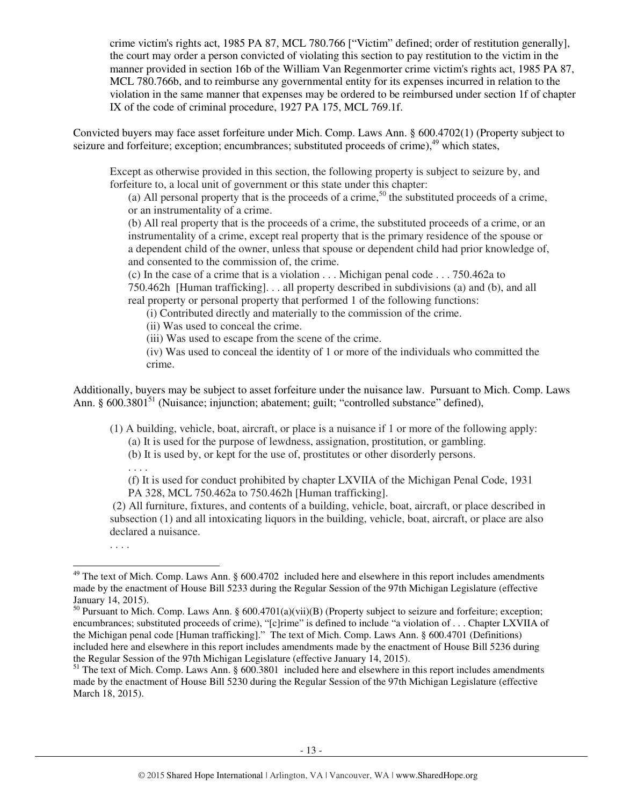crime victim's rights act, 1985 PA 87, MCL 780.766 ["Victim" defined; order of restitution generally], the court may order a person convicted of violating this section to pay restitution to the victim in the manner provided in section 16b of the William Van Regenmorter crime victim's rights act, 1985 PA 87, MCL 780.766b, and to reimburse any governmental entity for its expenses incurred in relation to the violation in the same manner that expenses may be ordered to be reimbursed under section 1f of chapter IX of the code of criminal procedure, 1927 PA 175, MCL 769.1f.

Convicted buyers may face asset forfeiture under Mich. Comp. Laws Ann. § 600.4702(1) (Property subject to seizure and forfeiture; exception; encumbrances; substituted proceeds of crime),<sup>49</sup> which states,

Except as otherwise provided in this section, the following property is subject to seizure by, and forfeiture to, a local unit of government or this state under this chapter:

(a) All personal property that is the proceeds of a crime,<sup>50</sup> the substituted proceeds of a crime, or an instrumentality of a crime.

(b) All real property that is the proceeds of a crime, the substituted proceeds of a crime, or an instrumentality of a crime, except real property that is the primary residence of the spouse or a dependent child of the owner, unless that spouse or dependent child had prior knowledge of, and consented to the commission of, the crime.

(c) In the case of a crime that is a violation . . . Michigan penal code . . . 750.462a to 750.462h [Human trafficking]. . . all property described in subdivisions (a) and (b), and all real property or personal property that performed 1 of the following functions:

(i) Contributed directly and materially to the commission of the crime.

(ii) Was used to conceal the crime.

(iii) Was used to escape from the scene of the crime.

(iv) Was used to conceal the identity of 1 or more of the individuals who committed the crime.

Additionally, buyers may be subject to asset forfeiture under the nuisance law. Pursuant to Mich. Comp. Laws Ann. §  $600.3801<sup>51</sup>$  (Nuisance; injunction; abatement; guilt; "controlled substance" defined),

(1) A building, vehicle, boat, aircraft, or place is a nuisance if 1 or more of the following apply:

- (a) It is used for the purpose of lewdness, assignation, prostitution, or gambling. (b) It is used by, or kept for the use of, prostitutes or other disorderly persons.
- . . . .

(f) It is used for conduct prohibited by chapter LXVIIA of the Michigan Penal Code, 1931 PA 328, MCL 750.462a to 750.462h [Human trafficking].

 (2) All furniture, fixtures, and contents of a building, vehicle, boat, aircraft, or place described in subsection (1) and all intoxicating liquors in the building, vehicle, boat, aircraft, or place are also declared a nuisance.

. . . .

l

 $49$  The text of Mich. Comp. Laws Ann. § 600.4702 included here and elsewhere in this report includes amendments made by the enactment of House Bill 5233 during the Regular Session of the 97th Michigan Legislature (effective January 14, 2015).

<sup>&</sup>lt;sup>50</sup> Pursuant to Mich. Comp. Laws Ann. § 600.4701(a)(vii)(B) (Property subject to seizure and forfeiture; exception; encumbrances; substituted proceeds of crime), "[c]rime" is defined to include "a violation of . . . Chapter LXVIIA of the Michigan penal code [Human trafficking]." The text of Mich. Comp. Laws Ann. § 600.4701 (Definitions) included here and elsewhere in this report includes amendments made by the enactment of House Bill 5236 during the Regular Session of the 97th Michigan Legislature (effective January 14, 2015).

<sup>&</sup>lt;sup>51</sup> The text of Mich. Comp. Laws Ann. § 600.3801 included here and elsewhere in this report includes amendments made by the enactment of House Bill 5230 during the Regular Session of the 97th Michigan Legislature (effective March 18, 2015).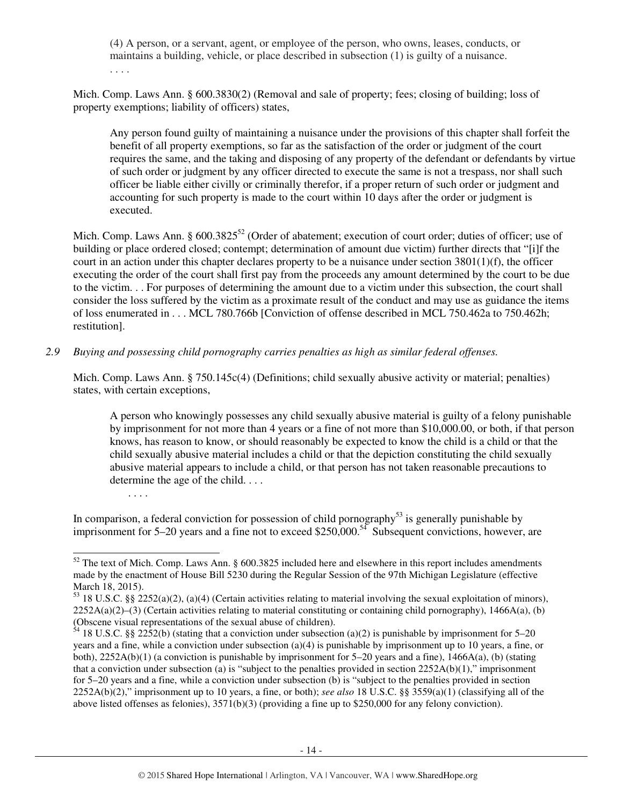(4) A person, or a servant, agent, or employee of the person, who owns, leases, conducts, or maintains a building, vehicle, or place described in subsection (1) is guilty of a nuisance. . . . .

Mich. Comp. Laws Ann. § 600.3830(2) (Removal and sale of property; fees; closing of building; loss of property exemptions; liability of officers) states,

Any person found guilty of maintaining a nuisance under the provisions of this chapter shall forfeit the benefit of all property exemptions, so far as the satisfaction of the order or judgment of the court requires the same, and the taking and disposing of any property of the defendant or defendants by virtue of such order or judgment by any officer directed to execute the same is not a trespass, nor shall such officer be liable either civilly or criminally therefor, if a proper return of such order or judgment and accounting for such property is made to the court within 10 days after the order or judgment is executed.

Mich. Comp. Laws Ann. § 600.3825<sup>52</sup> (Order of abatement; execution of court order; duties of officer; use of building or place ordered closed; contempt; determination of amount due victim) further directs that "[i]f the court in an action under this chapter declares property to be a nuisance under section  $3801(1)(f)$ , the officer executing the order of the court shall first pay from the proceeds any amount determined by the court to be due to the victim. . . For purposes of determining the amount due to a victim under this subsection, the court shall consider the loss suffered by the victim as a proximate result of the conduct and may use as guidance the items of loss enumerated in . . . MCL 780.766b [Conviction of offense described in MCL 750.462a to 750.462h; restitution].

#### *2.9 Buying and possessing child pornography carries penalties as high as similar federal offenses.*

. . . .

Mich. Comp. Laws Ann. § 750.145c(4) (Definitions; child sexually abusive activity or material; penalties) states, with certain exceptions,

A person who knowingly possesses any child sexually abusive material is guilty of a felony punishable by imprisonment for not more than 4 years or a fine of not more than \$10,000.00, or both, if that person knows, has reason to know, or should reasonably be expected to know the child is a child or that the child sexually abusive material includes a child or that the depiction constituting the child sexually abusive material appears to include a child, or that person has not taken reasonable precautions to determine the age of the child. . . .

In comparison, a federal conviction for possession of child pornography<sup>53</sup> is generally punishable by imprisonment for 5–20 years and a fine not to exceed \$250,000.<sup>54</sup> Subsequent convictions, however, are

<sup>-</sup> $52$  The text of Mich. Comp. Laws Ann. § 600.3825 included here and elsewhere in this report includes amendments made by the enactment of House Bill 5230 during the Regular Session of the 97th Michigan Legislature (effective March 18, 2015).

<sup>53</sup> 18 U.S.C. §§ 2252(a)(2), (a)(4) (Certain activities relating to material involving the sexual exploitation of minors),  $2252A(a)(2)$ –(3) (Certain activities relating to material constituting or containing child pornography), 1466A(a), (b) (Obscene visual representations of the sexual abuse of children).

 $54$  18 U.S.C. §§ 2252(b) (stating that a conviction under subsection (a)(2) is punishable by imprisonment for 5–20 years and a fine, while a conviction under subsection (a)(4) is punishable by imprisonment up to 10 years, a fine, or both),  $2252A(b)(1)$  (a conviction is punishable by imprisonment for 5–20 years and a fine),  $1466A(a)$ , (b) (stating that a conviction under subsection (a) is "subject to the penalties provided in section  $2252A(b)(1)$ ," imprisonment for 5–20 years and a fine, while a conviction under subsection (b) is "subject to the penalties provided in section 2252A(b)(2)," imprisonment up to 10 years, a fine, or both); *see also* 18 U.S.C. §§ 3559(a)(1) (classifying all of the above listed offenses as felonies), 3571(b)(3) (providing a fine up to \$250,000 for any felony conviction).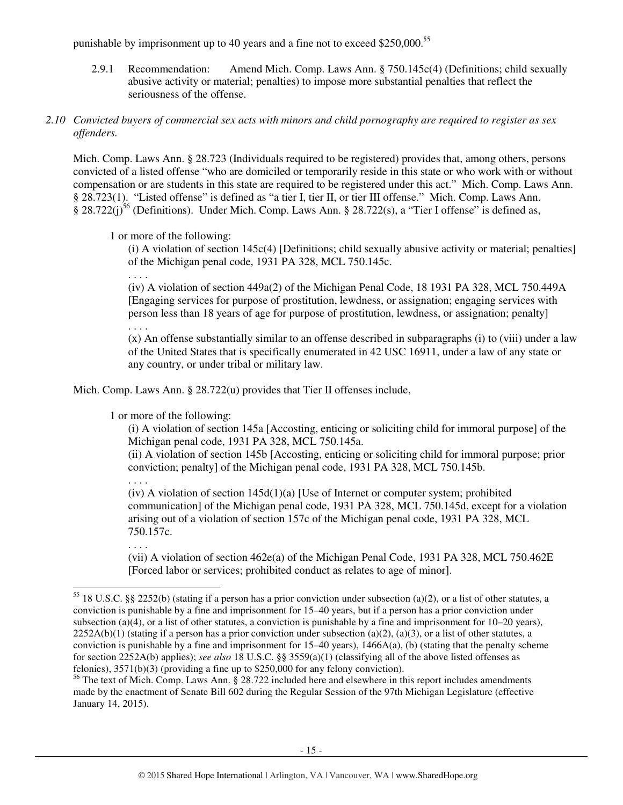punishable by imprisonment up to 40 years and a fine not to exceed \$250,000.<sup>55</sup>

2.9.1 Recommendation: Amend Mich. Comp. Laws Ann. § 750.145c(4) (Definitions; child sexually abusive activity or material; penalties) to impose more substantial penalties that reflect the seriousness of the offense.

## *2.10 Convicted buyers of commercial sex acts with minors and child pornography are required to register as sex offenders.*

Mich. Comp. Laws Ann. § 28.723 (Individuals required to be registered) provides that, among others, persons convicted of a listed offense "who are domiciled or temporarily reside in this state or who work with or without compensation or are students in this state are required to be registered under this act." Mich. Comp. Laws Ann. § 28.723(1). "Listed offense" is defined as "a tier I, tier II, or tier III offense." Mich. Comp. Laws Ann. § 28.722(j)<sup>56</sup> (Definitions). Under Mich. Comp. Laws Ann. § 28.722(s), a "Tier I offense" is defined as,

1 or more of the following:

(i) A violation of section 145c(4) [Definitions; child sexually abusive activity or material; penalties] of the Michigan penal code, 1931 PA 328, MCL 750.145c.

. . . .

(iv) A violation of section 449a(2) of the Michigan Penal Code, 18 1931 PA 328, MCL 750.449A [Engaging services for purpose of prostitution, lewdness, or assignation; engaging services with person less than 18 years of age for purpose of prostitution, lewdness, or assignation; penalty] . . . .

(x) An offense substantially similar to an offense described in subparagraphs (i) to (viii) under a law of the United States that is specifically enumerated in 42 USC 16911, under a law of any state or any country, or under tribal or military law.

Mich. Comp. Laws Ann. § 28.722(u) provides that Tier II offenses include,

1 or more of the following:

(i) A violation of section 145a [Accosting, enticing or soliciting child for immoral purpose] of the Michigan penal code, 1931 PA 328, MCL 750.145a.

(ii) A violation of section 145b [Accosting, enticing or soliciting child for immoral purpose; prior conviction; penalty] of the Michigan penal code, 1931 PA 328, MCL 750.145b.

. . . .

(iv) A violation of section  $145d(1)(a)$  [Use of Internet or computer system; prohibited communication] of the Michigan penal code, 1931 PA 328, MCL 750.145d, except for a violation arising out of a violation of section 157c of the Michigan penal code, 1931 PA 328, MCL 750.157c.

. . . .

(vii) A violation of section 462e(a) of the Michigan Penal Code, 1931 PA 328, MCL 750.462E [Forced labor or services; prohibited conduct as relates to age of minor].

<sup>-</sup><sup>55</sup> 18 U.S.C. §§ 2252(b) (stating if a person has a prior conviction under subsection (a)(2), or a list of other statutes, a conviction is punishable by a fine and imprisonment for 15–40 years, but if a person has a prior conviction under subsection (a)(4), or a list of other statutes, a conviction is punishable by a fine and imprisonment for  $10-20$  years),  $2252A(b)(1)$  (stating if a person has a prior conviction under subsection (a)(2), (a)(3), or a list of other statutes, a conviction is punishable by a fine and imprisonment for  $15-40$  years),  $1466A(a)$ , (b) (stating that the penalty scheme for section 2252A(b) applies); *see also* 18 U.S.C. §§ 3559(a)(1) (classifying all of the above listed offenses as felonies), 3571(b)(3) (providing a fine up to \$250,000 for any felony conviction).

<sup>&</sup>lt;sup>56</sup> The text of Mich. Comp. Laws Ann. § 28.722 included here and elsewhere in this report includes amendments made by the enactment of Senate Bill 602 during the Regular Session of the 97th Michigan Legislature (effective January 14, 2015).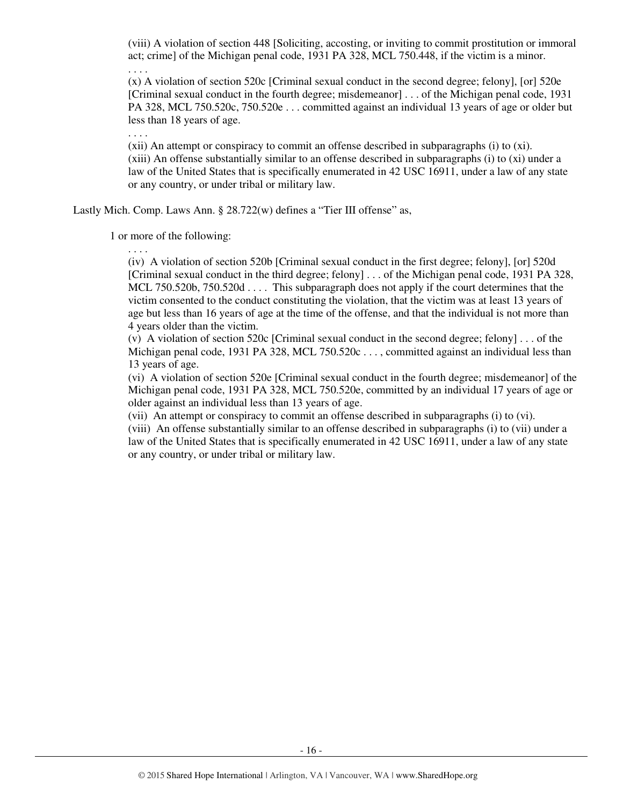(viii) A violation of section 448 [Soliciting, accosting, or inviting to commit prostitution or immoral act; crime] of the Michigan penal code, 1931 PA 328, MCL 750.448, if the victim is a minor.

. . . .

(x) A violation of section 520c [Criminal sexual conduct in the second degree; felony], [or] 520e [Criminal sexual conduct in the fourth degree; misdemeanor] . . . of the Michigan penal code, 1931 PA 328, MCL 750.520c, 750.520e . . . committed against an individual 13 years of age or older but less than 18 years of age.

. . . .

(xii) An attempt or conspiracy to commit an offense described in subparagraphs (i) to (xi). (xiii) An offense substantially similar to an offense described in subparagraphs (i) to (xi) under a law of the United States that is specifically enumerated in 42 USC 16911, under a law of any state or any country, or under tribal or military law.

Lastly Mich. Comp. Laws Ann. § 28.722(w) defines a "Tier III offense" as,

1 or more of the following:

. . . .

(iv) A violation of section 520b [Criminal sexual conduct in the first degree; felony], [or] 520d [Criminal sexual conduct in the third degree; felony] . . . of the Michigan penal code, 1931 PA 328, MCL 750.520b, 750.520d . . . . This subparagraph does not apply if the court determines that the victim consented to the conduct constituting the violation, that the victim was at least 13 years of age but less than 16 years of age at the time of the offense, and that the individual is not more than 4 years older than the victim.

(v) A violation of section 520c [Criminal sexual conduct in the second degree; felony] . . . of the Michigan penal code, 1931 PA 328, MCL 750.520c . . . , committed against an individual less than 13 years of age.

(vi) A violation of section 520e [Criminal sexual conduct in the fourth degree; misdemeanor] of the Michigan penal code, 1931 PA 328, MCL 750.520e, committed by an individual 17 years of age or older against an individual less than 13 years of age.

(vii) An attempt or conspiracy to commit an offense described in subparagraphs (i) to (vi).

(viii) An offense substantially similar to an offense described in subparagraphs (i) to (vii) under a law of the United States that is specifically enumerated in 42 USC 16911, under a law of any state or any country, or under tribal or military law.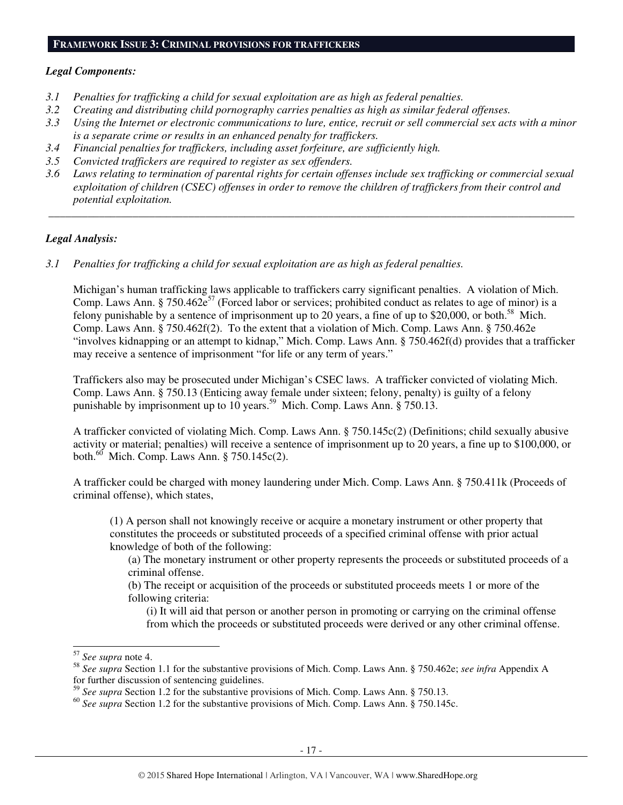#### **FRAMEWORK ISSUE 3: CRIMINAL PROVISIONS FOR TRAFFICKERS**

#### *Legal Components:*

- *3.1 Penalties for trafficking a child for sexual exploitation are as high as federal penalties.*
- *3.2 Creating and distributing child pornography carries penalties as high as similar federal offenses.*
- *3.3 Using the Internet or electronic communications to lure, entice, recruit or sell commercial sex acts with a minor is a separate crime or results in an enhanced penalty for traffickers.*
- *3.4 Financial penalties for traffickers, including asset forfeiture, are sufficiently high.*
- *3.5 Convicted traffickers are required to register as sex offenders.*
- *3.6 Laws relating to termination of parental rights for certain offenses include sex trafficking or commercial sexual exploitation of children (CSEC) offenses in order to remove the children of traffickers from their control and potential exploitation.*

 *\_\_\_\_\_\_\_\_\_\_\_\_\_\_\_\_\_\_\_\_\_\_\_\_\_\_\_\_\_\_\_\_\_\_\_\_\_\_\_\_\_\_\_\_\_\_\_\_\_\_\_\_\_\_\_\_\_\_\_\_\_\_\_\_\_\_\_\_\_\_\_\_\_\_\_\_\_\_\_\_\_\_\_\_\_\_\_\_\_\_\_\_\_\_* 

#### *Legal Analysis:*

*3.1 Penalties for trafficking a child for sexual exploitation are as high as federal penalties.* 

Michigan's human trafficking laws applicable to traffickers carry significant penalties. A violation of Mich. Comp. Laws Ann. § 750.462 $e^{57}$  (Forced labor or services; prohibited conduct as relates to age of minor) is a felony punishable by a sentence of imprisonment up to 20 years, a fine of up to \$20,000, or both.<sup>58</sup> Mich. Comp. Laws Ann. § 750.462f(2). To the extent that a violation of Mich. Comp. Laws Ann. § 750.462e "involves kidnapping or an attempt to kidnap," Mich. Comp. Laws Ann. § 750.462f(d) provides that a trafficker may receive a sentence of imprisonment "for life or any term of years."

Traffickers also may be prosecuted under Michigan's CSEC laws. A trafficker convicted of violating Mich. Comp. Laws Ann. § 750.13 (Enticing away female under sixteen; felony, penalty) is guilty of a felony punishable by imprisonment up to 10 years.<sup>59</sup> Mich. Comp. Laws Ann. § 750.13.

A trafficker convicted of violating Mich. Comp. Laws Ann. § 750.145c(2) (Definitions; child sexually abusive activity or material; penalties) will receive a sentence of imprisonment up to 20 years, a fine up to \$100,000, or both.<sup>60</sup> Mich. Comp. Laws Ann. § 750.145c(2).

A trafficker could be charged with money laundering under Mich. Comp. Laws Ann. § 750.411k (Proceeds of criminal offense), which states,

(1) A person shall not knowingly receive or acquire a monetary instrument or other property that constitutes the proceeds or substituted proceeds of a specified criminal offense with prior actual knowledge of both of the following:

(a) The monetary instrument or other property represents the proceeds or substituted proceeds of a criminal offense.

(b) The receipt or acquisition of the proceeds or substituted proceeds meets 1 or more of the following criteria:

(i) It will aid that person or another person in promoting or carrying on the criminal offense from which the proceeds or substituted proceeds were derived or any other criminal offense.

j

<sup>57</sup> *See supra* note 4.

<sup>58</sup> *See supra* Section 1.1 for the substantive provisions of Mich. Comp. Laws Ann. § 750.462e; *see infra* Appendix A for further discussion of sentencing guidelines.

<sup>59</sup> *See supra* Section 1.2 for the substantive provisions of Mich. Comp. Laws Ann. § 750.13.

<sup>60</sup> *See supra* Section 1.2 for the substantive provisions of Mich. Comp. Laws Ann. § 750.145c.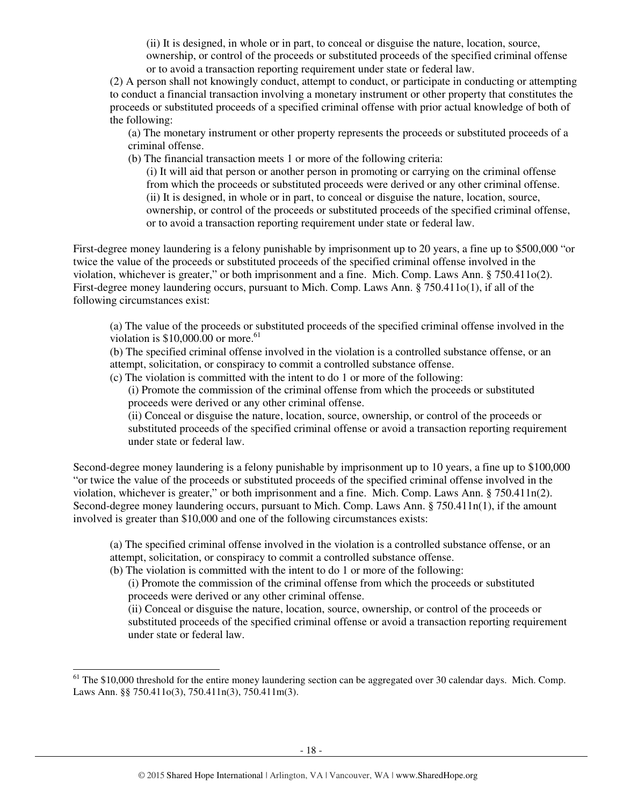(ii) It is designed, in whole or in part, to conceal or disguise the nature, location, source, ownership, or control of the proceeds or substituted proceeds of the specified criminal offense or to avoid a transaction reporting requirement under state or federal law.

(2) A person shall not knowingly conduct, attempt to conduct, or participate in conducting or attempting to conduct a financial transaction involving a monetary instrument or other property that constitutes the proceeds or substituted proceeds of a specified criminal offense with prior actual knowledge of both of the following:

(a) The monetary instrument or other property represents the proceeds or substituted proceeds of a criminal offense.

(b) The financial transaction meets 1 or more of the following criteria:

(i) It will aid that person or another person in promoting or carrying on the criminal offense from which the proceeds or substituted proceeds were derived or any other criminal offense. (ii) It is designed, in whole or in part, to conceal or disguise the nature, location, source, ownership, or control of the proceeds or substituted proceeds of the specified criminal offense, or to avoid a transaction reporting requirement under state or federal law.

First-degree money laundering is a felony punishable by imprisonment up to 20 years, a fine up to \$500,000 "or twice the value of the proceeds or substituted proceeds of the specified criminal offense involved in the violation, whichever is greater," or both imprisonment and a fine. Mich. Comp. Laws Ann. § 750.411o(2). First-degree money laundering occurs, pursuant to Mich. Comp. Laws Ann. § 750.411o(1), if all of the following circumstances exist:

(a) The value of the proceeds or substituted proceeds of the specified criminal offense involved in the violation is  $$10,000.00$  or more.<sup>61</sup>

(b) The specified criminal offense involved in the violation is a controlled substance offense, or an attempt, solicitation, or conspiracy to commit a controlled substance offense.

(c) The violation is committed with the intent to do 1 or more of the following:

(i) Promote the commission of the criminal offense from which the proceeds or substituted proceeds were derived or any other criminal offense.

(ii) Conceal or disguise the nature, location, source, ownership, or control of the proceeds or substituted proceeds of the specified criminal offense or avoid a transaction reporting requirement under state or federal law.

Second-degree money laundering is a felony punishable by imprisonment up to 10 years, a fine up to \$100,000 "or twice the value of the proceeds or substituted proceeds of the specified criminal offense involved in the violation, whichever is greater," or both imprisonment and a fine. Mich. Comp. Laws Ann. § 750.411n(2). Second-degree money laundering occurs, pursuant to Mich. Comp. Laws Ann. § 750.411n(1), if the amount involved is greater than \$10,000 and one of the following circumstances exists:

(a) The specified criminal offense involved in the violation is a controlled substance offense, or an attempt, solicitation, or conspiracy to commit a controlled substance offense.

(b) The violation is committed with the intent to do 1 or more of the following:

l

(i) Promote the commission of the criminal offense from which the proceeds or substituted proceeds were derived or any other criminal offense.

(ii) Conceal or disguise the nature, location, source, ownership, or control of the proceeds or substituted proceeds of the specified criminal offense or avoid a transaction reporting requirement under state or federal law.

 $<sup>61</sup>$  The \$10,000 threshold for the entire money laundering section can be aggregated over 30 calendar days. Mich. Comp.</sup> Laws Ann. §§ 750.411o(3), 750.411n(3), 750.411m(3).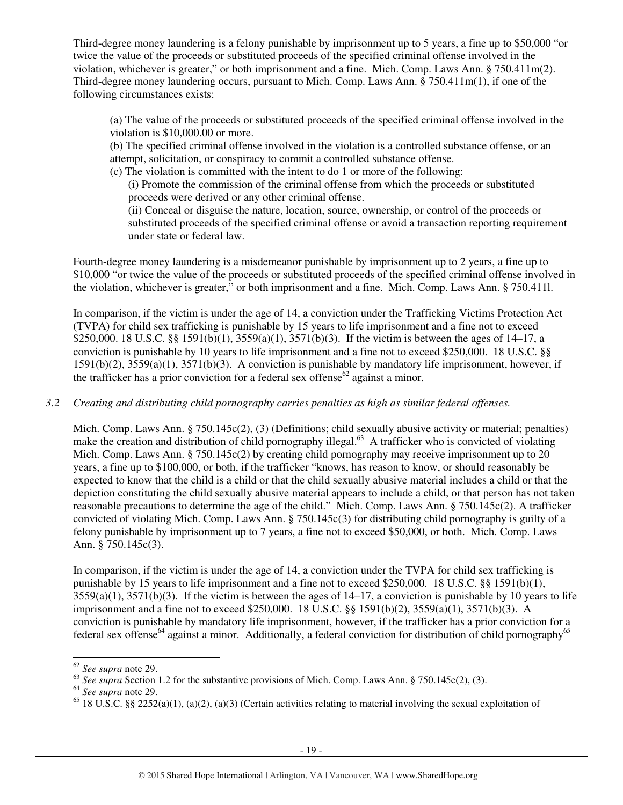Third-degree money laundering is a felony punishable by imprisonment up to 5 years, a fine up to \$50,000 "or twice the value of the proceeds or substituted proceeds of the specified criminal offense involved in the violation, whichever is greater," or both imprisonment and a fine. Mich. Comp. Laws Ann. § 750.411m(2). Third-degree money laundering occurs, pursuant to Mich. Comp. Laws Ann. § 750.411m(1), if one of the following circumstances exists:

(a) The value of the proceeds or substituted proceeds of the specified criminal offense involved in the violation is \$10,000.00 or more.

(b) The specified criminal offense involved in the violation is a controlled substance offense, or an attempt, solicitation, or conspiracy to commit a controlled substance offense.

(c) The violation is committed with the intent to do 1 or more of the following:

(i) Promote the commission of the criminal offense from which the proceeds or substituted proceeds were derived or any other criminal offense.

(ii) Conceal or disguise the nature, location, source, ownership, or control of the proceeds or substituted proceeds of the specified criminal offense or avoid a transaction reporting requirement under state or federal law.

Fourth-degree money laundering is a misdemeanor punishable by imprisonment up to 2 years, a fine up to \$10,000 "or twice the value of the proceeds or substituted proceeds of the specified criminal offense involved in the violation, whichever is greater," or both imprisonment and a fine. Mich. Comp. Laws Ann. § 750.411l.

In comparison, if the victim is under the age of 14, a conviction under the Trafficking Victims Protection Act (TVPA) for child sex trafficking is punishable by 15 years to life imprisonment and a fine not to exceed \$250,000. 18 U.S.C. §§ 1591(b)(1), 3559(a)(1), 3571(b)(3). If the victim is between the ages of 14–17, a conviction is punishable by 10 years to life imprisonment and a fine not to exceed \$250,000. 18 U.S.C. §§ 1591(b)(2), 3559(a)(1), 3571(b)(3). A conviction is punishable by mandatory life imprisonment, however, if the trafficker has a prior conviction for a federal sex offense<sup>62</sup> against a minor.

*3.2 Creating and distributing child pornography carries penalties as high as similar federal offenses.* 

Mich. Comp. Laws Ann. § 750.145c(2), (3) (Definitions; child sexually abusive activity or material; penalties) make the creation and distribution of child pornography illegal.<sup>63</sup> A trafficker who is convicted of violating Mich. Comp. Laws Ann. § 750.145c(2) by creating child pornography may receive imprisonment up to 20 years, a fine up to \$100,000, or both, if the trafficker "knows, has reason to know, or should reasonably be expected to know that the child is a child or that the child sexually abusive material includes a child or that the depiction constituting the child sexually abusive material appears to include a child, or that person has not taken reasonable precautions to determine the age of the child." Mich. Comp. Laws Ann. § 750.145c(2). A trafficker convicted of violating Mich. Comp. Laws Ann. § 750.145c(3) for distributing child pornography is guilty of a felony punishable by imprisonment up to 7 years, a fine not to exceed \$50,000, or both. Mich. Comp. Laws Ann. § 750.145c(3).

In comparison, if the victim is under the age of 14, a conviction under the TVPA for child sex trafficking is punishable by 15 years to life imprisonment and a fine not to exceed \$250,000. 18 U.S.C. §§ 1591(b)(1),  $3559(a)(1)$ ,  $3571(b)(3)$ . If the victim is between the ages of  $14-17$ , a conviction is punishable by 10 years to life imprisonment and a fine not to exceed \$250,000. 18 U.S.C. §§ 1591(b)(2), 3559(a)(1), 3571(b)(3). A conviction is punishable by mandatory life imprisonment, however, if the trafficker has a prior conviction for a federal sex offense<sup>64</sup> against a minor. Additionally, a federal conviction for distribution of child pornography<sup>65</sup>

-

<sup>62</sup> *See supra* note 29.

<sup>63</sup> *See supra* Section 1.2 for the substantive provisions of Mich. Comp. Laws Ann. § 750.145c(2), (3).

<sup>64</sup> *See supra* note 29.

 $^{65}$  18 U.S.C. §§ 2252(a)(1), (a)(2), (a)(3) (Certain activities relating to material involving the sexual exploitation of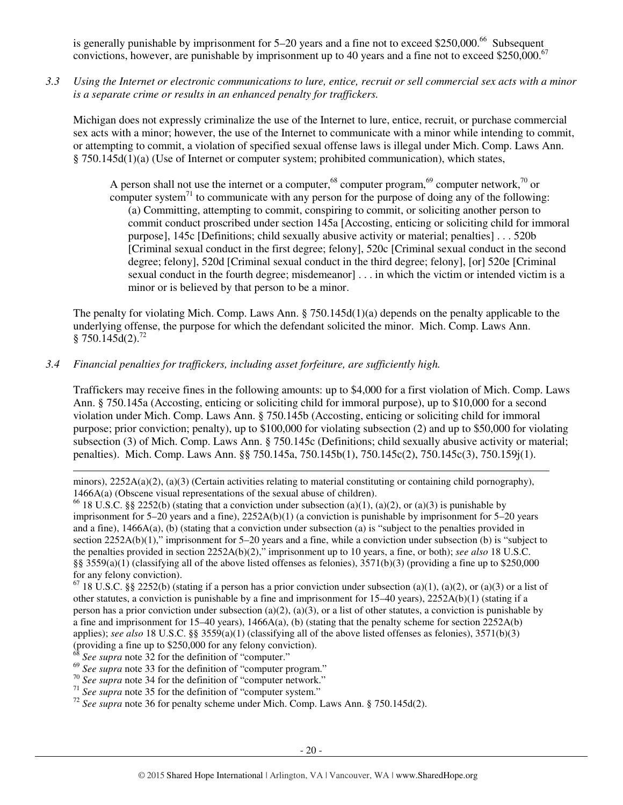is generally punishable by imprisonment for  $5-20$  years and a fine not to exceed \$250,000.<sup>66</sup> Subsequent convictions, however, are punishable by imprisonment up to 40 years and a fine not to exceed \$250,000.<sup>67</sup>

*3.3 Using the Internet or electronic communications to lure, entice, recruit or sell commercial sex acts with a minor is a separate crime or results in an enhanced penalty for traffickers.* 

Michigan does not expressly criminalize the use of the Internet to lure, entice, recruit, or purchase commercial sex acts with a minor; however, the use of the Internet to communicate with a minor while intending to commit, or attempting to commit, a violation of specified sexual offense laws is illegal under Mich. Comp. Laws Ann. § 750.145d(1)(a) (Use of Internet or computer system; prohibited communication), which states,

A person shall not use the internet or a computer,<sup>68</sup> computer program,<sup>69</sup> computer network,<sup>70</sup> or computer system<sup>71</sup> to communicate with any person for the purpose of doing any of the following: (a) Committing, attempting to commit, conspiring to commit, or soliciting another person to commit conduct proscribed under section 145a [Accosting, enticing or soliciting child for immoral purpose], 145c [Definitions; child sexually abusive activity or material; penalties] . . . 520b [Criminal sexual conduct in the first degree; felony], 520c [Criminal sexual conduct in the second degree; felony], 520d [Criminal sexual conduct in the third degree; felony], [or] 520e [Criminal sexual conduct in the fourth degree; misdemeanor] . . . in which the victim or intended victim is a minor or is believed by that person to be a minor.

The penalty for violating Mich. Comp. Laws Ann. § 750.145d(1)(a) depends on the penalty applicable to the underlying offense, the purpose for which the defendant solicited the minor. Mich. Comp. Laws Ann. § 750.145 $d(2)$ .<sup>72</sup>

## *3.4 Financial penalties for traffickers, including asset forfeiture, are sufficiently high.*

Traffickers may receive fines in the following amounts: up to \$4,000 for a first violation of Mich. Comp. Laws Ann. § 750.145a (Accosting, enticing or soliciting child for immoral purpose), up to \$10,000 for a second violation under Mich. Comp. Laws Ann. § 750.145b (Accosting, enticing or soliciting child for immoral purpose; prior conviction; penalty), up to \$100,000 for violating subsection (2) and up to \$50,000 for violating subsection (3) of Mich. Comp. Laws Ann. § 750.145c (Definitions; child sexually abusive activity or material; penalties). Mich. Comp. Laws Ann. §§ 750.145a, 750.145b(1), 750.145c(2), 750.145c(3), 750.159j(1).

minors),  $2252A(a)(2)$ ,  $(a)(3)$  (Certain activities relating to material constituting or containing child pornography), 1466A(a) (Obscene visual representations of the sexual abuse of children).

<sup>66</sup> 18 U.S.C. §§ 2252(b) (stating that a conviction under subsection (a)(1), (a)(2), or (a)(3) is punishable by imprisonment for 5–20 years and a fine), 2252A(b)(1) (a conviction is punishable by imprisonment for 5–20 years and a fine), 1466A(a), (b) (stating that a conviction under subsection (a) is "subject to the penalties provided in section 2252A(b)(1)," imprisonment for 5–20 years and a fine, while a conviction under subsection (b) is "subject to the penalties provided in section 2252A(b)(2)," imprisonment up to 10 years, a fine, or both); *see also* 18 U.S.C. §§ 3559(a)(1) (classifying all of the above listed offenses as felonies),  $3571(b)(3)$  (providing a fine up to \$250,000 for any felony conviction).

 $67$  18 U.S.C. §§ 2252(b) (stating if a person has a prior conviction under subsection (a)(1), (a)(2), or (a)(3) or a list of other statutes, a conviction is punishable by a fine and imprisonment for  $15-40$  years),  $2252A(b)(1)$  (stating if a person has a prior conviction under subsection (a)(2), (a)(3), or a list of other statutes, a conviction is punishable by a fine and imprisonment for 15–40 years), 1466A(a), (b) (stating that the penalty scheme for section  $2252A(b)$ applies); *see also* 18 U.S.C. §§ 3559(a)(1) (classifying all of the above listed offenses as felonies), 3571(b)(3) (providing a fine up to \$250,000 for any felony conviction).

See supra note 32 for the definition of "computer."

l

<sup>70</sup> *See supra* note 34 for the definition of "computer network."

<sup>72</sup> *See supra* note 36 for penalty scheme under Mich. Comp. Laws Ann. § 750.145d(2).

<sup>&</sup>lt;sup>69</sup> See supra note 33 for the definition of "computer program."

<sup>&</sup>lt;sup>71</sup> See supra note 35 for the definition of "computer system."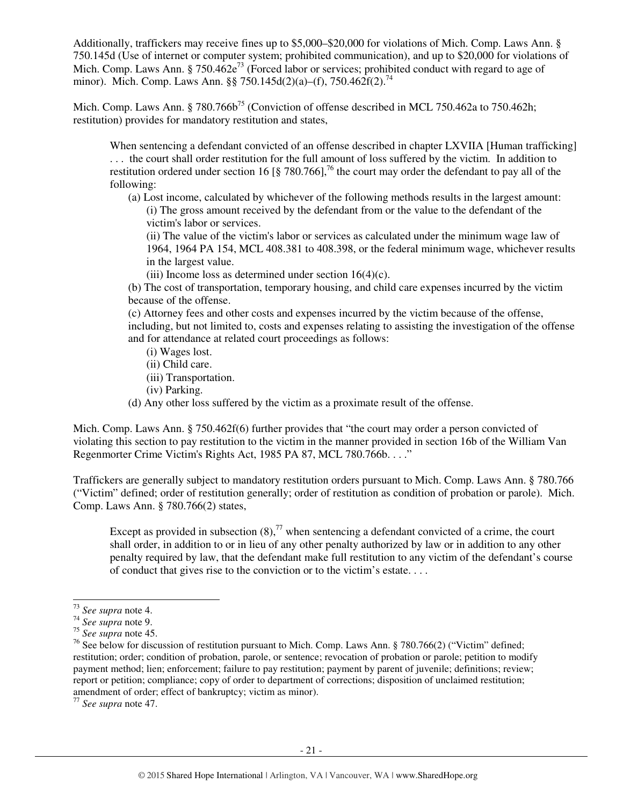Additionally, traffickers may receive fines up to \$5,000–\$20,000 for violations of Mich. Comp. Laws Ann. § 750.145d (Use of internet or computer system; prohibited communication), and up to \$20,000 for violations of Mich. Comp. Laws Ann. § 750.462 $e^{73}$  (Forced labor or services; prohibited conduct with regard to age of minor). Mich. Comp. Laws Ann. §§ 750.145d(2)(a)–(f), 750.462f(2).<sup>74</sup>

Mich. Comp. Laws Ann. § 780.766b<sup>75</sup> (Conviction of offense described in MCL 750.462a to 750.462h; restitution) provides for mandatory restitution and states,

When sentencing a defendant convicted of an offense described in chapter LXVIIA [Human trafficking] . . . the court shall order restitution for the full amount of loss suffered by the victim. In addition to restitution ordered under section 16 [§ 780.766],<sup>76</sup> the court may order the defendant to pay all of the following:

(a) Lost income, calculated by whichever of the following methods results in the largest amount: (i) The gross amount received by the defendant from or the value to the defendant of the victim's labor or services.

(ii) The value of the victim's labor or services as calculated under the minimum wage law of 1964, 1964 PA 154, MCL 408.381 to 408.398, or the federal minimum wage, whichever results in the largest value.

(iii) Income loss as determined under section  $16(4)(c)$ .

(b) The cost of transportation, temporary housing, and child care expenses incurred by the victim because of the offense.

(c) Attorney fees and other costs and expenses incurred by the victim because of the offense, including, but not limited to, costs and expenses relating to assisting the investigation of the offense and for attendance at related court proceedings as follows:

- (i) Wages lost.
- (ii) Child care.
- (iii) Transportation.
- (iv) Parking.
- (d) Any other loss suffered by the victim as a proximate result of the offense.

Mich. Comp. Laws Ann. § 750.462f(6) further provides that "the court may order a person convicted of violating this section to pay restitution to the victim in the manner provided in section 16b of the William Van Regenmorter Crime Victim's Rights Act, 1985 PA 87, MCL 780.766b. . . ."

Traffickers are generally subject to mandatory restitution orders pursuant to Mich. Comp. Laws Ann. § 780.766 ("Victim" defined; order of restitution generally; order of restitution as condition of probation or parole). Mich. Comp. Laws Ann. § 780.766(2) states,

Except as provided in subsection  $(8)$ ,<sup>77</sup> when sentencing a defendant convicted of a crime, the court shall order, in addition to or in lieu of any other penalty authorized by law or in addition to any other penalty required by law, that the defendant make full restitution to any victim of the defendant's course of conduct that gives rise to the conviction or to the victim's estate. . . .

l

<sup>77</sup> *See supra* note 47.

<sup>73</sup> *See supra* note 4.

<sup>74</sup> *See supra* note 9.

<sup>75</sup> *See supra* note 45.

<sup>&</sup>lt;sup>76</sup> See below for discussion of restitution pursuant to Mich. Comp. Laws Ann. § 780.766(2) ("Victim" defined; restitution; order; condition of probation, parole, or sentence; revocation of probation or parole; petition to modify payment method; lien; enforcement; failure to pay restitution; payment by parent of juvenile; definitions; review; report or petition; compliance; copy of order to department of corrections; disposition of unclaimed restitution; amendment of order; effect of bankruptcy; victim as minor).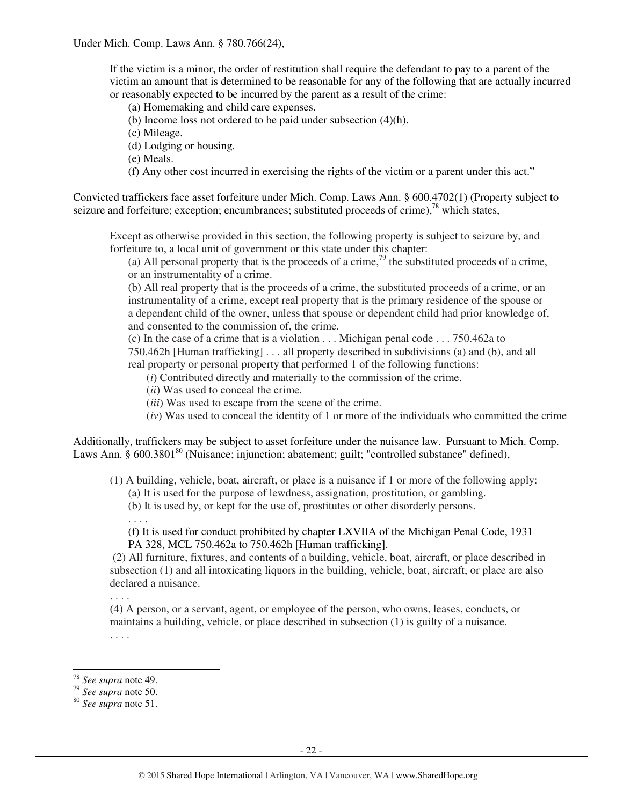If the victim is a minor, the order of restitution shall require the defendant to pay to a parent of the victim an amount that is determined to be reasonable for any of the following that are actually incurred or reasonably expected to be incurred by the parent as a result of the crime:

(a) Homemaking and child care expenses.

(b) Income loss not ordered to be paid under subsection (4)(h).

(c) Mileage.

(d) Lodging or housing.

(e) Meals.

(f) Any other cost incurred in exercising the rights of the victim or a parent under this act."

Convicted traffickers face asset forfeiture under Mich. Comp. Laws Ann. § 600.4702(1) (Property subject to seizure and forfeiture; exception; encumbrances; substituted proceeds of crime),<sup>78</sup> which states,

Except as otherwise provided in this section, the following property is subject to seizure by, and forfeiture to, a local unit of government or this state under this chapter:

(a) All personal property that is the proceeds of a crime,<sup>79</sup> the substituted proceeds of a crime, or an instrumentality of a crime.

(b) All real property that is the proceeds of a crime, the substituted proceeds of a crime, or an instrumentality of a crime, except real property that is the primary residence of the spouse or a dependent child of the owner, unless that spouse or dependent child had prior knowledge of, and consented to the commission of, the crime.

(c) In the case of a crime that is a violation . . . Michigan penal code . . . 750.462a to

750.462h [Human trafficking] . . . all property described in subdivisions (a) and (b), and all real property or personal property that performed 1 of the following functions:

(*i*) Contributed directly and materially to the commission of the crime.

(*ii*) Was used to conceal the crime.

(*iii*) Was used to escape from the scene of the crime.

(*iv*) Was used to conceal the identity of 1 or more of the individuals who committed the crime

Additionally, traffickers may be subject to asset forfeiture under the nuisance law. Pursuant to Mich. Comp. Laws Ann.  $\S$  600.3801<sup>80</sup> (Nuisance: injunction; abatement; guilt; "controlled substance" defined),

(1) A building, vehicle, boat, aircraft, or place is a nuisance if 1 or more of the following apply:

(a) It is used for the purpose of lewdness, assignation, prostitution, or gambling.

(b) It is used by, or kept for the use of, prostitutes or other disorderly persons.

. . . .

(f) It is used for conduct prohibited by chapter LXVIIA of the Michigan Penal Code, 1931 PA 328, MCL 750.462a to 750.462h [Human trafficking].

 (2) All furniture, fixtures, and contents of a building, vehicle, boat, aircraft, or place described in subsection (1) and all intoxicating liquors in the building, vehicle, boat, aircraft, or place are also declared a nuisance.

. . . . (4) A person, or a servant, agent, or employee of the person, who owns, leases, conducts, or maintains a building, vehicle, or place described in subsection (1) is guilty of a nuisance. . . . .

l

<sup>78</sup> *See supra* note 49.

<sup>79</sup> *See supra* note 50.

<sup>80</sup> *See supra* note 51.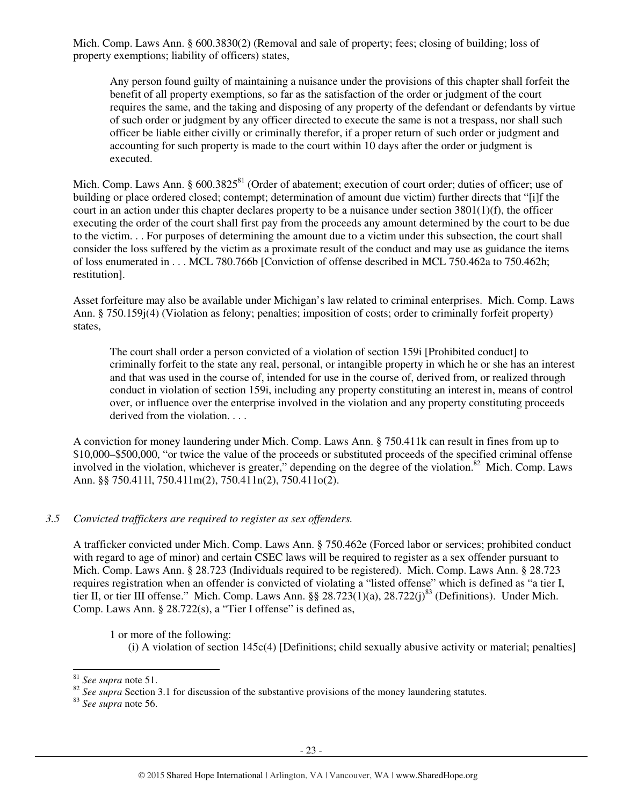Mich. Comp. Laws Ann. § 600.3830(2) (Removal and sale of property; fees; closing of building; loss of property exemptions; liability of officers) states,

Any person found guilty of maintaining a nuisance under the provisions of this chapter shall forfeit the benefit of all property exemptions, so far as the satisfaction of the order or judgment of the court requires the same, and the taking and disposing of any property of the defendant or defendants by virtue of such order or judgment by any officer directed to execute the same is not a trespass, nor shall such officer be liable either civilly or criminally therefor, if a proper return of such order or judgment and accounting for such property is made to the court within 10 days after the order or judgment is executed.

Mich. Comp. Laws Ann. § 600.3825<sup>81</sup> (Order of abatement; execution of court order; duties of officer; use of building or place ordered closed; contempt; determination of amount due victim) further directs that "[i]f the court in an action under this chapter declares property to be a nuisance under section 3801(1)(f), the officer executing the order of the court shall first pay from the proceeds any amount determined by the court to be due to the victim. . . For purposes of determining the amount due to a victim under this subsection, the court shall consider the loss suffered by the victim as a proximate result of the conduct and may use as guidance the items of loss enumerated in . . . MCL 780.766b [Conviction of offense described in MCL 750.462a to 750.462h; restitution].

Asset forfeiture may also be available under Michigan's law related to criminal enterprises. Mich. Comp. Laws Ann. § 750.159j(4) (Violation as felony; penalties; imposition of costs; order to criminally forfeit property) states,

The court shall order a person convicted of a violation of section 159i [Prohibited conduct] to criminally forfeit to the state any real, personal, or intangible property in which he or she has an interest and that was used in the course of, intended for use in the course of, derived from, or realized through conduct in violation of section 159i, including any property constituting an interest in, means of control over, or influence over the enterprise involved in the violation and any property constituting proceeds derived from the violation. . . .

A conviction for money laundering under Mich. Comp. Laws Ann. § 750.411k can result in fines from up to \$10,000–\$500,000, "or twice the value of the proceeds or substituted proceeds of the specified criminal offense involved in the violation, whichever is greater," depending on the degree of the violation.<sup>82</sup> Mich. Comp. Laws Ann. §§ 750.411l, 750.411m(2), 750.411n(2), 750.411o(2).

## *3.5 Convicted traffickers are required to register as sex offenders.*

A trafficker convicted under Mich. Comp. Laws Ann. § 750.462e (Forced labor or services; prohibited conduct with regard to age of minor) and certain CSEC laws will be required to register as a sex offender pursuant to Mich. Comp. Laws Ann. § 28.723 (Individuals required to be registered). Mich. Comp. Laws Ann. § 28.723 requires registration when an offender is convicted of violating a "listed offense" which is defined as "a tier I, tier II, or tier III offense." Mich. Comp. Laws Ann. §§ 28.723(1)(a), 28.722(j)<sup>83</sup> (Definitions). Under Mich. Comp. Laws Ann. § 28.722(s), a "Tier I offense" is defined as,

1 or more of the following:

(i) A violation of section 145c(4) [Definitions; child sexually abusive activity or material; penalties]

l

<sup>83</sup> *See supra* note 56.

<sup>81</sup> *See supra* note 51.

<sup>&</sup>lt;sup>82</sup> See supra Section 3.1 for discussion of the substantive provisions of the money laundering statutes.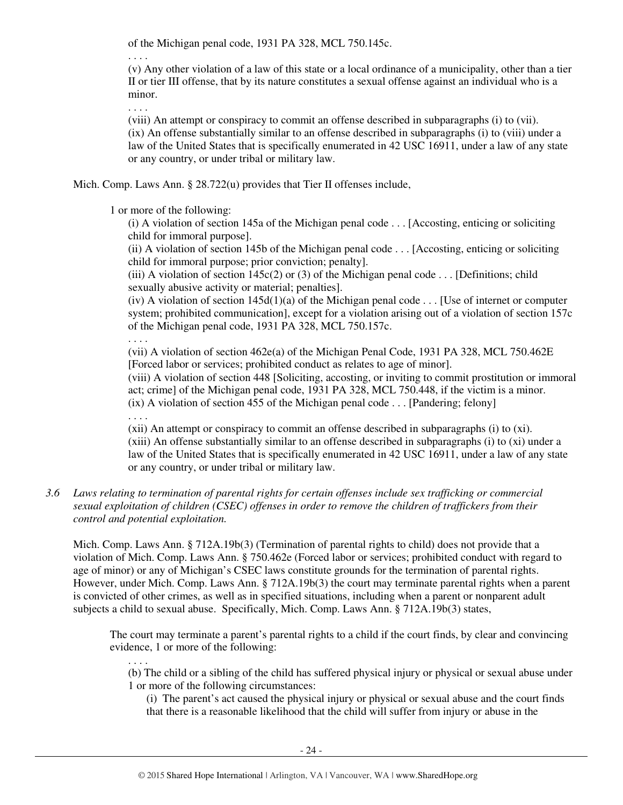of the Michigan penal code, 1931 PA 328, MCL 750.145c.

. . . .

(v) Any other violation of a law of this state or a local ordinance of a municipality, other than a tier II or tier III offense, that by its nature constitutes a sexual offense against an individual who is a minor.

. . . .

(viii) An attempt or conspiracy to commit an offense described in subparagraphs (i) to (vii). (ix) An offense substantially similar to an offense described in subparagraphs (i) to (viii) under a law of the United States that is specifically enumerated in 42 USC 16911, under a law of any state or any country, or under tribal or military law.

Mich. Comp. Laws Ann. § 28.722(u) provides that Tier II offenses include,

1 or more of the following:

(i) A violation of section 145a of the Michigan penal code . . . [Accosting, enticing or soliciting child for immoral purpose].

(ii) A violation of section 145b of the Michigan penal code . . . [Accosting, enticing or soliciting child for immoral purpose; prior conviction; penalty].

(iii) A violation of section  $145c(2)$  or (3) of the Michigan penal code . . . [Definitions; child sexually abusive activity or material; penalties].

(iv) A violation of section  $145d(1)(a)$  of the Michigan penal code . . . [Use of internet or computer system; prohibited communication], except for a violation arising out of a violation of section 157c of the Michigan penal code, 1931 PA 328, MCL 750.157c.

. . . .

. . . .

. . . .

(vii) A violation of section 462e(a) of the Michigan Penal Code, 1931 PA 328, MCL 750.462E [Forced labor or services; prohibited conduct as relates to age of minor].

(viii) A violation of section 448 [Soliciting, accosting, or inviting to commit prostitution or immoral act; crime] of the Michigan penal code, 1931 PA 328, MCL 750.448, if the victim is a minor.  $(ix)$  A violation of section 455 of the Michigan penal code . . . [Pandering; felony]

(xii) An attempt or conspiracy to commit an offense described in subparagraphs (i) to (xi). (xiii) An offense substantially similar to an offense described in subparagraphs (i) to (xi) under a law of the United States that is specifically enumerated in 42 USC 16911, under a law of any state or any country, or under tribal or military law.

## *3.6 Laws relating to termination of parental rights for certain offenses include sex trafficking or commercial sexual exploitation of children (CSEC) offenses in order to remove the children of traffickers from their control and potential exploitation.*

Mich. Comp. Laws Ann. § 712A.19b(3) (Termination of parental rights to child) does not provide that a violation of Mich. Comp. Laws Ann. § 750.462e (Forced labor or services; prohibited conduct with regard to age of minor) or any of Michigan's CSEC laws constitute grounds for the termination of parental rights. However, under Mich. Comp. Laws Ann. § 712A.19b(3) the court may terminate parental rights when a parent is convicted of other crimes, as well as in specified situations, including when a parent or nonparent adult subjects a child to sexual abuse. Specifically, Mich. Comp. Laws Ann. § 712A.19b(3) states,

The court may terminate a parent's parental rights to a child if the court finds, by clear and convincing evidence, 1 or more of the following:

(b) The child or a sibling of the child has suffered physical injury or physical or sexual abuse under 1 or more of the following circumstances:

(i) The parent's act caused the physical injury or physical or sexual abuse and the court finds that there is a reasonable likelihood that the child will suffer from injury or abuse in the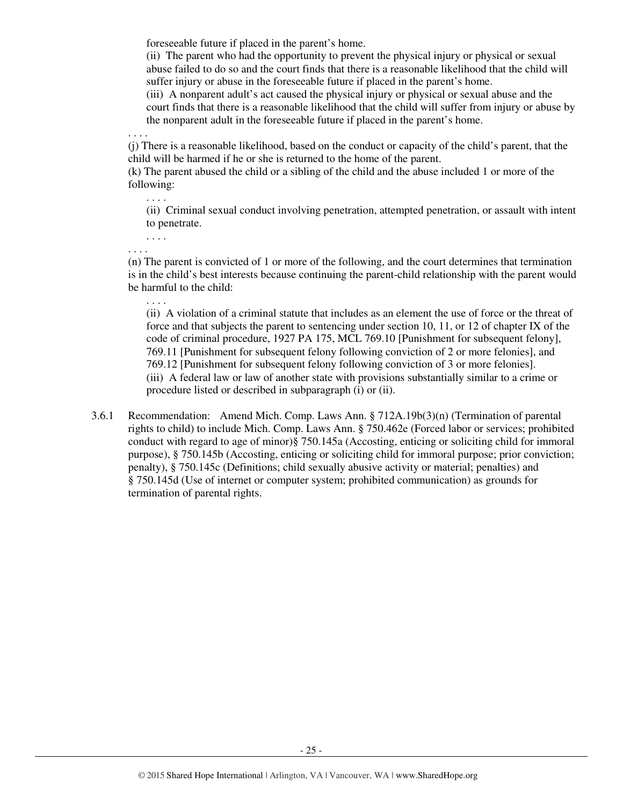foreseeable future if placed in the parent's home.

(ii) The parent who had the opportunity to prevent the physical injury or physical or sexual abuse failed to do so and the court finds that there is a reasonable likelihood that the child will suffer injury or abuse in the foreseeable future if placed in the parent's home.

(iii) A nonparent adult's act caused the physical injury or physical or sexual abuse and the court finds that there is a reasonable likelihood that the child will suffer from injury or abuse by the nonparent adult in the foreseeable future if placed in the parent's home.

. . . .

(j) There is a reasonable likelihood, based on the conduct or capacity of the child's parent, that the child will be harmed if he or she is returned to the home of the parent.

(k) The parent abused the child or a sibling of the child and the abuse included 1 or more of the following:

(ii) Criminal sexual conduct involving penetration, attempted penetration, or assault with intent to penetrate.

. . . .

. . . .

. . . .

(n) The parent is convicted of 1 or more of the following, and the court determines that termination is in the child's best interests because continuing the parent-child relationship with the parent would be harmful to the child:

. . . .

(ii) A violation of a criminal statute that includes as an element the use of force or the threat of force and that subjects the parent to sentencing under section 10, 11, or 12 of chapter IX of the code of criminal procedure, 1927 PA 175, MCL 769.10 [Punishment for subsequent felony], 769.11 [Punishment for subsequent felony following conviction of 2 or more felonies], and 769.12 [Punishment for subsequent felony following conviction of 3 or more felonies]. (iii) A federal law or law of another state with provisions substantially similar to a crime or procedure listed or described in subparagraph (i) or (ii).

3.6.1 Recommendation: Amend Mich. Comp. Laws Ann. § 712A.19b(3)(n) (Termination of parental rights to child) to include Mich. Comp. Laws Ann. § 750.462e (Forced labor or services; prohibited conduct with regard to age of minor)§ 750.145a (Accosting, enticing or soliciting child for immoral purpose), § 750.145b (Accosting, enticing or soliciting child for immoral purpose; prior conviction; penalty), § 750.145c (Definitions; child sexually abusive activity or material; penalties) and § 750.145d (Use of internet or computer system; prohibited communication) as grounds for termination of parental rights.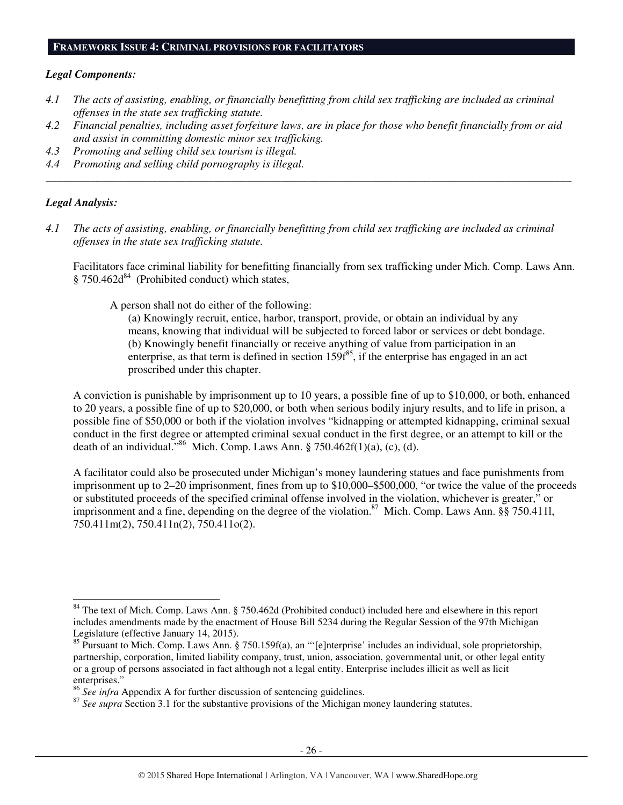#### **FRAMEWORK ISSUE 4: CRIMINAL PROVISIONS FOR FACILITATORS**

#### *Legal Components:*

- *4.1 The acts of assisting, enabling, or financially benefitting from child sex trafficking are included as criminal offenses in the state sex trafficking statute.*
- *4.2 Financial penalties, including asset forfeiture laws, are in place for those who benefit financially from or aid and assist in committing domestic minor sex trafficking.*

*\_\_\_\_\_\_\_\_\_\_\_\_\_\_\_\_\_\_\_\_\_\_\_\_\_\_\_\_\_\_\_\_\_\_\_\_\_\_\_\_\_\_\_\_\_\_\_\_\_\_\_\_\_\_\_\_\_\_\_\_\_\_\_\_\_\_\_\_\_\_\_\_\_\_\_\_\_\_\_\_\_\_\_\_\_\_\_\_\_\_\_\_\_\_* 

- *4.3 Promoting and selling child sex tourism is illegal.*
- *4.4 Promoting and selling child pornography is illegal.*

#### *Legal Analysis:*

l

*4.1 The acts of assisting, enabling, or financially benefitting from child sex trafficking are included as criminal offenses in the state sex trafficking statute.* 

Facilitators face criminal liability for benefitting financially from sex trafficking under Mich. Comp. Laws Ann.  $§ 750.462d<sup>84</sup>$  (Prohibited conduct) which states,

A person shall not do either of the following:

(a) Knowingly recruit, entice, harbor, transport, provide, or obtain an individual by any means, knowing that individual will be subjected to forced labor or services or debt bondage. (b) Knowingly benefit financially or receive anything of value from participation in an enterprise, as that term is defined in section  $159f^{85}$ , if the enterprise has engaged in an act proscribed under this chapter.

A conviction is punishable by imprisonment up to 10 years, a possible fine of up to \$10,000, or both, enhanced to 20 years, a possible fine of up to \$20,000, or both when serious bodily injury results, and to life in prison, a possible fine of \$50,000 or both if the violation involves "kidnapping or attempted kidnapping, criminal sexual conduct in the first degree or attempted criminal sexual conduct in the first degree, or an attempt to kill or the death of an individual."<sup>86</sup> Mich. Comp. Laws Ann. § 750.462f(1)(a), (c), (d).

A facilitator could also be prosecuted under Michigan's money laundering statues and face punishments from imprisonment up to 2–20 imprisonment, fines from up to \$10,000–\$500,000, "or twice the value of the proceeds or substituted proceeds of the specified criminal offense involved in the violation, whichever is greater," or imprisonment and a fine, depending on the degree of the violation.<sup>87</sup> Mich. Comp. Laws Ann. §§ 750.411l, 750.411m(2), 750.411n(2), 750.411o(2).

<sup>&</sup>lt;sup>84</sup> The text of Mich. Comp. Laws Ann. § 750.462d (Prohibited conduct) included here and elsewhere in this report includes amendments made by the enactment of House Bill 5234 during the Regular Session of the 97th Michigan Legislature (effective January 14, 2015).

<sup>&</sup>lt;sup>85</sup> Pursuant to Mich. Comp. Laws Ann. § 750.159f(a), an "'[e]nterprise' includes an individual, sole proprietorship, partnership, corporation, limited liability company, trust, union, association, governmental unit, or other legal entity or a group of persons associated in fact although not a legal entity. Enterprise includes illicit as well as licit enterprises."

<sup>86</sup> *See infra* Appendix A for further discussion of sentencing guidelines.

<sup>&</sup>lt;sup>87</sup> See supra Section 3.1 for the substantive provisions of the Michigan money laundering statutes.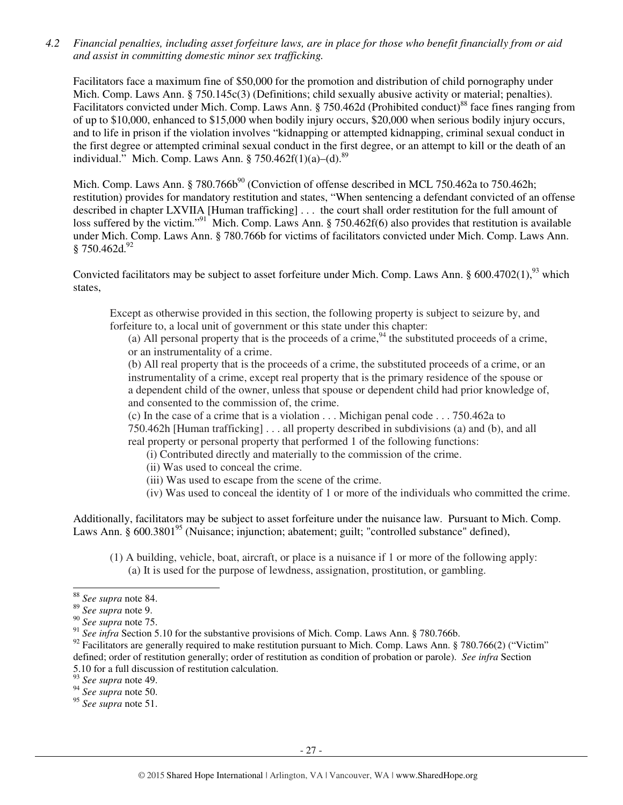*4.2 Financial penalties, including asset forfeiture laws, are in place for those who benefit financially from or aid and assist in committing domestic minor sex trafficking.* 

Facilitators face a maximum fine of \$50,000 for the promotion and distribution of child pornography under Mich. Comp. Laws Ann. § 750.145c(3) (Definitions; child sexually abusive activity or material; penalties). Facilitators convicted under Mich. Comp. Laws Ann. § 750.462d (Prohibited conduct)<sup>88</sup> face fines ranging from of up to \$10,000, enhanced to \$15,000 when bodily injury occurs, \$20,000 when serious bodily injury occurs, and to life in prison if the violation involves "kidnapping or attempted kidnapping, criminal sexual conduct in the first degree or attempted criminal sexual conduct in the first degree, or an attempt to kill or the death of an individual." Mich. Comp. Laws Ann. § 750.462 $f(1)(a)$ –(d).<sup>89</sup>

Mich. Comp. Laws Ann. § 780.766b<sup>90</sup> (Conviction of offense described in MCL 750.462a to 750.462h; restitution) provides for mandatory restitution and states, "When sentencing a defendant convicted of an offense described in chapter LXVIIA [Human trafficking] . . . the court shall order restitution for the full amount of loss suffered by the victim."<sup>91</sup> Mich. Comp. Laws Ann. § 750.462f(6) also provides that restitution is available under Mich. Comp. Laws Ann. § 780.766b for victims of facilitators convicted under Mich. Comp. Laws Ann.  $§ 750.462d.<sup>92</sup>$ 

Convicted facilitators may be subject to asset forfeiture under Mich. Comp. Laws Ann. § 600.4702(1),<sup>93</sup> which states,

Except as otherwise provided in this section, the following property is subject to seizure by, and forfeiture to, a local unit of government or this state under this chapter:

(a) All personal property that is the proceeds of a crime,  $94$  the substituted proceeds of a crime, or an instrumentality of a crime.

(b) All real property that is the proceeds of a crime, the substituted proceeds of a crime, or an instrumentality of a crime, except real property that is the primary residence of the spouse or a dependent child of the owner, unless that spouse or dependent child had prior knowledge of, and consented to the commission of, the crime.

(c) In the case of a crime that is a violation . . . Michigan penal code . . . 750.462a to

750.462h [Human trafficking] . . . all property described in subdivisions (a) and (b), and all real property or personal property that performed 1 of the following functions:

- (i) Contributed directly and materially to the commission of the crime.
- (ii) Was used to conceal the crime.
- (iii) Was used to escape from the scene of the crime.
- (iv) Was used to conceal the identity of 1 or more of the individuals who committed the crime.

Additionally, facilitators may be subject to asset forfeiture under the nuisance law. Pursuant to Mich. Comp. Laws Ann.  $\S$  600.3801<sup>95</sup> (Nuisance; injunction; abatement; guilt; "controlled substance" defined),

(1) A building, vehicle, boat, aircraft, or place is a nuisance if 1 or more of the following apply: (a) It is used for the purpose of lewdness, assignation, prostitution, or gambling.

<sup>-</sup><sup>88</sup> *See supra* note 84.

<sup>89</sup> *See supra* note 9.

<sup>90</sup> *See supra* note 75.

<sup>&</sup>lt;sup>91</sup> See infra Section 5.10 for the substantive provisions of Mich. Comp. Laws Ann. § 780.766b.

 $92$  Facilitators are generally required to make restitution pursuant to Mich. Comp. Laws Ann. § 780.766(2) ("Victim" defined; order of restitution generally; order of restitution as condition of probation or parole). *See infra* Section 5.10 for a full discussion of restitution calculation.

<sup>93</sup> *See supra* note 49.

<sup>94</sup> *See supra* note 50.

<sup>95</sup> *See supra* note 51.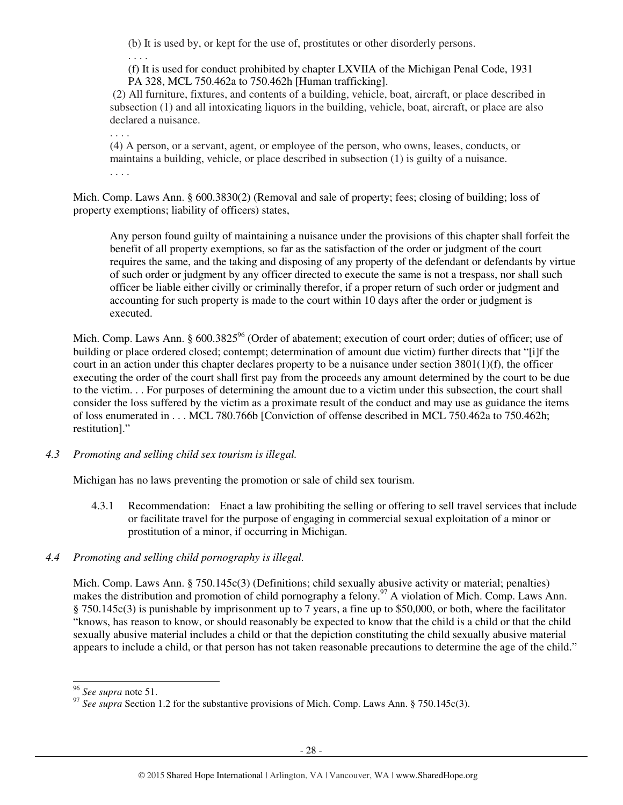(b) It is used by, or kept for the use of, prostitutes or other disorderly persons.

. . . .

(f) It is used for conduct prohibited by chapter LXVIIA of the Michigan Penal Code, 1931 PA 328, MCL 750.462a to 750.462h [Human trafficking].

 (2) All furniture, fixtures, and contents of a building, vehicle, boat, aircraft, or place described in subsection (1) and all intoxicating liquors in the building, vehicle, boat, aircraft, or place are also declared a nuisance.

. . . .

(4) A person, or a servant, agent, or employee of the person, who owns, leases, conducts, or maintains a building, vehicle, or place described in subsection (1) is guilty of a nuisance. . . . .

Mich. Comp. Laws Ann. § 600.3830(2) (Removal and sale of property; fees; closing of building; loss of property exemptions; liability of officers) states,

Any person found guilty of maintaining a nuisance under the provisions of this chapter shall forfeit the benefit of all property exemptions, so far as the satisfaction of the order or judgment of the court requires the same, and the taking and disposing of any property of the defendant or defendants by virtue of such order or judgment by any officer directed to execute the same is not a trespass, nor shall such officer be liable either civilly or criminally therefor, if a proper return of such order or judgment and accounting for such property is made to the court within 10 days after the order or judgment is executed.

Mich. Comp. Laws Ann. § 600.3825<sup>%</sup> (Order of abatement; execution of court order; duties of officer; use of building or place ordered closed; contempt; determination of amount due victim) further directs that "[i]f the court in an action under this chapter declares property to be a nuisance under section  $3801(1)(f)$ , the officer executing the order of the court shall first pay from the proceeds any amount determined by the court to be due to the victim. . . For purposes of determining the amount due to a victim under this subsection, the court shall consider the loss suffered by the victim as a proximate result of the conduct and may use as guidance the items of loss enumerated in . . . MCL 780.766b [Conviction of offense described in MCL 750.462a to 750.462h; restitution]."

*4.3 Promoting and selling child sex tourism is illegal.* 

Michigan has no laws preventing the promotion or sale of child sex tourism.

4.3.1 Recommendation: Enact a law prohibiting the selling or offering to sell travel services that include or facilitate travel for the purpose of engaging in commercial sexual exploitation of a minor or prostitution of a minor, if occurring in Michigan.

# *4.4 Promoting and selling child pornography is illegal.*

Mich. Comp. Laws Ann. § 750.145c(3) (Definitions; child sexually abusive activity or material; penalties) makes the distribution and promotion of child pornography a felony.<sup>97</sup> A violation of Mich. Comp. Laws Ann. § 750.145c(3) is punishable by imprisonment up to 7 years, a fine up to \$50,000, or both, where the facilitator "knows, has reason to know, or should reasonably be expected to know that the child is a child or that the child sexually abusive material includes a child or that the depiction constituting the child sexually abusive material appears to include a child, or that person has not taken reasonable precautions to determine the age of the child."

l <sup>96</sup> *See supra* note 51.

<sup>&</sup>lt;sup>97</sup> See supra Section 1.2 for the substantive provisions of Mich. Comp. Laws Ann. § 750.145c(3).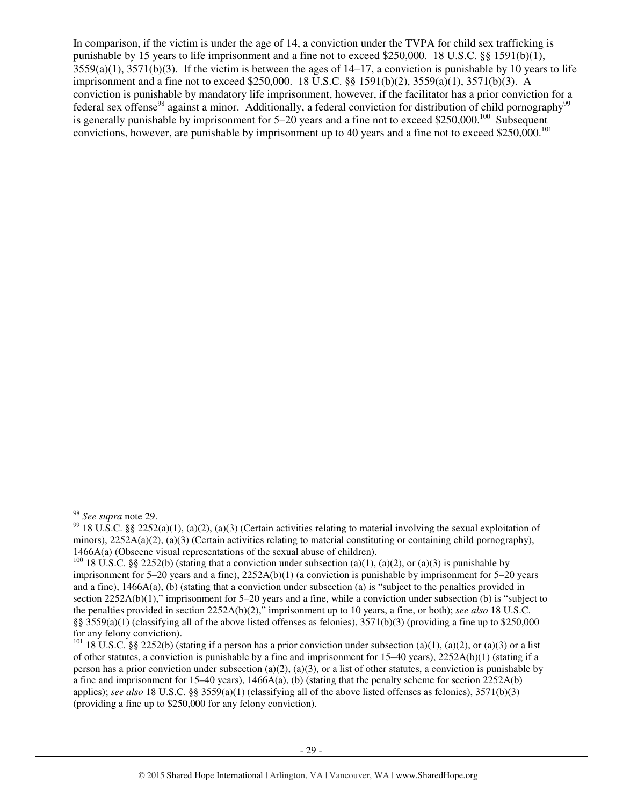In comparison, if the victim is under the age of 14, a conviction under the TVPA for child sex trafficking is punishable by 15 years to life imprisonment and a fine not to exceed \$250,000. 18 U.S.C. §§ 1591(b)(1),  $3559(a)(1)$ ,  $3571(b)(3)$ . If the victim is between the ages of  $14-17$ , a conviction is punishable by 10 years to life imprisonment and a fine not to exceed \$250,000. 18 U.S.C. §§ 1591(b)(2), 3559(a)(1), 3571(b)(3). A conviction is punishable by mandatory life imprisonment, however, if the facilitator has a prior conviction for a federal sex offense<sup>98</sup> against a minor. Additionally, a federal conviction for distribution of child pornography<sup>9</sup> is generally punishable by imprisonment for  $5-20$  years and a fine not to exceed \$250,000.<sup>100</sup> Subsequent convictions, however, are punishable by imprisonment up to 40 years and a fine not to exceed \$250,000.<sup>101</sup>

j <sup>98</sup> *See supra* note 29.

<sup>&</sup>lt;sup>99</sup> 18 U.S.C. §§ 2252(a)(1), (a)(2), (a)(3) (Certain activities relating to material involving the sexual exploitation of minors),  $2252A(a)(2)$ ,  $(a)(3)$  (Certain activities relating to material constituting or containing child pornography), 1466A(a) (Obscene visual representations of the sexual abuse of children).

<sup>&</sup>lt;sup>100</sup> 18 U.S.C. §§ 2252(b) (stating that a conviction under subsection (a)(1), (a)(2), or (a)(3) is punishable by imprisonment for 5–20 years and a fine), 2252A(b)(1) (a conviction is punishable by imprisonment for 5–20 years and a fine), 1466A(a), (b) (stating that a conviction under subsection (a) is "subject to the penalties provided in section 2252A(b)(1)," imprisonment for 5–20 years and a fine, while a conviction under subsection (b) is "subject to the penalties provided in section 2252A(b)(2)," imprisonment up to 10 years, a fine, or both); *see also* 18 U.S.C. §§ 3559(a)(1) (classifying all of the above listed offenses as felonies),  $3571(b)(3)$  (providing a fine up to \$250,000 for any felony conviction).

<sup>&</sup>lt;sup>101</sup> 18 U.S.C. §§ 2252(b) (stating if a person has a prior conviction under subsection (a)(1), (a)(2), or (a)(3) or a list of other statutes, a conviction is punishable by a fine and imprisonment for 15–40 years), 2252A(b)(1) (stating if a person has a prior conviction under subsection (a)(2), (a)(3), or a list of other statutes, a conviction is punishable by a fine and imprisonment for 15–40 years),  $1466A(a)$ , (b) (stating that the penalty scheme for section 2252A(b) applies); *see also* 18 U.S.C. §§ 3559(a)(1) (classifying all of the above listed offenses as felonies), 3571(b)(3) (providing a fine up to \$250,000 for any felony conviction).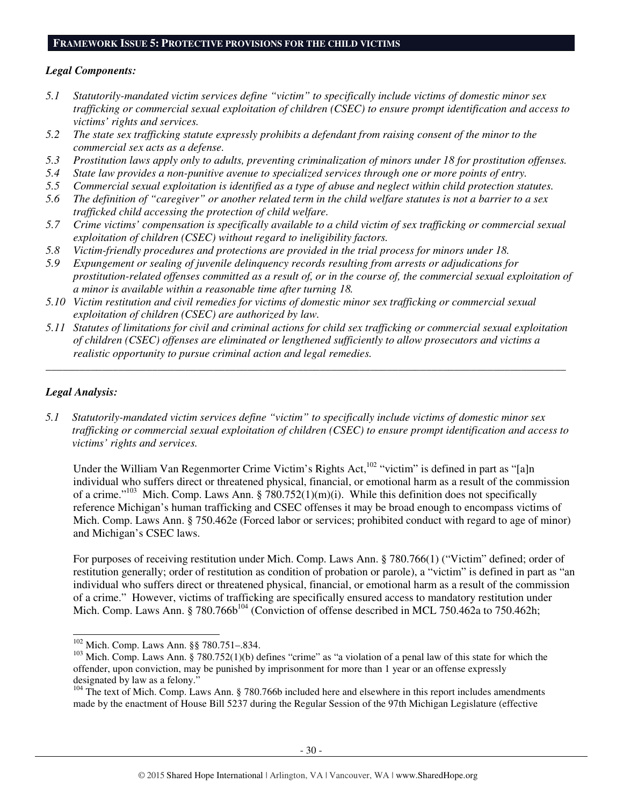#### **FRAMEWORK ISSUE 5: PROTECTIVE PROVISIONS FOR THE CHILD VICTIMS**

#### *Legal Components:*

- *5.1 Statutorily-mandated victim services define "victim" to specifically include victims of domestic minor sex trafficking or commercial sexual exploitation of children (CSEC) to ensure prompt identification and access to victims' rights and services.*
- *5.2 The state sex trafficking statute expressly prohibits a defendant from raising consent of the minor to the commercial sex acts as a defense.*
- *5.3 Prostitution laws apply only to adults, preventing criminalization of minors under 18 for prostitution offenses.*
- *5.4 State law provides a non-punitive avenue to specialized services through one or more points of entry.*
- *5.5 Commercial sexual exploitation is identified as a type of abuse and neglect within child protection statutes.*
- *5.6 The definition of "caregiver" or another related term in the child welfare statutes is not a barrier to a sex trafficked child accessing the protection of child welfare.*
- *5.7 Crime victims' compensation is specifically available to a child victim of sex trafficking or commercial sexual exploitation of children (CSEC) without regard to ineligibility factors.*
- *5.8 Victim-friendly procedures and protections are provided in the trial process for minors under 18.*
- *5.9 Expungement or sealing of juvenile delinquency records resulting from arrests or adjudications for prostitution-related offenses committed as a result of, or in the course of, the commercial sexual exploitation of a minor is available within a reasonable time after turning 18.*
- *5.10 Victim restitution and civil remedies for victims of domestic minor sex trafficking or commercial sexual exploitation of children (CSEC) are authorized by law.*
- *5.11 Statutes of limitations for civil and criminal actions for child sex trafficking or commercial sexual exploitation of children (CSEC) offenses are eliminated or lengthened sufficiently to allow prosecutors and victims a realistic opportunity to pursue criminal action and legal remedies.*

*\_\_\_\_\_\_\_\_\_\_\_\_\_\_\_\_\_\_\_\_\_\_\_\_\_\_\_\_\_\_\_\_\_\_\_\_\_\_\_\_\_\_\_\_\_\_\_\_\_\_\_\_\_\_\_\_\_\_\_\_\_\_\_\_\_\_\_\_\_\_\_\_\_\_\_\_\_\_\_\_\_\_\_\_\_\_\_\_\_\_\_\_\_* 

#### *Legal Analysis:*

l

*5.1 Statutorily-mandated victim services define "victim" to specifically include victims of domestic minor sex trafficking or commercial sexual exploitation of children (CSEC) to ensure prompt identification and access to victims' rights and services.* 

Under the William Van Regenmorter Crime Victim's Rights Act,<sup>102</sup> "victim" is defined in part as "[a]n individual who suffers direct or threatened physical, financial, or emotional harm as a result of the commission of a crime."<sup>103</sup> Mich. Comp. Laws Ann. §  $\bar{7}80.752(1)(m)(i)$ . While this definition does not specifically reference Michigan's human trafficking and CSEC offenses it may be broad enough to encompass victims of Mich. Comp. Laws Ann. § 750.462e (Forced labor or services; prohibited conduct with regard to age of minor) and Michigan's CSEC laws.

For purposes of receiving restitution under Mich. Comp. Laws Ann. § 780.766(1) ("Victim" defined; order of restitution generally; order of restitution as condition of probation or parole), a "victim" is defined in part as "an individual who suffers direct or threatened physical, financial, or emotional harm as a result of the commission of a crime." However, victims of trafficking are specifically ensured access to mandatory restitution under Mich. Comp. Laws Ann. § 780.766b<sup>104</sup> (Conviction of offense described in MCL 750.462a to 750.462h;

<sup>102</sup> Mich. Comp. Laws Ann. §§ 780.751–.834.

 $103$  Mich. Comp. Laws Ann. § 780.752(1)(b) defines "crime" as "a violation of a penal law of this state for which the offender, upon conviction, may be punished by imprisonment for more than 1 year or an offense expressly designated by law as a felony."

<sup>&</sup>lt;sup>104</sup> The text of Mich. Comp. Laws Ann. § 780.766b included here and elsewhere in this report includes amendments made by the enactment of House Bill 5237 during the Regular Session of the 97th Michigan Legislature (effective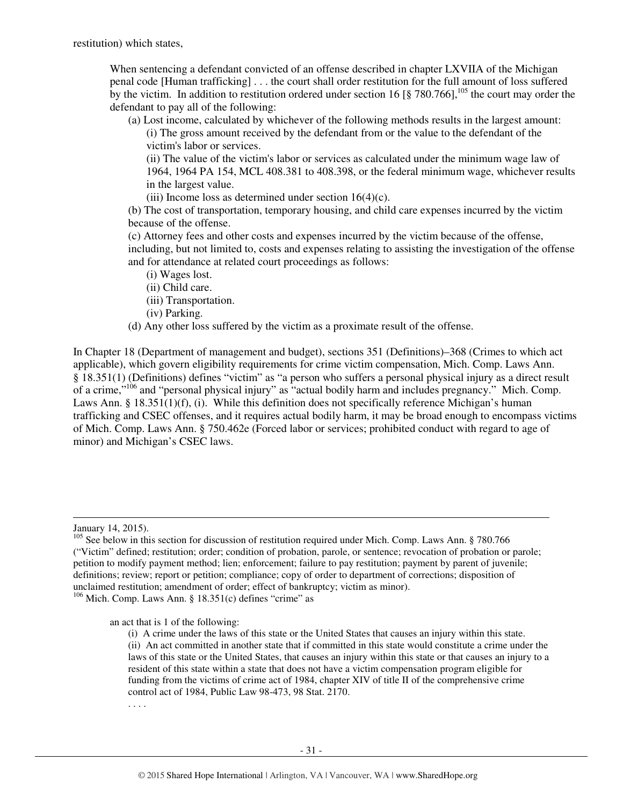When sentencing a defendant convicted of an offense described in chapter LXVIIA of the Michigan penal code [Human trafficking] . . . the court shall order restitution for the full amount of loss suffered by the victim. In addition to restitution ordered under section 16 [§ 780.766], <sup>105</sup> the court may order the defendant to pay all of the following:

(a) Lost income, calculated by whichever of the following methods results in the largest amount: (i) The gross amount received by the defendant from or the value to the defendant of the victim's labor or services.

(ii) The value of the victim's labor or services as calculated under the minimum wage law of 1964, 1964 PA 154, MCL 408.381 to 408.398, or the federal minimum wage, whichever results in the largest value.

(iii) Income loss as determined under section  $16(4)(c)$ .

(b) The cost of transportation, temporary housing, and child care expenses incurred by the victim because of the offense.

(c) Attorney fees and other costs and expenses incurred by the victim because of the offense, including, but not limited to, costs and expenses relating to assisting the investigation of the offense and for attendance at related court proceedings as follows:

(i) Wages lost.

- (ii) Child care.
- (iii) Transportation.
- (iv) Parking.

(d) Any other loss suffered by the victim as a proximate result of the offense.

In Chapter 18 (Department of management and budget), sections 351 (Definitions)–368 (Crimes to which act applicable), which govern eligibility requirements for crime victim compensation, Mich. Comp. Laws Ann. § 18.351(1) (Definitions) defines "victim" as "a person who suffers a personal physical injury as a direct result of a crime,"<sup>106</sup> and "personal physical injury" as "actual bodily harm and includes pregnancy." Mich. Comp. Laws Ann. §  $18.351(1)(f)$ , (i). While this definition does not specifically reference Michigan's human trafficking and CSEC offenses, and it requires actual bodily harm, it may be broad enough to encompass victims of Mich. Comp. Laws Ann. § 750.462e (Forced labor or services; prohibited conduct with regard to age of minor) and Michigan's CSEC laws.

-

an act that is 1 of the following:

. . . .

January 14, 2015).

<sup>&</sup>lt;sup>105</sup> See below in this section for discussion of restitution required under Mich. Comp. Laws Ann. § 780.766 ("Victim" defined; restitution; order; condition of probation, parole, or sentence; revocation of probation or parole; petition to modify payment method; lien; enforcement; failure to pay restitution; payment by parent of juvenile; definitions; review; report or petition; compliance; copy of order to department of corrections; disposition of unclaimed restitution; amendment of order; effect of bankruptcy; victim as minor).  $106$  Mich. Comp. Laws Ann. § 18.351(c) defines "crime" as

<sup>(</sup>i) A crime under the laws of this state or the United States that causes an injury within this state. (ii) An act committed in another state that if committed in this state would constitute a crime under the laws of this state or the United States, that causes an injury within this state or that causes an injury to a resident of this state within a state that does not have a victim compensation program eligible for funding from the victims of crime act of 1984, chapter XIV of title II of the comprehensive crime control act of 1984, Public Law 98-473, 98 Stat. 2170.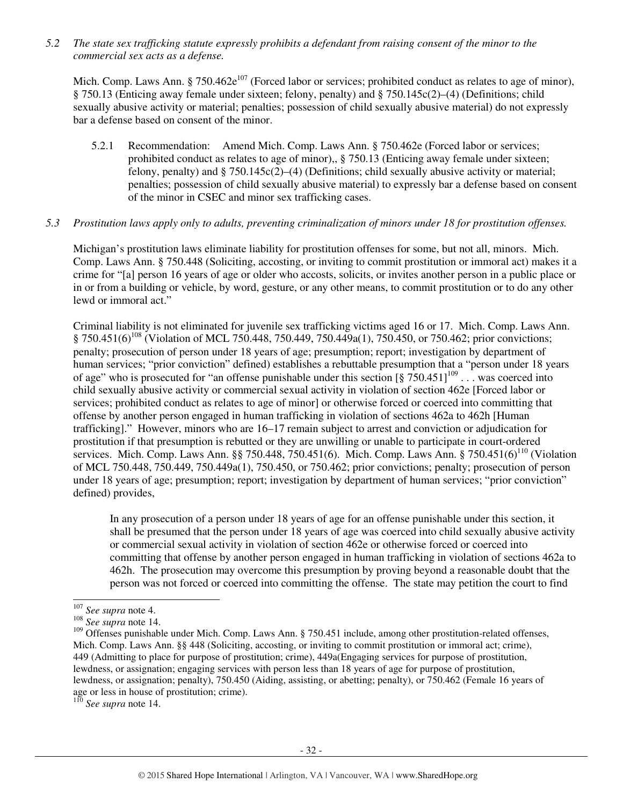*5.2 The state sex trafficking statute expressly prohibits a defendant from raising consent of the minor to the commercial sex acts as a defense.* 

Mich. Comp. Laws Ann. § 750.462 $e^{107}$  (Forced labor or services; prohibited conduct as relates to age of minor), § 750.13 (Enticing away female under sixteen; felony, penalty) and § 750.145c(2)–(4) (Definitions; child sexually abusive activity or material; penalties; possession of child sexually abusive material) do not expressly bar a defense based on consent of the minor.

5.2.1 Recommendation: Amend Mich. Comp. Laws Ann. § 750.462e (Forced labor or services; prohibited conduct as relates to age of minor),, § 750.13 (Enticing away female under sixteen; felony, penalty) and  $\S 750.145c(2)$ –(4) (Definitions; child sexually abusive activity or material; penalties; possession of child sexually abusive material) to expressly bar a defense based on consent of the minor in CSEC and minor sex trafficking cases.

## *5.3 Prostitution laws apply only to adults, preventing criminalization of minors under 18 for prostitution offenses.*

Michigan's prostitution laws eliminate liability for prostitution offenses for some, but not all, minors. Mich. Comp. Laws Ann. § 750.448 (Soliciting, accosting, or inviting to commit prostitution or immoral act) makes it a crime for "[a] person 16 years of age or older who accosts, solicits, or invites another person in a public place or in or from a building or vehicle, by word, gesture, or any other means, to commit prostitution or to do any other lewd or immoral act."

Criminal liability is not eliminated for juvenile sex trafficking victims aged 16 or 17. Mich. Comp. Laws Ann. § 750.451(6)<sup>108</sup> (Violation of MCL 750.448, 750.449, 750.449a(1), 750.450, or 750.462; prior convictions; penalty; prosecution of person under 18 years of age; presumption; report; investigation by department of human services; "prior conviction" defined) establishes a rebuttable presumption that a "person under 18 years of age" who is prosecuted for "an offense punishable under this section  $\left[\frac{8}{50.451}\right]^{109}$ ... was coerced into child sexually abusive activity or commercial sexual activity in violation of section 462e [Forced labor or services; prohibited conduct as relates to age of minor] or otherwise forced or coerced into committing that offense by another person engaged in human trafficking in violation of sections 462a to 462h [Human trafficking]." However, minors who are 16–17 remain subject to arrest and conviction or adjudication for prostitution if that presumption is rebutted or they are unwilling or unable to participate in court-ordered services. Mich. Comp. Laws Ann. §§ 750.448, 750.451(6). Mich. Comp. Laws Ann. § 750.451(6)<sup>110</sup> (Violation of MCL 750.448, 750.449, 750.449a(1), 750.450, or 750.462; prior convictions; penalty; prosecution of person under 18 years of age; presumption; report; investigation by department of human services; "prior conviction" defined) provides,

In any prosecution of a person under 18 years of age for an offense punishable under this section, it shall be presumed that the person under 18 years of age was coerced into child sexually abusive activity or commercial sexual activity in violation of section 462e or otherwise forced or coerced into committing that offense by another person engaged in human trafficking in violation of sections 462a to 462h. The prosecution may overcome this presumption by proving beyond a reasonable doubt that the person was not forced or coerced into committing the offense. The state may petition the court to find

l

<sup>110</sup> *See supra* note 14.

<sup>107</sup> *See supra* note 4.

<sup>&</sup>lt;sup>108</sup> *See supra* note 14.

<sup>&</sup>lt;sup>109</sup> Offenses punishable under Mich. Comp. Laws Ann. § 750.451 include, among other prostitution-related offenses, Mich. Comp. Laws Ann. §§ 448 (Soliciting, accosting, or inviting to commit prostitution or immoral act; crime), 449 (Admitting to place for purpose of prostitution; crime), 449a(Engaging services for purpose of prostitution, lewdness, or assignation; engaging services with person less than 18 years of age for purpose of prostitution, lewdness, or assignation; penalty), 750.450 (Aiding, assisting, or abetting; penalty), or 750.462 (Female 16 years of age or less in house of prostitution; crime).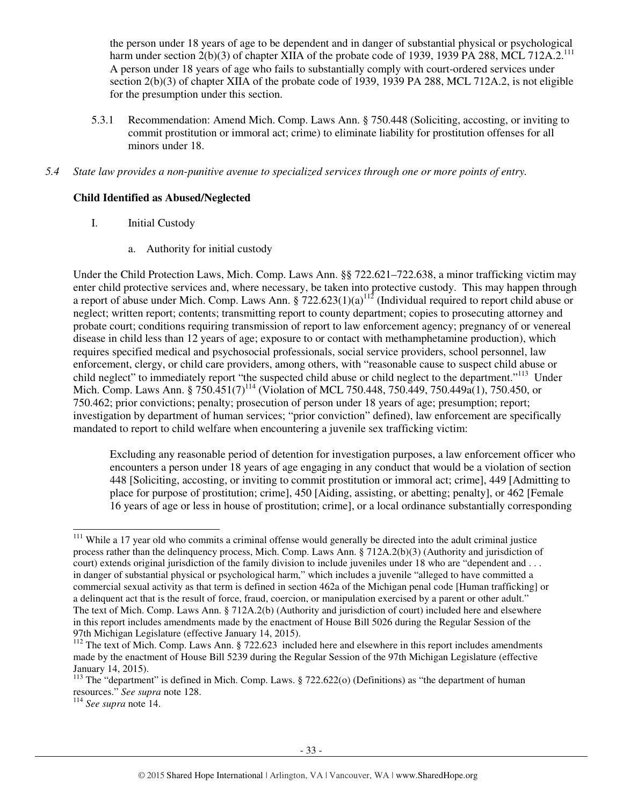the person under 18 years of age to be dependent and in danger of substantial physical or psychological harm under section 2(b)(3) of chapter XIIA of the probate code of 1939, 1939 PA 288, MCL 712A.2.<sup>111</sup> A person under 18 years of age who fails to substantially comply with court-ordered services under section 2(b)(3) of chapter XIIA of the probate code of 1939, 1939 PA 288, MCL 712A.2, is not eligible for the presumption under this section.

- 5.3.1 Recommendation: Amend Mich. Comp. Laws Ann. § 750.448 (Soliciting, accosting, or inviting to commit prostitution or immoral act; crime) to eliminate liability for prostitution offenses for all minors under 18.
- *5.4 State law provides a non-punitive avenue to specialized services through one or more points of entry.*

## **Child Identified as Abused/Neglected**

- I. Initial Custody
	- a. Authority for initial custody

Under the Child Protection Laws, Mich. Comp. Laws Ann. §§ 722.621–722.638, a minor trafficking victim may enter child protective services and, where necessary, be taken into protective custody. This may happen through a report of abuse under Mich. Comp. Laws Ann.  $\frac{5}{2}$  722.623(1)(a)<sup>112</sup> (Individual required to report child abuse or neglect; written report; contents; transmitting report to county department; copies to prosecuting attorney and probate court; conditions requiring transmission of report to law enforcement agency; pregnancy of or venereal disease in child less than 12 years of age; exposure to or contact with methamphetamine production), which requires specified medical and psychosocial professionals, social service providers, school personnel, law enforcement, clergy, or child care providers, among others, with "reasonable cause to suspect child abuse or child neglect" to immediately report "the suspected child abuse or child neglect to the department."<sup>113</sup> Under Mich. Comp. Laws Ann. § 750.451(7)<sup>114</sup> (Violation of MCL 750.448, 750.449, 750.449a(1), 750.450, or 750.462; prior convictions; penalty; prosecution of person under 18 years of age; presumption; report; investigation by department of human services; "prior conviction" defined), law enforcement are specifically mandated to report to child welfare when encountering a juvenile sex trafficking victim:

Excluding any reasonable period of detention for investigation purposes, a law enforcement officer who encounters a person under 18 years of age engaging in any conduct that would be a violation of section 448 [Soliciting, accosting, or inviting to commit prostitution or immoral act; crime], 449 [Admitting to place for purpose of prostitution; crime], 450 [Aiding, assisting, or abetting; penalty], or 462 [Female 16 years of age or less in house of prostitution; crime], or a local ordinance substantially corresponding

l  $111$  While a 17 year old who commits a criminal offense would generally be directed into the adult criminal justice process rather than the delinquency process, Mich. Comp. Laws Ann. § 712A.2(b)(3) (Authority and jurisdiction of court) extends original jurisdiction of the family division to include juveniles under 18 who are "dependent and ... in danger of substantial physical or psychological harm," which includes a juvenile "alleged to have committed a commercial sexual activity as that term is defined in section 462a of the Michigan penal code [Human trafficking] or a delinquent act that is the result of force, fraud, coercion, or manipulation exercised by a parent or other adult." The text of Mich. Comp. Laws Ann. § 712A.2(b) (Authority and jurisdiction of court) included here and elsewhere in this report includes amendments made by the enactment of House Bill 5026 during the Regular Session of the 97th Michigan Legislature (effective January 14, 2015).

<sup>&</sup>lt;sup>112</sup> The text of Mich. Comp. Laws Ann. § 722.623 included here and elsewhere in this report includes amendments made by the enactment of House Bill 5239 during the Regular Session of the 97th Michigan Legislature (effective January 14, 2015).

<sup>&</sup>lt;sup>113</sup> The "department" is defined in Mich. Comp. Laws. § 722.622(o) (Definitions) as "the department of human resources." *See supra* note 128.

<sup>114</sup> *See supra* note 14.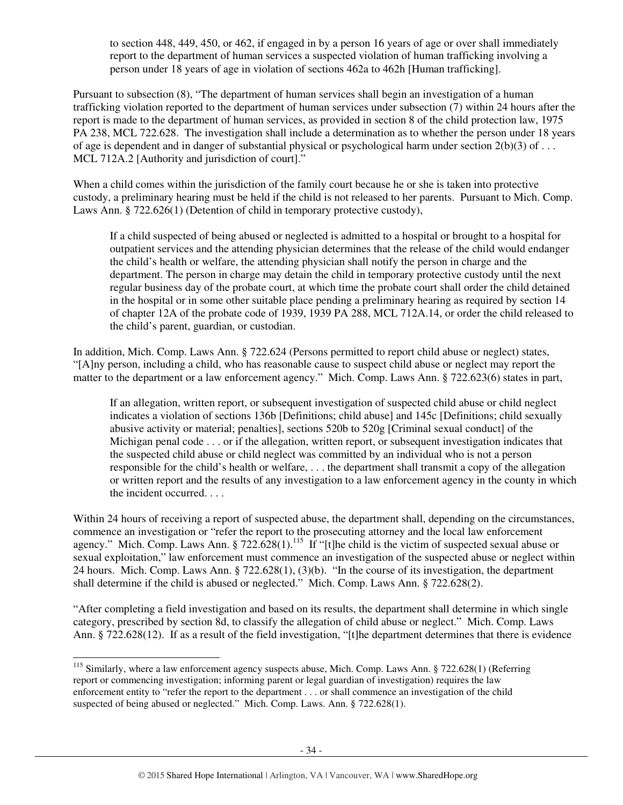to section 448, 449, 450, or 462, if engaged in by a person 16 years of age or over shall immediately report to the department of human services a suspected violation of human trafficking involving a person under 18 years of age in violation of sections 462a to 462h [Human trafficking].

Pursuant to subsection (8), "The department of human services shall begin an investigation of a human trafficking violation reported to the department of human services under subsection (7) within 24 hours after the report is made to the department of human services, as provided in section 8 of the child protection law, 1975 PA 238, MCL 722.628. The investigation shall include a determination as to whether the person under 18 years of age is dependent and in danger of substantial physical or psychological harm under section 2(b)(3) of . . . MCL 712A.2 [Authority and jurisdiction of court]."

When a child comes within the jurisdiction of the family court because he or she is taken into protective custody, a preliminary hearing must be held if the child is not released to her parents. Pursuant to Mich. Comp. Laws Ann. § 722.626(1) (Detention of child in temporary protective custody),

If a child suspected of being abused or neglected is admitted to a hospital or brought to a hospital for outpatient services and the attending physician determines that the release of the child would endanger the child's health or welfare, the attending physician shall notify the person in charge and the department. The person in charge may detain the child in temporary protective custody until the next regular business day of the probate court, at which time the probate court shall order the child detained in the hospital or in some other suitable place pending a preliminary hearing as required by section 14 of chapter 12A of the probate code of 1939, 1939 PA 288, MCL 712A.14, or order the child released to the child's parent, guardian, or custodian.

In addition, Mich. Comp. Laws Ann. § 722.624 (Persons permitted to report child abuse or neglect) states, "[A]ny person, including a child, who has reasonable cause to suspect child abuse or neglect may report the matter to the department or a law enforcement agency." Mich. Comp. Laws Ann. § 722.623(6) states in part,

If an allegation, written report, or subsequent investigation of suspected child abuse or child neglect indicates a violation of sections 136b [Definitions; child abuse] and 145c [Definitions; child sexually abusive activity or material; penalties], sections 520b to 520g [Criminal sexual conduct] of the Michigan penal code . . . or if the allegation, written report, or subsequent investigation indicates that the suspected child abuse or child neglect was committed by an individual who is not a person responsible for the child's health or welfare, . . . the department shall transmit a copy of the allegation or written report and the results of any investigation to a law enforcement agency in the county in which the incident occurred. . . .

Within 24 hours of receiving a report of suspected abuse, the department shall, depending on the circumstances, commence an investigation or "refer the report to the prosecuting attorney and the local law enforcement agency." Mich. Comp. Laws Ann. § 722.628(1).<sup>115</sup> If "[t]he child is the victim of suspected sexual abuse or sexual exploitation," law enforcement must commence an investigation of the suspected abuse or neglect within 24 hours. Mich. Comp. Laws Ann. § 722.628(1), (3)(b). "In the course of its investigation, the department shall determine if the child is abused or neglected." Mich. Comp. Laws Ann. § 722.628(2).

"After completing a field investigation and based on its results, the department shall determine in which single category, prescribed by section 8d, to classify the allegation of child abuse or neglect." Mich. Comp. Laws Ann. § 722.628(12). If as a result of the field investigation, "[t]he department determines that there is evidence

<sup>-</sup><sup>115</sup> Similarly, where a law enforcement agency suspects abuse, Mich. Comp. Laws Ann. § 722.628(1) (Referring report or commencing investigation; informing parent or legal guardian of investigation) requires the law enforcement entity to "refer the report to the department . . . or shall commence an investigation of the child suspected of being abused or neglected." Mich. Comp. Laws. Ann. § 722.628(1).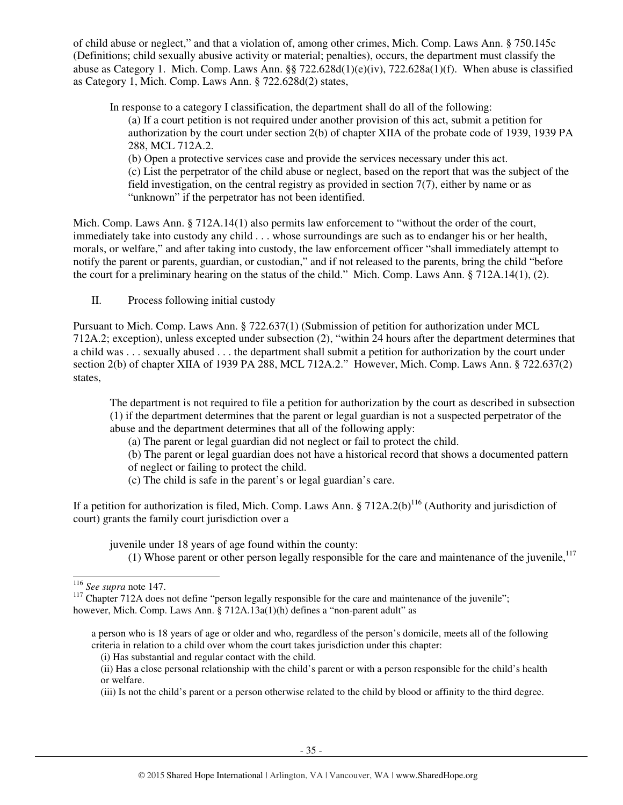of child abuse or neglect," and that a violation of, among other crimes, Mich. Comp. Laws Ann. § 750.145c (Definitions; child sexually abusive activity or material; penalties), occurs, the department must classify the abuse as Category 1. Mich. Comp. Laws Ann. §§ 722.628d(1)(e)(iv), 722.628a(1)(f). When abuse is classified as Category 1, Mich. Comp. Laws Ann. § 722.628d(2) states,

In response to a category I classification, the department shall do all of the following: (a) If a court petition is not required under another provision of this act, submit a petition for authorization by the court under section 2(b) of chapter XIIA of the probate code of 1939, 1939 PA 288, MCL 712A.2. (b) Open a protective services case and provide the services necessary under this act.

(c) List the perpetrator of the child abuse or neglect, based on the report that was the subject of the field investigation, on the central registry as provided in section  $7(7)$ , either by name or as "unknown" if the perpetrator has not been identified.

Mich. Comp. Laws Ann. § 712A.14(1) also permits law enforcement to "without the order of the court, immediately take into custody any child . . . whose surroundings are such as to endanger his or her health, morals, or welfare," and after taking into custody, the law enforcement officer "shall immediately attempt to notify the parent or parents, guardian, or custodian," and if not released to the parents, bring the child "before the court for a preliminary hearing on the status of the child." Mich. Comp. Laws Ann. § 712A.14(1), (2).

II. Process following initial custody

Pursuant to Mich. Comp. Laws Ann. § 722.637(1) (Submission of petition for authorization under MCL 712A.2; exception), unless excepted under subsection (2), "within 24 hours after the department determines that a child was . . . sexually abused . . . the department shall submit a petition for authorization by the court under section 2(b) of chapter XIIA of 1939 PA 288, MCL 712A.2." However, Mich. Comp. Laws Ann. § 722.637(2) states,

The department is not required to file a petition for authorization by the court as described in subsection (1) if the department determines that the parent or legal guardian is not a suspected perpetrator of the abuse and the department determines that all of the following apply:

- (a) The parent or legal guardian did not neglect or fail to protect the child.
- (b) The parent or legal guardian does not have a historical record that shows a documented pattern
- of neglect or failing to protect the child.
- (c) The child is safe in the parent's or legal guardian's care.

If a petition for authorization is filed, Mich. Comp. Laws Ann. § 712A.2(b)<sup>116</sup> (Authority and jurisdiction of court) grants the family court jurisdiction over a

juvenile under 18 years of age found within the county:

(1) Whose parent or other person legally responsible for the care and maintenance of the juvenile, $117$ 

j <sup>116</sup> *See supra* note 147.

<sup>&</sup>lt;sup>117</sup> Chapter 712A does not define "person legally responsible for the care and maintenance of the juvenile"; however, Mich. Comp. Laws Ann. § 712A.13a(1)(h) defines a "non-parent adult" as

a person who is 18 years of age or older and who, regardless of the person's domicile, meets all of the following criteria in relation to a child over whom the court takes jurisdiction under this chapter:

<sup>(</sup>i) Has substantial and regular contact with the child.

<sup>(</sup>ii) Has a close personal relationship with the child's parent or with a person responsible for the child's health or welfare.

<sup>(</sup>iii) Is not the child's parent or a person otherwise related to the child by blood or affinity to the third degree.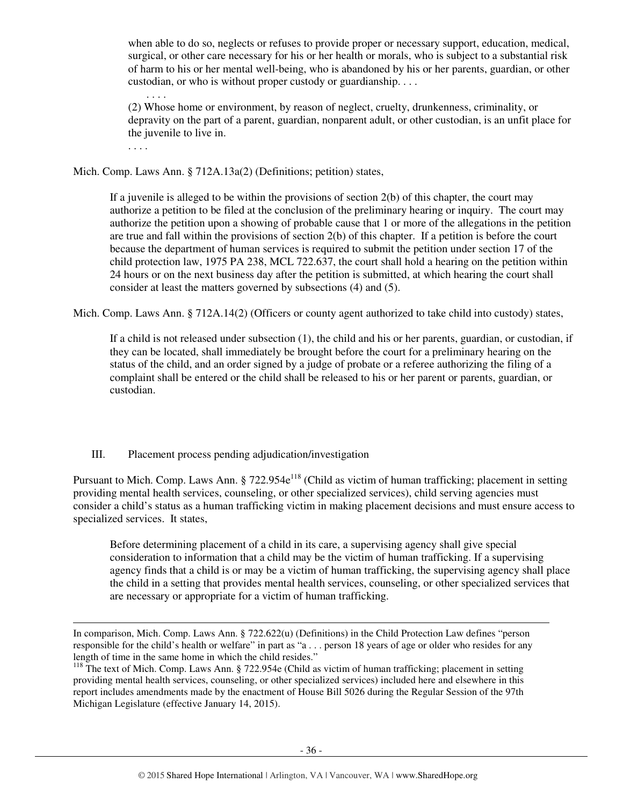when able to do so, neglects or refuses to provide proper or necessary support, education, medical, surgical, or other care necessary for his or her health or morals, who is subject to a substantial risk of harm to his or her mental well-being, who is abandoned by his or her parents, guardian, or other custodian, or who is without proper custody or guardianship. . . .

(2) Whose home or environment, by reason of neglect, cruelty, drunkenness, criminality, or depravity on the part of a parent, guardian, nonparent adult, or other custodian, is an unfit place for the juvenile to live in.

. . . .

-

Mich. Comp. Laws Ann. § 712A.13a(2) (Definitions; petition) states,

If a juvenile is alleged to be within the provisions of section 2(b) of this chapter, the court may authorize a petition to be filed at the conclusion of the preliminary hearing or inquiry. The court may authorize the petition upon a showing of probable cause that 1 or more of the allegations in the petition are true and fall within the provisions of section 2(b) of this chapter. If a petition is before the court because the department of human services is required to submit the petition under section 17 of the child protection law, 1975 PA 238, MCL 722.637, the court shall hold a hearing on the petition within 24 hours or on the next business day after the petition is submitted, at which hearing the court shall consider at least the matters governed by subsections (4) and (5).

Mich. Comp. Laws Ann. § 712A.14(2) (Officers or county agent authorized to take child into custody) states,

If a child is not released under subsection (1), the child and his or her parents, guardian, or custodian, if they can be located, shall immediately be brought before the court for a preliminary hearing on the status of the child, and an order signed by a judge of probate or a referee authorizing the filing of a complaint shall be entered or the child shall be released to his or her parent or parents, guardian, or custodian.

## III. Placement process pending adjudication/investigation

Pursuant to Mich. Comp. Laws Ann. § 722.954e<sup>118</sup> (Child as victim of human trafficking; placement in setting providing mental health services, counseling, or other specialized services), child serving agencies must consider a child's status as a human trafficking victim in making placement decisions and must ensure access to specialized services. It states,

Before determining placement of a child in its care, a supervising agency shall give special consideration to information that a child may be the victim of human trafficking. If a supervising agency finds that a child is or may be a victim of human trafficking, the supervising agency shall place the child in a setting that provides mental health services, counseling, or other specialized services that are necessary or appropriate for a victim of human trafficking.

In comparison, Mich. Comp. Laws Ann. § 722.622(u) (Definitions) in the Child Protection Law defines "person responsible for the child's health or welfare" in part as "a . . . person 18 years of age or older who resides for any length of time in the same home in which the child resides."

<sup>&</sup>lt;sup>118</sup> The text of Mich. Comp. Laws Ann. § 722.954e (Child as victim of human trafficking; placement in setting providing mental health services, counseling, or other specialized services) included here and elsewhere in this report includes amendments made by the enactment of House Bill 5026 during the Regular Session of the 97th Michigan Legislature (effective January 14, 2015).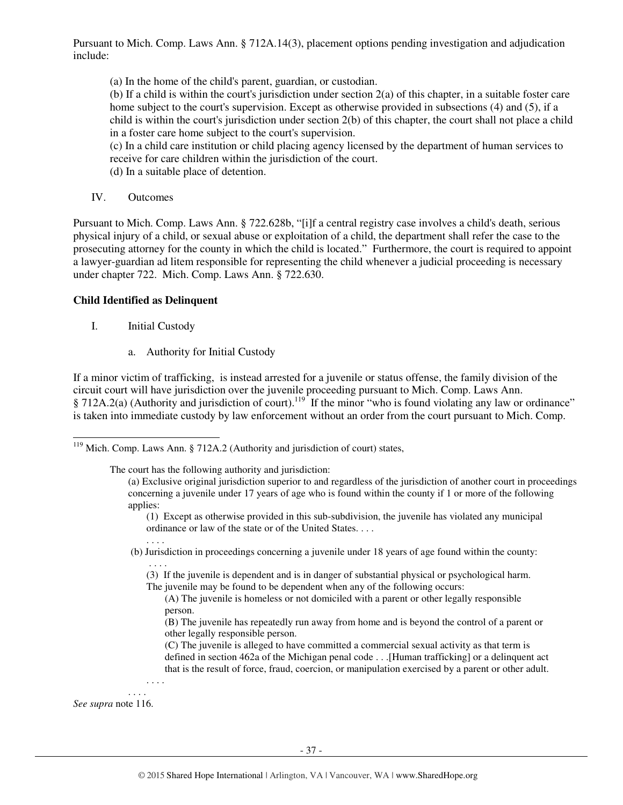Pursuant to Mich. Comp. Laws Ann. § 712A.14(3), placement options pending investigation and adjudication include:

(a) In the home of the child's parent, guardian, or custodian.

(b) If a child is within the court's jurisdiction under section 2(a) of this chapter, in a suitable foster care home subject to the court's supervision. Except as otherwise provided in subsections (4) and (5), if a child is within the court's jurisdiction under section 2(b) of this chapter, the court shall not place a child in a foster care home subject to the court's supervision.

(c) In a child care institution or child placing agency licensed by the department of human services to receive for care children within the jurisdiction of the court.

(d) In a suitable place of detention.

IV. Outcomes

Pursuant to Mich. Comp. Laws Ann. § 722.628b, "[i]f a central registry case involves a child's death, serious physical injury of a child, or sexual abuse or exploitation of a child, the department shall refer the case to the prosecuting attorney for the county in which the child is located." Furthermore, the court is required to appoint a lawyer-guardian ad litem responsible for representing the child whenever a judicial proceeding is necessary under chapter 722. Mich. Comp. Laws Ann. § 722.630.

## **Child Identified as Delinquent**

I. Initial Custody

. . . .

. . . .

. . . .

. . . .

a. Authority for Initial Custody

If a minor victim of trafficking, is instead arrested for a juvenile or status offense, the family division of the circuit court will have jurisdiction over the juvenile proceeding pursuant to Mich. Comp. Laws Ann. § 712A.2(a) (Authority and jurisdiction of court).<sup>119</sup> If the minor "who is found violating any law or ordinance" is taken into immediate custody by law enforcement without an order from the court pursuant to Mich. Comp.

The court has the following authority and jurisdiction:

- (b) Jurisdiction in proceedings concerning a juvenile under 18 years of age found within the county:
	- (3) If the juvenile is dependent and is in danger of substantial physical or psychological harm.

The juvenile may be found to be dependent when any of the following occurs:

- (A) The juvenile is homeless or not domiciled with a parent or other legally responsible person.
- (B) The juvenile has repeatedly run away from home and is beyond the control of a parent or other legally responsible person.
- (C) The juvenile is alleged to have committed a commercial sexual activity as that term is defined in section 462a of the Michigan penal code . . .[Human trafficking] or a delinquent act that is the result of force, fraud, coercion, or manipulation exercised by a parent or other adult.

*See supra* note 116.

l  $119$  Mich. Comp. Laws Ann. § 712A.2 (Authority and jurisdiction of court) states,

<sup>(</sup>a) Exclusive original jurisdiction superior to and regardless of the jurisdiction of another court in proceedings concerning a juvenile under 17 years of age who is found within the county if 1 or more of the following applies:

<sup>(1)</sup> Except as otherwise provided in this sub-subdivision, the juvenile has violated any municipal ordinance or law of the state or of the United States. . . .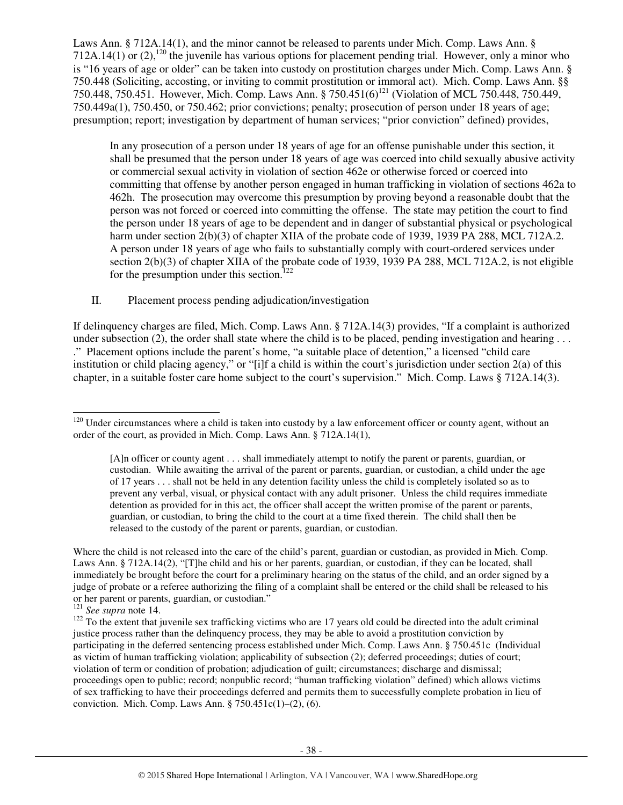Laws Ann. § 712A.14(1), and the minor cannot be released to parents under Mich. Comp. Laws Ann. § 712A.14(1) or (2),<sup>120</sup> the juvenile has various options for placement pending trial. However, only a minor who is "16 years of age or older" can be taken into custody on prostitution charges under Mich. Comp. Laws Ann. § 750.448 (Soliciting, accosting, or inviting to commit prostitution or immoral act). Mich. Comp. Laws Ann. §§ 750.448, 750.451. However, Mich. Comp. Laws Ann. § 750.451(6)<sup>121</sup> (Violation of MCL 750.448, 750.449, 750.449a(1), 750.450, or 750.462; prior convictions; penalty; prosecution of person under 18 years of age; presumption; report; investigation by department of human services; "prior conviction" defined) provides,

In any prosecution of a person under 18 years of age for an offense punishable under this section, it shall be presumed that the person under 18 years of age was coerced into child sexually abusive activity or commercial sexual activity in violation of section 462e or otherwise forced or coerced into committing that offense by another person engaged in human trafficking in violation of sections 462a to 462h. The prosecution may overcome this presumption by proving beyond a reasonable doubt that the person was not forced or coerced into committing the offense. The state may petition the court to find the person under 18 years of age to be dependent and in danger of substantial physical or psychological harm under section 2(b)(3) of chapter XIIA of the probate code of 1939, 1939 PA 288, MCL 712A.2. A person under 18 years of age who fails to substantially comply with court-ordered services under section 2(b)(3) of chapter XIIA of the probate code of 1939, 1939 PA 288, MCL 712A.2, is not eligible for the presumption under this section.<sup>122</sup>

II. Placement process pending adjudication/investigation

If delinquency charges are filed, Mich. Comp. Laws Ann. § 712A.14(3) provides, "If a complaint is authorized under subsection (2), the order shall state where the child is to be placed, pending investigation and hearing  $\dots$ ." Placement options include the parent's home, "a suitable place of detention," a licensed "child care institution or child placing agency," or "[i]f a child is within the court's jurisdiction under section 2(a) of this chapter, in a suitable foster care home subject to the court's supervision." Mich. Comp. Laws § 712A.14(3).

-

 $120$  Under circumstances where a child is taken into custody by a law enforcement officer or county agent, without an order of the court, as provided in Mich. Comp. Laws Ann. § 712A.14(1),

<sup>[</sup>A]n officer or county agent . . . shall immediately attempt to notify the parent or parents, guardian, or custodian. While awaiting the arrival of the parent or parents, guardian, or custodian, a child under the age of 17 years . . . shall not be held in any detention facility unless the child is completely isolated so as to prevent any verbal, visual, or physical contact with any adult prisoner. Unless the child requires immediate detention as provided for in this act, the officer shall accept the written promise of the parent or parents, guardian, or custodian, to bring the child to the court at a time fixed therein. The child shall then be released to the custody of the parent or parents, guardian, or custodian.

Where the child is not released into the care of the child's parent, guardian or custodian, as provided in Mich. Comp. Laws Ann. § 712A.14(2), "[T]he child and his or her parents, guardian, or custodian, if they can be located, shall immediately be brought before the court for a preliminary hearing on the status of the child, and an order signed by a judge of probate or a referee authorizing the filing of a complaint shall be entered or the child shall be released to his or her parent or parents, guardian, or custodian."

<sup>121</sup> *See supra* note 14.

 $122$  To the extent that juvenile sex trafficking victims who are 17 years old could be directed into the adult criminal justice process rather than the delinquency process, they may be able to avoid a prostitution conviction by participating in the deferred sentencing process established under Mich. Comp. Laws Ann. § 750.451c (Individual as victim of human trafficking violation; applicability of subsection (2); deferred proceedings; duties of court; violation of term or condition of probation; adjudication of guilt; circumstances; discharge and dismissal; proceedings open to public; record; nonpublic record; "human trafficking violation" defined) which allows victims of sex trafficking to have their proceedings deferred and permits them to successfully complete probation in lieu of conviction. Mich. Comp. Laws Ann.  $\S 750.451c(1)$ –(2), (6).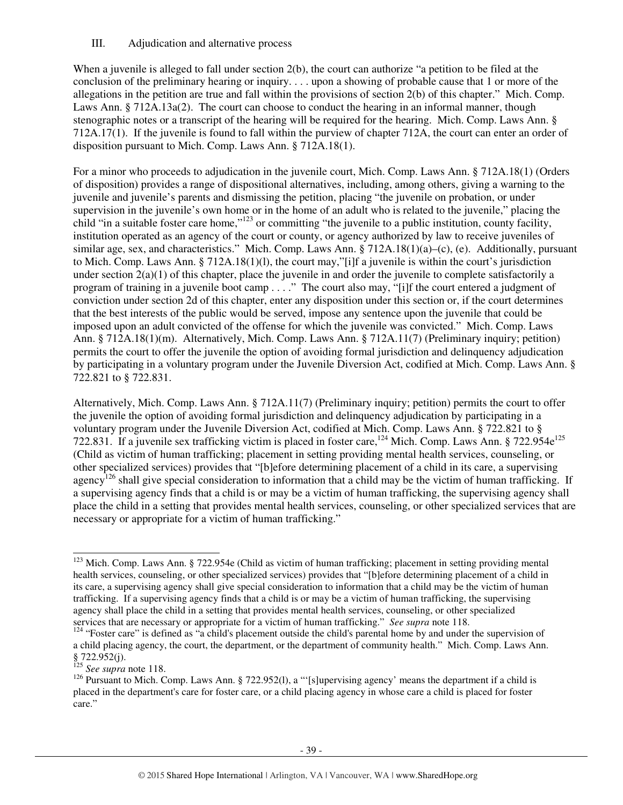## III. Adjudication and alternative process

When a juvenile is alleged to fall under section 2(b), the court can authorize "a petition to be filed at the conclusion of the preliminary hearing or inquiry. . . . upon a showing of probable cause that 1 or more of the allegations in the petition are true and fall within the provisions of section 2(b) of this chapter." Mich. Comp. Laws Ann. § 712A.13a(2). The court can choose to conduct the hearing in an informal manner, though stenographic notes or a transcript of the hearing will be required for the hearing. Mich. Comp. Laws Ann. § 712A.17(1). If the juvenile is found to fall within the purview of chapter 712A, the court can enter an order of disposition pursuant to Mich. Comp. Laws Ann. § 712A.18(1).

For a minor who proceeds to adjudication in the juvenile court, Mich. Comp. Laws Ann. § 712A.18(1) (Orders of disposition) provides a range of dispositional alternatives, including, among others, giving a warning to the juvenile and juvenile's parents and dismissing the petition, placing "the juvenile on probation, or under supervision in the juvenile's own home or in the home of an adult who is related to the juvenile," placing the child "in a suitable foster care home,"<sup>123</sup> or committing "the juvenile to a public institution, county facility, institution operated as an agency of the court or county, or agency authorized by law to receive juveniles of similar age, sex, and characteristics." Mich. Comp. Laws Ann.  $\S 712A.18(1)(a)$ –(c), (e). Additionally, pursuant to Mich. Comp. Laws Ann. § 712A.18(1)(l), the court may,"[i]f a juvenile is within the court's jurisdiction under section  $2(a)(1)$  of this chapter, place the juvenile in and order the juvenile to complete satisfactorily a program of training in a juvenile boot camp . . . ." The court also may, "[i]f the court entered a judgment of conviction under section 2d of this chapter, enter any disposition under this section or, if the court determines that the best interests of the public would be served, impose any sentence upon the juvenile that could be imposed upon an adult convicted of the offense for which the juvenile was convicted." Mich. Comp. Laws Ann. § 712A.18(1)(m). Alternatively, Mich. Comp. Laws Ann. § 712A.11(7) (Preliminary inquiry; petition) permits the court to offer the juvenile the option of avoiding formal jurisdiction and delinquency adjudication by participating in a voluntary program under the Juvenile Diversion Act, codified at Mich. Comp. Laws Ann. § 722.821 to § 722.831.

Alternatively, Mich. Comp. Laws Ann. § 712A.11(7) (Preliminary inquiry; petition) permits the court to offer the juvenile the option of avoiding formal jurisdiction and delinquency adjudication by participating in a voluntary program under the Juvenile Diversion Act, codified at Mich. Comp. Laws Ann. § 722.821 to § 722.831. If a juvenile sex trafficking victim is placed in foster care,<sup>124</sup> Mich. Comp. Laws Ann. § 722.954e<sup>125</sup> (Child as victim of human trafficking; placement in setting providing mental health services, counseling, or other specialized services) provides that "[b]efore determining placement of a child in its care, a supervising agency<sup>126</sup> shall give special consideration to information that a child may be the victim of human trafficking. If a supervising agency finds that a child is or may be a victim of human trafficking, the supervising agency shall place the child in a setting that provides mental health services, counseling, or other specialized services that are necessary or appropriate for a victim of human trafficking."

<sup>125</sup> *See supra* note 118.

-

 $123$  Mich. Comp. Laws Ann. § 722.954e (Child as victim of human trafficking; placement in setting providing mental health services, counseling, or other specialized services) provides that "[b]efore determining placement of a child in its care, a supervising agency shall give special consideration to information that a child may be the victim of human trafficking. If a supervising agency finds that a child is or may be a victim of human trafficking, the supervising agency shall place the child in a setting that provides mental health services, counseling, or other specialized services that are necessary or appropriate for a victim of human trafficking." *See supra* note 118.

<sup>&</sup>lt;sup>124</sup> "Foster care" is defined as "a child's placement outside the child's parental home by and under the supervision of a child placing agency, the court, the department, or the department of community health." Mich. Comp. Laws Ann. § 722.952(j).

<sup>&</sup>lt;sup>126</sup> Pursuant to Mich. Comp. Laws Ann. § 722.952(1), a "'[s]upervising agency' means the department if a child is placed in the department's care for foster care, or a child placing agency in whose care a child is placed for foster care."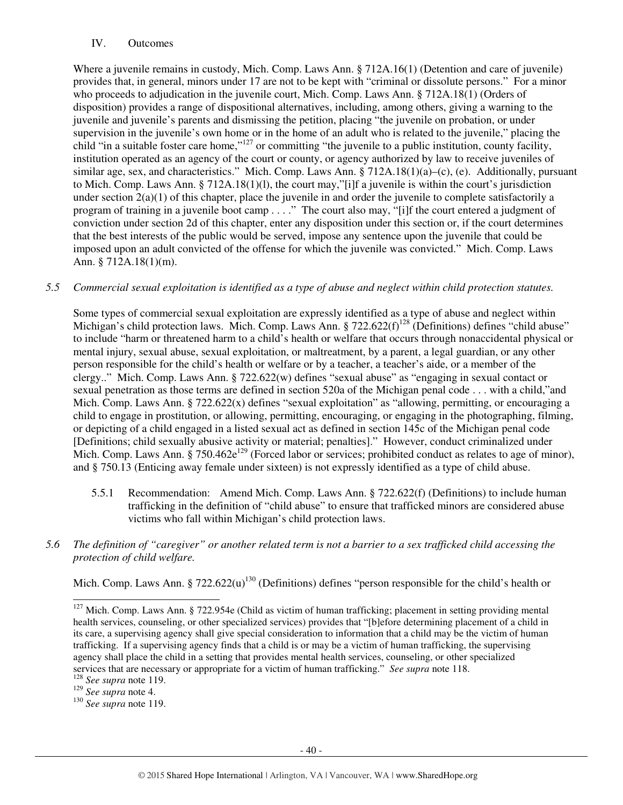## IV. Outcomes

Where a juvenile remains in custody, Mich. Comp. Laws Ann. § 712A.16(1) (Detention and care of juvenile) provides that, in general, minors under 17 are not to be kept with "criminal or dissolute persons." For a minor who proceeds to adjudication in the juvenile court, Mich. Comp. Laws Ann. § 712A.18(1) (Orders of disposition) provides a range of dispositional alternatives, including, among others, giving a warning to the juvenile and juvenile's parents and dismissing the petition, placing "the juvenile on probation, or under supervision in the juvenile's own home or in the home of an adult who is related to the juvenile," placing the child "in a suitable foster care home,"<sup>127</sup> or committing "the juvenile to a public institution, county facility, institution operated as an agency of the court or county, or agency authorized by law to receive juveniles of similar age, sex, and characteristics." Mich. Comp. Laws Ann. § 712A.18(1)(a)–(c), (e). Additionally, pursuant to Mich. Comp. Laws Ann. § 712A.18(1)(l), the court may,"[i]f a juvenile is within the court's jurisdiction under section  $2(a)(1)$  of this chapter, place the juvenile in and order the juvenile to complete satisfactorily a program of training in a juvenile boot camp . . . ." The court also may, "[i]f the court entered a judgment of conviction under section 2d of this chapter, enter any disposition under this section or, if the court determines that the best interests of the public would be served, impose any sentence upon the juvenile that could be imposed upon an adult convicted of the offense for which the juvenile was convicted." Mich. Comp. Laws Ann. § 712A.18(1)(m).

## *5.5 Commercial sexual exploitation is identified as a type of abuse and neglect within child protection statutes.*

Some types of commercial sexual exploitation are expressly identified as a type of abuse and neglect within Michigan's child protection laws. Mich. Comp. Laws Ann.  $\S 722.622(f)^{128}$  (Definitions) defines "child abuse" to include "harm or threatened harm to a child's health or welfare that occurs through nonaccidental physical or mental injury, sexual abuse, sexual exploitation, or maltreatment, by a parent, a legal guardian, or any other person responsible for the child's health or welfare or by a teacher, a teacher's aide, or a member of the clergy.." Mich. Comp. Laws Ann. § 722.622(w) defines "sexual abuse" as "engaging in sexual contact or sexual penetration as those terms are defined in section 520a of the Michigan penal code . . . with a child,"and Mich. Comp. Laws Ann. § 722.622(x) defines "sexual exploitation" as "allowing, permitting, or encouraging a child to engage in prostitution, or allowing, permitting, encouraging, or engaging in the photographing, filming, or depicting of a child engaged in a listed sexual act as defined in section 145c of the Michigan penal code [Definitions; child sexually abusive activity or material; penalties]." However, conduct criminalized under Mich. Comp. Laws Ann.  $\zeta$  750.462e<sup>129</sup> (Forced labor or services; prohibited conduct as relates to age of minor), and § 750.13 (Enticing away female under sixteen) is not expressly identified as a type of child abuse.

- 5.5.1 Recommendation: Amend Mich. Comp. Laws Ann. § 722.622(f) (Definitions) to include human trafficking in the definition of "child abuse" to ensure that trafficked minors are considered abuse victims who fall within Michigan's child protection laws.
- *5.6 The definition of "caregiver" or another related term is not a barrier to a sex trafficked child accessing the protection of child welfare.*

Mich. Comp. Laws Ann. § 722.622 $(u)$ <sup>130</sup> (Definitions) defines "person responsible for the child's health or

l

 $127$  Mich. Comp. Laws Ann. § 722.954e (Child as victim of human trafficking; placement in setting providing mental health services, counseling, or other specialized services) provides that "[b]efore determining placement of a child in its care, a supervising agency shall give special consideration to information that a child may be the victim of human trafficking. If a supervising agency finds that a child is or may be a victim of human trafficking, the supervising agency shall place the child in a setting that provides mental health services, counseling, or other specialized services that are necessary or appropriate for a victim of human trafficking." *See supra* note 118.

<sup>128</sup> *See supra* note 119.

<sup>129</sup> *See supra* note 4.

<sup>130</sup> *See supra* note 119.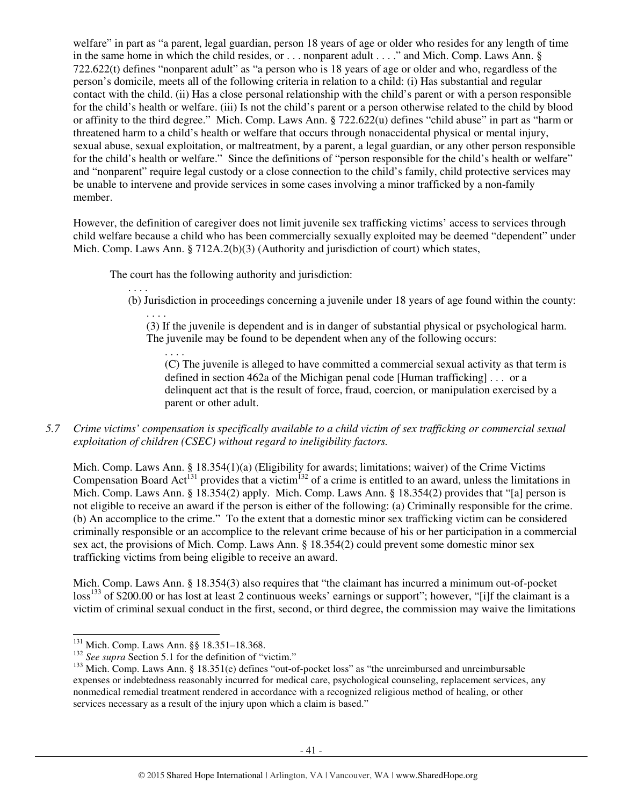welfare" in part as "a parent, legal guardian, person 18 years of age or older who resides for any length of time in the same home in which the child resides, or . . . nonparent adult . . . ." and Mich. Comp. Laws Ann. § 722.622(t) defines "nonparent adult" as "a person who is 18 years of age or older and who, regardless of the person's domicile, meets all of the following criteria in relation to a child: (i) Has substantial and regular contact with the child. (ii) Has a close personal relationship with the child's parent or with a person responsible for the child's health or welfare. (iii) Is not the child's parent or a person otherwise related to the child by blood or affinity to the third degree." Mich. Comp. Laws Ann. § 722.622(u) defines "child abuse" in part as "harm or threatened harm to a child's health or welfare that occurs through nonaccidental physical or mental injury, sexual abuse, sexual exploitation, or maltreatment, by a parent, a legal guardian, or any other person responsible for the child's health or welfare." Since the definitions of "person responsible for the child's health or welfare" and "nonparent" require legal custody or a close connection to the child's family, child protective services may be unable to intervene and provide services in some cases involving a minor trafficked by a non-family member.

However, the definition of caregiver does not limit juvenile sex trafficking victims' access to services through child welfare because a child who has been commercially sexually exploited may be deemed "dependent" under Mich. Comp. Laws Ann.  $\S 712A.2(b)(3)$  (Authority and jurisdiction of court) which states,

The court has the following authority and jurisdiction:

. . . .

(b) Jurisdiction in proceedings concerning a juvenile under 18 years of age found within the county:

. . . . (3) If the juvenile is dependent and is in danger of substantial physical or psychological harm. The juvenile may be found to be dependent when any of the following occurs:

. . . . (C) The juvenile is alleged to have committed a commercial sexual activity as that term is defined in section 462a of the Michigan penal code [Human trafficking] . . . or a delinquent act that is the result of force, fraud, coercion, or manipulation exercised by a parent or other adult.

# *5.7 Crime victims' compensation is specifically available to a child victim of sex trafficking or commercial sexual exploitation of children (CSEC) without regard to ineligibility factors.*

Mich. Comp. Laws Ann. § 18.354(1)(a) (Eligibility for awards; limitations; waiver) of the Crime Victims Compensation Board Act<sup>131</sup> provides that a victim<sup>132</sup> of a crime is entitled to an award, unless the limitations in Mich. Comp. Laws Ann. § 18.354(2) apply. Mich. Comp. Laws Ann. § 18.354(2) provides that "[a] person is not eligible to receive an award if the person is either of the following: (a) Criminally responsible for the crime. (b) An accomplice to the crime." To the extent that a domestic minor sex trafficking victim can be considered criminally responsible or an accomplice to the relevant crime because of his or her participation in a commercial sex act, the provisions of Mich. Comp. Laws Ann. § 18.354(2) could prevent some domestic minor sex trafficking victims from being eligible to receive an award.

Mich. Comp. Laws Ann. § 18.354(3) also requires that "the claimant has incurred a minimum out-of-pocket loss<sup>133</sup> of \$200.00 or has lost at least 2 continuous weeks' earnings or support"; however, "[i]f the claimant is a victim of criminal sexual conduct in the first, second, or third degree, the commission may waive the limitations

l

<sup>&</sup>lt;sup>131</sup> Mich. Comp. Laws Ann. §§ 18.351-18.368.

<sup>&</sup>lt;sup>132</sup> *See supra* Section 5.1 for the definition of "victim."

<sup>&</sup>lt;sup>133</sup> Mich. Comp. Laws Ann. § 18.351(e) defines "out-of-pocket loss" as "the unreimbursed and unreimbursable expenses or indebtedness reasonably incurred for medical care, psychological counseling, replacement services, any nonmedical remedial treatment rendered in accordance with a recognized religious method of healing, or other services necessary as a result of the injury upon which a claim is based."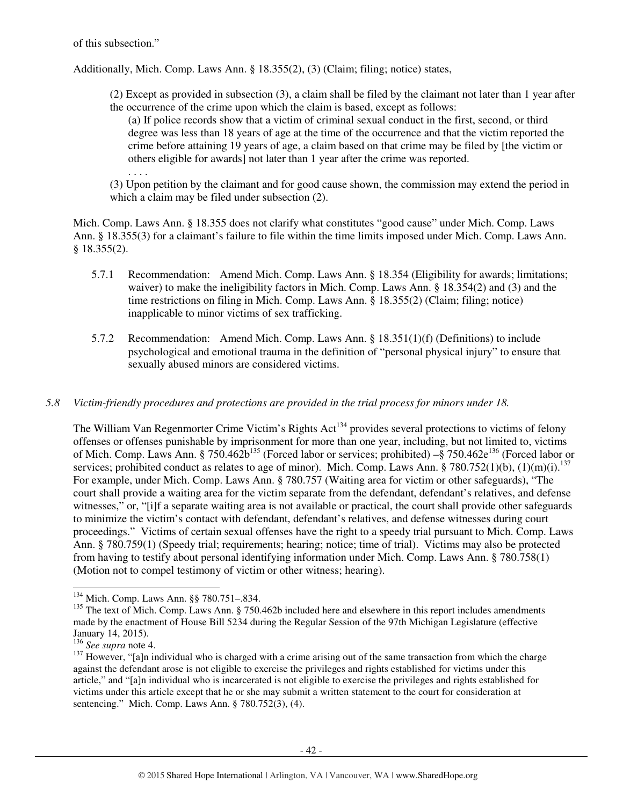of this subsection."

. . . .

Additionally, Mich. Comp. Laws Ann. § 18.355(2), (3) (Claim; filing; notice) states,

(2) Except as provided in subsection (3), a claim shall be filed by the claimant not later than 1 year after the occurrence of the crime upon which the claim is based, except as follows:

(a) If police records show that a victim of criminal sexual conduct in the first, second, or third degree was less than 18 years of age at the time of the occurrence and that the victim reported the crime before attaining 19 years of age, a claim based on that crime may be filed by [the victim or others eligible for awards] not later than 1 year after the crime was reported.

(3) Upon petition by the claimant and for good cause shown, the commission may extend the period in which a claim may be filed under subsection (2).

Mich. Comp. Laws Ann. § 18.355 does not clarify what constitutes "good cause" under Mich. Comp. Laws Ann. § 18.355(3) for a claimant's failure to file within the time limits imposed under Mich. Comp. Laws Ann. § 18.355(2).

- 5.7.1 Recommendation: Amend Mich. Comp. Laws Ann. § 18.354 (Eligibility for awards; limitations; waiver) to make the ineligibility factors in Mich. Comp. Laws Ann. § 18.354(2) and (3) and the time restrictions on filing in Mich. Comp. Laws Ann. § 18.355(2) (Claim; filing; notice) inapplicable to minor victims of sex trafficking.
- 5.7.2 Recommendation: Amend Mich. Comp. Laws Ann. § 18.351(1)(f) (Definitions) to include psychological and emotional trauma in the definition of "personal physical injury" to ensure that sexually abused minors are considered victims.

*5.8 Victim-friendly procedures and protections are provided in the trial process for minors under 18.* 

The William Van Regenmorter Crime Victim's Rights Act<sup>134</sup> provides several protections to victims of felony offenses or offenses punishable by imprisonment for more than one year, including, but not limited to, victims of Mich. Comp. Laws Ann. § 750.462b<sup>135</sup> (Forced labor or services; prohibited) –§ 750.462e<sup>136</sup> (Forced labor or services; prohibited conduct as relates to age of minor). Mich. Comp. Laws Ann. § 780.752(1)(b), (1)(m)(i).<sup>137</sup> For example, under Mich. Comp. Laws Ann. § 780.757 (Waiting area for victim or other safeguards), "The court shall provide a waiting area for the victim separate from the defendant, defendant's relatives, and defense witnesses," or, "[i]f a separate waiting area is not available or practical, the court shall provide other safeguards to minimize the victim's contact with defendant, defendant's relatives, and defense witnesses during court proceedings." Victims of certain sexual offenses have the right to a speedy trial pursuant to Mich. Comp. Laws Ann. § 780.759(1) (Speedy trial; requirements; hearing; notice; time of trial). Victims may also be protected from having to testify about personal identifying information under Mich. Comp. Laws Ann. § 780.758(1) (Motion not to compel testimony of victim or other witness; hearing).

<sup>-</sup><sup>134</sup> Mich. Comp. Laws Ann. §§ 780.751–.834.

<sup>&</sup>lt;sup>135</sup> The text of Mich. Comp. Laws Ann. § 750.462b included here and elsewhere in this report includes amendments made by the enactment of House Bill 5234 during the Regular Session of the 97th Michigan Legislature (effective January 14, 2015).

<sup>136</sup> *See supra* note 4.

 $137$  However, "[a]n individual who is charged with a crime arising out of the same transaction from which the charge against the defendant arose is not eligible to exercise the privileges and rights established for victims under this article," and "[a]n individual who is incarcerated is not eligible to exercise the privileges and rights established for victims under this article except that he or she may submit a written statement to the court for consideration at sentencing." Mich. Comp. Laws Ann. § 780.752(3), (4).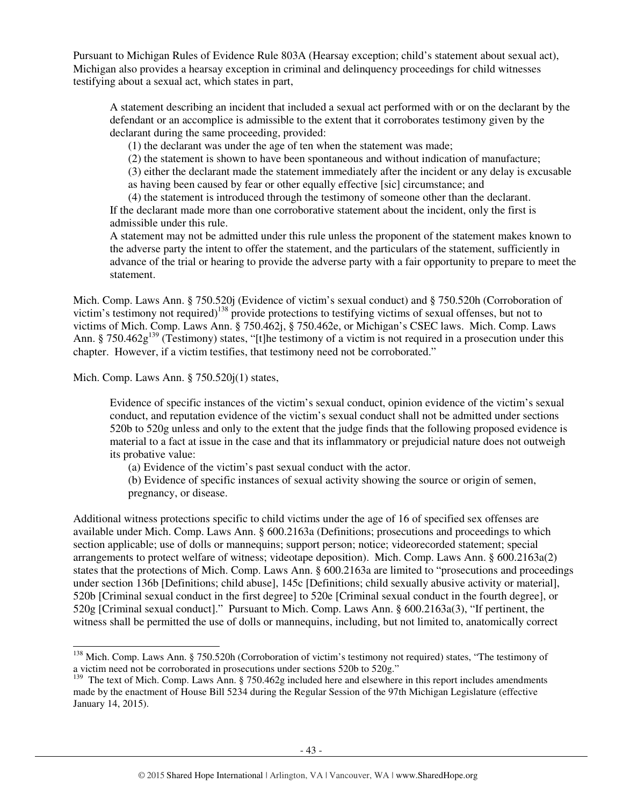Pursuant to Michigan Rules of Evidence Rule 803A (Hearsay exception; child's statement about sexual act), Michigan also provides a hearsay exception in criminal and delinquency proceedings for child witnesses testifying about a sexual act, which states in part,

A statement describing an incident that included a sexual act performed with or on the declarant by the defendant or an accomplice is admissible to the extent that it corroborates testimony given by the declarant during the same proceeding, provided:

(1) the declarant was under the age of ten when the statement was made;

(2) the statement is shown to have been spontaneous and without indication of manufacture;

(3) either the declarant made the statement immediately after the incident or any delay is excusable

as having been caused by fear or other equally effective [sic] circumstance; and

(4) the statement is introduced through the testimony of someone other than the declarant. If the declarant made more than one corroborative statement about the incident, only the first is admissible under this rule.

A statement may not be admitted under this rule unless the proponent of the statement makes known to the adverse party the intent to offer the statement, and the particulars of the statement, sufficiently in advance of the trial or hearing to provide the adverse party with a fair opportunity to prepare to meet the statement.

Mich. Comp. Laws Ann. § 750.520j (Evidence of victim's sexual conduct) and § 750.520h (Corroboration of victim's testimony not required)<sup>138</sup> provide protections to testifying victims of sexual offenses, but not to victims of Mich. Comp. Laws Ann. § 750.462j, § 750.462e, or Michigan's CSEC laws. Mich. Comp. Laws Ann. § 750.462 $g<sup>139</sup>$  (Testimony) states, "[t]he testimony of a victim is not required in a prosecution under this chapter. However, if a victim testifies, that testimony need not be corroborated."

Mich. Comp. Laws Ann. § 750.520j(1) states,

j

Evidence of specific instances of the victim's sexual conduct, opinion evidence of the victim's sexual conduct, and reputation evidence of the victim's sexual conduct shall not be admitted under sections 520b to 520g unless and only to the extent that the judge finds that the following proposed evidence is material to a fact at issue in the case and that its inflammatory or prejudicial nature does not outweigh its probative value:

(a) Evidence of the victim's past sexual conduct with the actor.

(b) Evidence of specific instances of sexual activity showing the source or origin of semen, pregnancy, or disease.

Additional witness protections specific to child victims under the age of 16 of specified sex offenses are available under Mich. Comp. Laws Ann. § 600.2163a (Definitions; prosecutions and proceedings to which section applicable; use of dolls or mannequins; support person; notice; videorecorded statement; special arrangements to protect welfare of witness; videotape deposition). Mich. Comp. Laws Ann. § 600.2163a(2) states that the protections of Mich. Comp. Laws Ann. § 600.2163a are limited to "prosecutions and proceedings under section 136b [Definitions; child abuse], 145c [Definitions; child sexually abusive activity or material], 520b [Criminal sexual conduct in the first degree] to 520e [Criminal sexual conduct in the fourth degree], or 520g [Criminal sexual conduct]." Pursuant to Mich. Comp. Laws Ann. § 600.2163a(3), "If pertinent, the witness shall be permitted the use of dolls or mannequins, including, but not limited to, anatomically correct

<sup>&</sup>lt;sup>138</sup> Mich. Comp. Laws Ann. § 750.520h (Corroboration of victim's testimony not required) states, "The testimony of a victim need not be corroborated in prosecutions under sections 520b to 520g."

<sup>&</sup>lt;sup>139</sup> The text of Mich. Comp. Laws Ann. § 750.462g included here and elsewhere in this report includes amendments made by the enactment of House Bill 5234 during the Regular Session of the 97th Michigan Legislature (effective January 14, 2015).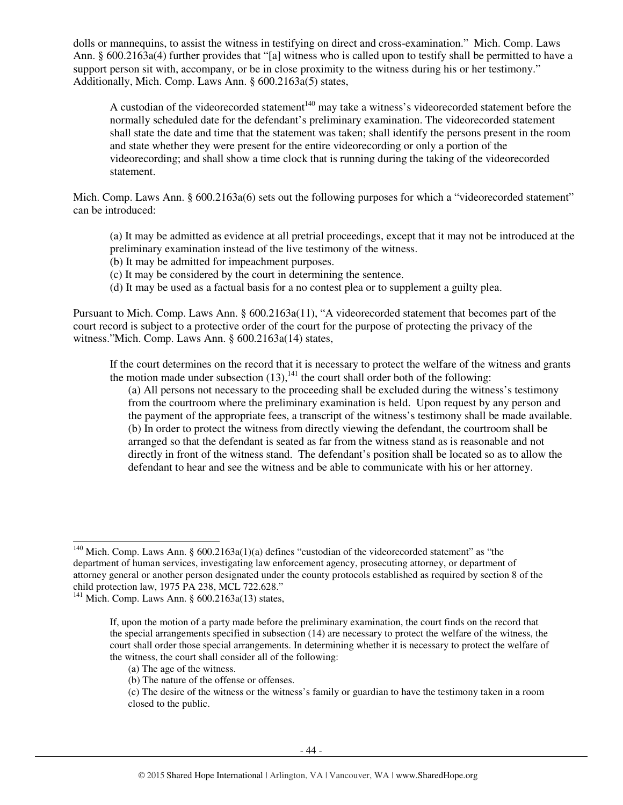dolls or mannequins, to assist the witness in testifying on direct and cross-examination." Mich. Comp. Laws Ann. § 600.2163a(4) further provides that "[a] witness who is called upon to testify shall be permitted to have a support person sit with, accompany, or be in close proximity to the witness during his or her testimony." Additionally, Mich. Comp. Laws Ann. § 600.2163a(5) states,

A custodian of the videorecorded statement<sup>140</sup> may take a witness's videorecorded statement before the normally scheduled date for the defendant's preliminary examination. The videorecorded statement shall state the date and time that the statement was taken; shall identify the persons present in the room and state whether they were present for the entire videorecording or only a portion of the videorecording; and shall show a time clock that is running during the taking of the videorecorded statement.

Mich. Comp. Laws Ann. § 600.2163a(6) sets out the following purposes for which a "videorecorded statement" can be introduced:

(a) It may be admitted as evidence at all pretrial proceedings, except that it may not be introduced at the preliminary examination instead of the live testimony of the witness.

- (b) It may be admitted for impeachment purposes.
- (c) It may be considered by the court in determining the sentence.
- (d) It may be used as a factual basis for a no contest plea or to supplement a guilty plea.

Pursuant to Mich. Comp. Laws Ann. § 600.2163a(11), "A videorecorded statement that becomes part of the court record is subject to a protective order of the court for the purpose of protecting the privacy of the witness."Mich. Comp. Laws Ann. § 600.2163a(14) states,

If the court determines on the record that it is necessary to protect the welfare of the witness and grants the motion made under subsection  $(13)$ ,<sup>141</sup>, the court shall order both of the following:

(a) All persons not necessary to the proceeding shall be excluded during the witness's testimony from the courtroom where the preliminary examination is held. Upon request by any person and the payment of the appropriate fees, a transcript of the witness's testimony shall be made available. (b) In order to protect the witness from directly viewing the defendant, the courtroom shall be arranged so that the defendant is seated as far from the witness stand as is reasonable and not directly in front of the witness stand. The defendant's position shall be located so as to allow the defendant to hear and see the witness and be able to communicate with his or her attorney.

l

<sup>&</sup>lt;sup>140</sup> Mich. Comp. Laws Ann. §  $600.2163a(1)(a)$  defines "custodian of the videorecorded statement" as "the department of human services, investigating law enforcement agency, prosecuting attorney, or department of attorney general or another person designated under the county protocols established as required by section 8 of the child protection law, 1975 PA 238, MCL 722.628."

 $141$  Mich. Comp. Laws Ann. § 600.2163a(13) states,

If, upon the motion of a party made before the preliminary examination, the court finds on the record that the special arrangements specified in subsection (14) are necessary to protect the welfare of the witness, the court shall order those special arrangements. In determining whether it is necessary to protect the welfare of the witness, the court shall consider all of the following:

<sup>(</sup>a) The age of the witness.

<sup>(</sup>b) The nature of the offense or offenses.

<sup>(</sup>c) The desire of the witness or the witness's family or guardian to have the testimony taken in a room closed to the public.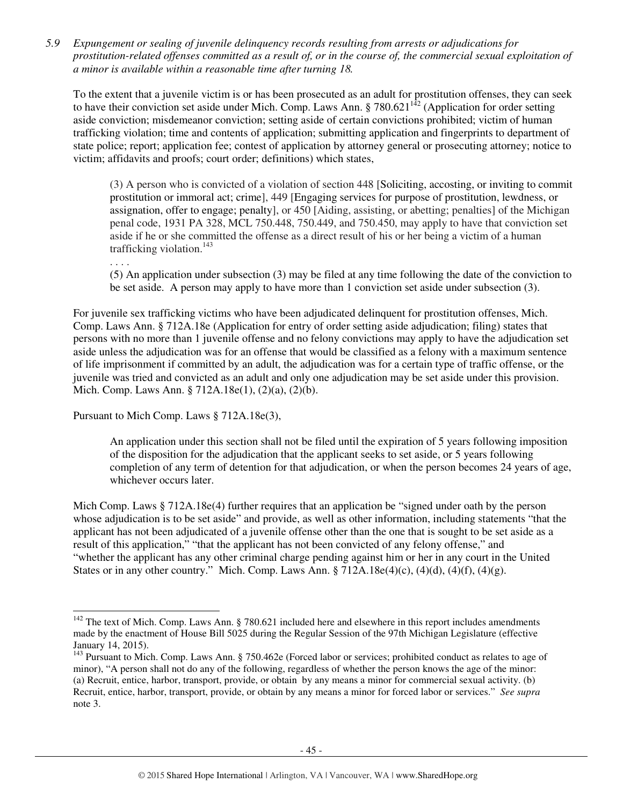*5.9 Expungement or sealing of juvenile delinquency records resulting from arrests or adjudications for prostitution-related offenses committed as a result of, or in the course of, the commercial sexual exploitation of a minor is available within a reasonable time after turning 18.* 

To the extent that a juvenile victim is or has been prosecuted as an adult for prostitution offenses, they can seek to the extent that a javenite vector is of this seem preservated in the matrix. Application for order setting to have their conviction set aside under Mich. Comp. Laws Ann. § 780.621<sup>142</sup> (Application for order setting aside conviction; misdemeanor conviction; setting aside of certain convictions prohibited; victim of human trafficking violation; time and contents of application; submitting application and fingerprints to department of state police; report; application fee; contest of application by attorney general or prosecuting attorney; notice to victim; affidavits and proofs; court order; definitions) which states,

(3) A person who is convicted of a violation of section 448 [Soliciting, accosting, or inviting to commit prostitution or immoral act; crime], 449 [Engaging services for purpose of prostitution, lewdness, or assignation, offer to engage; penalty], or 450 [Aiding, assisting, or abetting; penalties] of the Michigan penal code, 1931 PA 328, MCL 750.448, 750.449, and 750.450, may apply to have that conviction set aside if he or she committed the offense as a direct result of his or her being a victim of a human trafficking violation.<sup>143</sup>

. . . .

l

(5) An application under subsection (3) may be filed at any time following the date of the conviction to be set aside. A person may apply to have more than 1 conviction set aside under subsection (3).

For juvenile sex trafficking victims who have been adjudicated delinquent for prostitution offenses, Mich. Comp. Laws Ann. § 712A.18e (Application for entry of order setting aside adjudication; filing) states that persons with no more than 1 juvenile offense and no felony convictions may apply to have the adjudication set aside unless the adjudication was for an offense that would be classified as a felony with a maximum sentence of life imprisonment if committed by an adult, the adjudication was for a certain type of traffic offense, or the juvenile was tried and convicted as an adult and only one adjudication may be set aside under this provision. Mich. Comp. Laws Ann. § 712A.18e(1), (2)(a), (2)(b).

Pursuant to Mich Comp. Laws § 712A.18e(3),

An application under this section shall not be filed until the expiration of 5 years following imposition of the disposition for the adjudication that the applicant seeks to set aside, or 5 years following completion of any term of detention for that adjudication, or when the person becomes 24 years of age, whichever occurs later.

Mich Comp. Laws § 712A.18e(4) further requires that an application be "signed under oath by the person whose adjudication is to be set aside" and provide, as well as other information, including statements "that the applicant has not been adjudicated of a juvenile offense other than the one that is sought to be set aside as a result of this application," "that the applicant has not been convicted of any felony offense," and "whether the applicant has any other criminal charge pending against him or her in any court in the United States or in any other country." Mich. Comp. Laws Ann. § 712A.18e(4)(c), (4)(d), (4)(f), (4)(g).

 $142$  The text of Mich. Comp. Laws Ann. § 780.621 included here and elsewhere in this report includes amendments made by the enactment of House Bill 5025 during the Regular Session of the 97th Michigan Legislature (effective January 14, 2015).

<sup>&</sup>lt;sup>143</sup> Pursuant to Mich. Comp. Laws Ann. § 750.462e (Forced labor or services; prohibited conduct as relates to age of minor), "A person shall not do any of the following, regardless of whether the person knows the age of the minor: (a) Recruit, entice, harbor, transport, provide, or obtain by any means a minor for commercial sexual activity. (b) Recruit, entice, harbor, transport, provide, or obtain by any means a minor for forced labor or services." *See supra* note 3.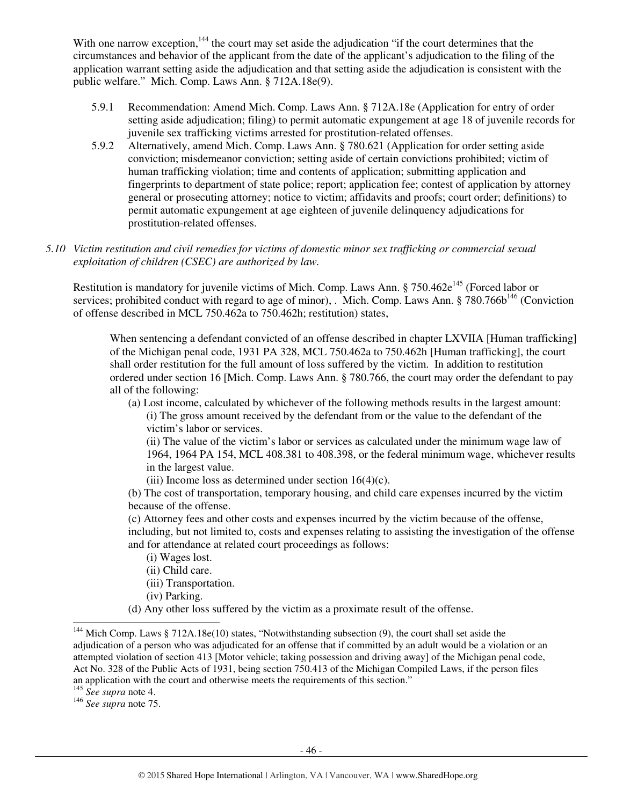With one narrow exception,<sup>144</sup> the court may set aside the adjudication "if the court determines that the circumstances and behavior of the applicant from the date of the applicant's adjudication to the filing of the application warrant setting aside the adjudication and that setting aside the adjudication is consistent with the public welfare." Mich. Comp. Laws Ann. § 712A.18e(9).

- 5.9.1 Recommendation: Amend Mich. Comp. Laws Ann. § 712A.18e (Application for entry of order setting aside adjudication; filing) to permit automatic expungement at age 18 of juvenile records for juvenile sex trafficking victims arrested for prostitution-related offenses.
- 5.9.2 Alternatively, amend Mich. Comp. Laws Ann. § 780.621 (Application for order setting aside conviction; misdemeanor conviction; setting aside of certain convictions prohibited; victim of human trafficking violation; time and contents of application; submitting application and fingerprints to department of state police; report; application fee; contest of application by attorney general or prosecuting attorney; notice to victim; affidavits and proofs; court order; definitions) to permit automatic expungement at age eighteen of juvenile delinquency adjudications for prostitution-related offenses.
- *5.10 Victim restitution and civil remedies for victims of domestic minor sex trafficking or commercial sexual exploitation of children (CSEC) are authorized by law.*

Restitution is mandatory for juvenile victims of Mich. Comp. Laws Ann. § 750.462 $e^{145}$  (Forced labor or services; prohibited conduct with regard to age of minor), . Mich. Comp. Laws Ann. § 780.766b<sup>146</sup> (Conviction of offense described in MCL 750.462a to 750.462h; restitution) states,

When sentencing a defendant convicted of an offense described in chapter LXVIIA [Human trafficking] of the Michigan penal code, 1931 PA 328, MCL 750.462a to 750.462h [Human trafficking], the court shall order restitution for the full amount of loss suffered by the victim. In addition to restitution ordered under section 16 [Mich. Comp. Laws Ann. § 780.766, the court may order the defendant to pay all of the following:

(a) Lost income, calculated by whichever of the following methods results in the largest amount: (i) The gross amount received by the defendant from or the value to the defendant of the victim's labor or services.

(ii) The value of the victim's labor or services as calculated under the minimum wage law of 1964, 1964 PA 154, MCL 408.381 to 408.398, or the federal minimum wage, whichever results in the largest value.

(iii) Income loss as determined under section  $16(4)(c)$ .

(b) The cost of transportation, temporary housing, and child care expenses incurred by the victim because of the offense.

(c) Attorney fees and other costs and expenses incurred by the victim because of the offense, including, but not limited to, costs and expenses relating to assisting the investigation of the offense and for attendance at related court proceedings as follows:

- (i) Wages lost.
- (ii) Child care.
- (iii) Transportation.
- (iv) Parking.
- (d) Any other loss suffered by the victim as a proximate result of the offense.

<sup>145</sup> *See supra* note 4.

-

<sup>146</sup> *See supra* note 75.

<sup>&</sup>lt;sup>144</sup> Mich Comp. Laws § 712A.18e(10) states, "Notwithstanding subsection (9), the court shall set aside the adjudication of a person who was adjudicated for an offense that if committed by an adult would be a violation or an attempted violation of section 413 [Motor vehicle; taking possession and driving away] of the Michigan penal code, Act No. 328 of the Public Acts of 1931, being section 750.413 of the Michigan Compiled Laws, if the person files an application with the court and otherwise meets the requirements of this section."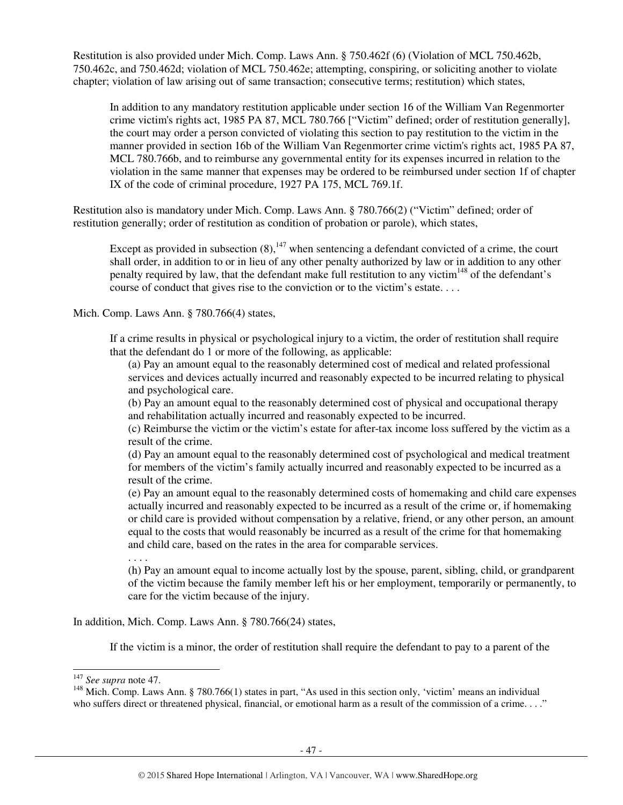Restitution is also provided under Mich. Comp. Laws Ann. § 750.462f (6) (Violation of MCL 750.462b, 750.462c, and 750.462d; violation of MCL 750.462e; attempting, conspiring, or soliciting another to violate chapter; violation of law arising out of same transaction; consecutive terms; restitution) which states,

In addition to any mandatory restitution applicable under section 16 of the William Van Regenmorter crime victim's rights act, 1985 PA 87, MCL 780.766 ["Victim" defined; order of restitution generally], the court may order a person convicted of violating this section to pay restitution to the victim in the manner provided in section 16b of the William Van Regenmorter crime victim's rights act, 1985 PA 87, MCL 780.766b, and to reimburse any governmental entity for its expenses incurred in relation to the violation in the same manner that expenses may be ordered to be reimbursed under section 1f of chapter IX of the code of criminal procedure, 1927 PA 175, MCL 769.1f.

Restitution also is mandatory under Mich. Comp. Laws Ann. § 780.766(2) ("Victim" defined; order of restitution generally; order of restitution as condition of probation or parole), which states,

Except as provided in subsection  $(8)$ ,  $^{147}$  when sentencing a defendant convicted of a crime, the court shall order, in addition to or in lieu of any other penalty authorized by law or in addition to any other penalty required by law, that the defendant make full restitution to any victim<sup>148</sup> of the defendant's course of conduct that gives rise to the conviction or to the victim's estate. . . .

Mich. Comp. Laws Ann. § 780.766(4) states,

If a crime results in physical or psychological injury to a victim, the order of restitution shall require that the defendant do 1 or more of the following, as applicable:

(a) Pay an amount equal to the reasonably determined cost of medical and related professional services and devices actually incurred and reasonably expected to be incurred relating to physical and psychological care.

(b) Pay an amount equal to the reasonably determined cost of physical and occupational therapy and rehabilitation actually incurred and reasonably expected to be incurred.

(c) Reimburse the victim or the victim's estate for after-tax income loss suffered by the victim as a result of the crime.

(d) Pay an amount equal to the reasonably determined cost of psychological and medical treatment for members of the victim's family actually incurred and reasonably expected to be incurred as a result of the crime.

(e) Pay an amount equal to the reasonably determined costs of homemaking and child care expenses actually incurred and reasonably expected to be incurred as a result of the crime or, if homemaking or child care is provided without compensation by a relative, friend, or any other person, an amount equal to the costs that would reasonably be incurred as a result of the crime for that homemaking and child care, based on the rates in the area for comparable services.

. . . .

(h) Pay an amount equal to income actually lost by the spouse, parent, sibling, child, or grandparent of the victim because the family member left his or her employment, temporarily or permanently, to care for the victim because of the injury.

In addition, Mich. Comp. Laws Ann. § 780.766(24) states,

If the victim is a minor, the order of restitution shall require the defendant to pay to a parent of the

l

<sup>147</sup> *See supra* note 47.

<sup>&</sup>lt;sup>148</sup> Mich. Comp. Laws Ann. § 780.766(1) states in part, "As used in this section only, 'victim' means an individual who suffers direct or threatened physical, financial, or emotional harm as a result of the commission of a crime...."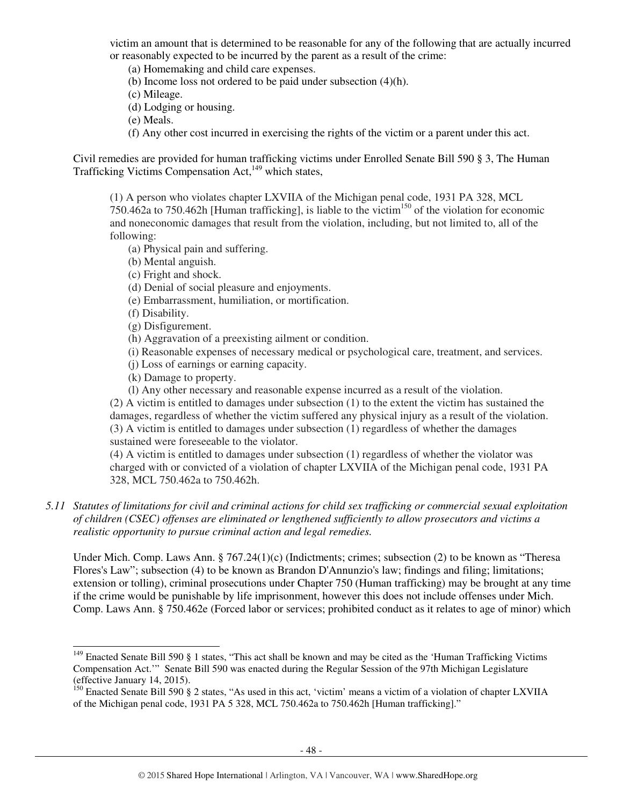victim an amount that is determined to be reasonable for any of the following that are actually incurred or reasonably expected to be incurred by the parent as a result of the crime:

(a) Homemaking and child care expenses.

(b) Income loss not ordered to be paid under subsection (4)(h).

(c) Mileage.

(d) Lodging or housing.

(e) Meals.

(f) Any other cost incurred in exercising the rights of the victim or a parent under this act.

Civil remedies are provided for human trafficking victims under Enrolled Senate Bill 590 § 3, The Human Trafficking Victims Compensation Act,<sup>149</sup> which states,

(1) A person who violates chapter LXVIIA of the Michigan penal code, 1931 PA 328, MCL  $750.462a$  to  $750.462h$  [Human trafficking], is liable to the victim<sup>150</sup> of the violation for economic and noneconomic damages that result from the violation, including, but not limited to, all of the following:

- (a) Physical pain and suffering.
- (b) Mental anguish.
- (c) Fright and shock.
- (d) Denial of social pleasure and enjoyments.
- (e) Embarrassment, humiliation, or mortification.
- (f) Disability.

j

- (g) Disfigurement.
- (h) Aggravation of a preexisting ailment or condition.
- (i) Reasonable expenses of necessary medical or psychological care, treatment, and services.
- (j) Loss of earnings or earning capacity.
- (k) Damage to property.

(l) Any other necessary and reasonable expense incurred as a result of the violation. (2) A victim is entitled to damages under subsection (1) to the extent the victim has sustained the damages, regardless of whether the victim suffered any physical injury as a result of the violation. (3) A victim is entitled to damages under subsection (1) regardless of whether the damages sustained were foreseeable to the violator.

(4) A victim is entitled to damages under subsection (1) regardless of whether the violator was charged with or convicted of a violation of chapter LXVIIA of the Michigan penal code, 1931 PA 328, MCL 750.462a to 750.462h.

*5.11 Statutes of limitations for civil and criminal actions for child sex trafficking or commercial sexual exploitation of children (CSEC) offenses are eliminated or lengthened sufficiently to allow prosecutors and victims a realistic opportunity to pursue criminal action and legal remedies.* 

Under Mich. Comp. Laws Ann. § 767.24(1)(c) (Indictments; crimes; subsection (2) to be known as "Theresa Flores's Law"; subsection (4) to be known as Brandon D'Annunzio's law; findings and filing; limitations; extension or tolling), criminal prosecutions under Chapter 750 (Human trafficking) may be brought at any time if the crime would be punishable by life imprisonment, however this does not include offenses under Mich. Comp. Laws Ann. § 750.462e (Forced labor or services; prohibited conduct as it relates to age of minor) which

<sup>&</sup>lt;sup>149</sup> Enacted Senate Bill 590 § 1 states, "This act shall be known and may be cited as the 'Human Trafficking Victims Compensation Act.'" Senate Bill 590 was enacted during the Regular Session of the 97th Michigan Legislature (effective January 14, 2015).

 $150$  Enacted Senate Bill 590 § 2 states, "As used in this act, 'victim' means a victim of a violation of chapter LXVIIA of the Michigan penal code, 1931 PA 5 328, MCL 750.462a to 750.462h [Human trafficking]."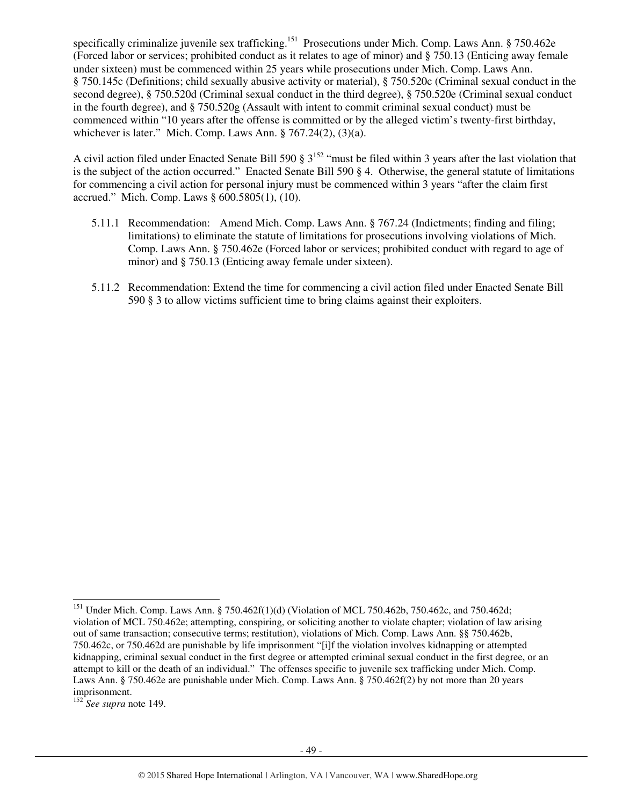specifically criminalize juvenile sex trafficking.<sup>151</sup> Prosecutions under Mich. Comp. Laws Ann. § 750.462e (Forced labor or services; prohibited conduct as it relates to age of minor) and § 750.13 (Enticing away female under sixteen) must be commenced within 25 years while prosecutions under Mich. Comp. Laws Ann. § 750.145c (Definitions; child sexually abusive activity or material), § 750.520c (Criminal sexual conduct in the second degree), § 750.520d (Criminal sexual conduct in the third degree), § 750.520e (Criminal sexual conduct in the fourth degree), and § 750.520g (Assault with intent to commit criminal sexual conduct) must be commenced within "10 years after the offense is committed or by the alleged victim's twenty-first birthday, whichever is later." Mich. Comp. Laws Ann. § 767.24(2), (3)(a).

A civil action filed under Enacted Senate Bill 590 § 3<sup>152</sup> "must be filed within 3 years after the last violation that is the subject of the action occurred." Enacted Senate Bill 590 § 4. Otherwise, the general statute of limitations for commencing a civil action for personal injury must be commenced within 3 years "after the claim first accrued." Mich. Comp. Laws § 600.5805(1), (10).

- 5.11.1 Recommendation: Amend Mich. Comp. Laws Ann. § 767.24 (Indictments; finding and filing; limitations) to eliminate the statute of limitations for prosecutions involving violations of Mich. Comp. Laws Ann. § 750.462e (Forced labor or services; prohibited conduct with regard to age of minor) and § 750.13 (Enticing away female under sixteen).
- 5.11.2 Recommendation: Extend the time for commencing a civil action filed under Enacted Senate Bill 590 § 3 to allow victims sufficient time to bring claims against their exploiters.

l <sup>151</sup> Under Mich. Comp. Laws Ann. § 750.462f(1)(d) (Violation of MCL 750.462b, 750.462c, and 750.462d; violation of MCL 750.462e; attempting, conspiring, or soliciting another to violate chapter; violation of law arising out of same transaction; consecutive terms; restitution), violations of Mich. Comp. Laws Ann. §§ 750.462b, 750.462c, or 750.462d are punishable by life imprisonment "[i]f the violation involves kidnapping or attempted kidnapping, criminal sexual conduct in the first degree or attempted criminal sexual conduct in the first degree, or an attempt to kill or the death of an individual." The offenses specific to juvenile sex trafficking under Mich. Comp. Laws Ann. § 750.462e are punishable under Mich. Comp. Laws Ann. § 750.462f(2) by not more than 20 years imprisonment.

<sup>&</sup>lt;sup>152</sup> See supra note 149.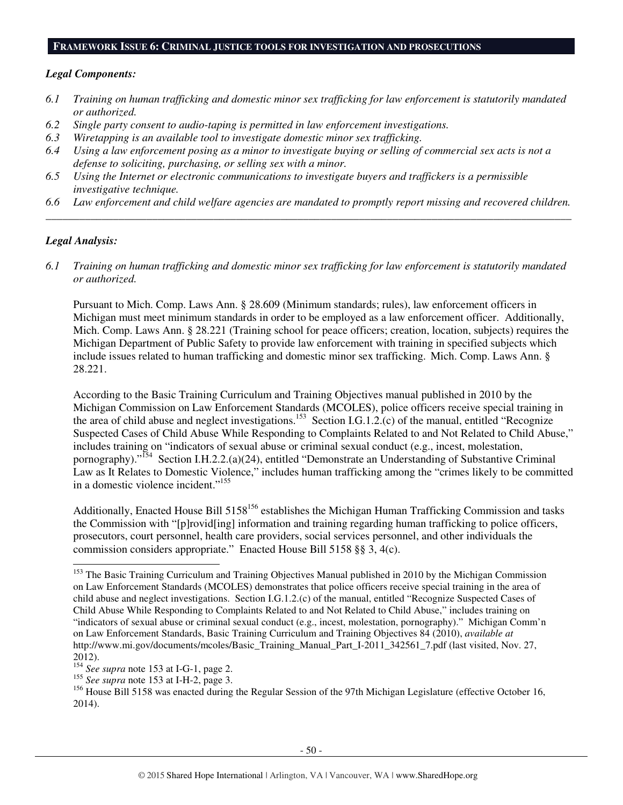#### **FRAMEWORK ISSUE 6: CRIMINAL JUSTICE TOOLS FOR INVESTIGATION AND PROSECUTIONS**

#### *Legal Components:*

- *6.1 Training on human trafficking and domestic minor sex trafficking for law enforcement is statutorily mandated or authorized.*
- *6.2 Single party consent to audio-taping is permitted in law enforcement investigations.*
- *6.3 Wiretapping is an available tool to investigate domestic minor sex trafficking.*
- *6.4 Using a law enforcement posing as a minor to investigate buying or selling of commercial sex acts is not a defense to soliciting, purchasing, or selling sex with a minor.*
- *6.5 Using the Internet or electronic communications to investigate buyers and traffickers is a permissible investigative technique.*
- *6.6 Law enforcement and child welfare agencies are mandated to promptly report missing and recovered children. \_\_\_\_\_\_\_\_\_\_\_\_\_\_\_\_\_\_\_\_\_\_\_\_\_\_\_\_\_\_\_\_\_\_\_\_\_\_\_\_\_\_\_\_\_\_\_\_\_\_\_\_\_\_\_\_\_\_\_\_\_\_\_\_\_\_\_\_\_\_\_\_\_\_\_\_\_\_\_\_\_\_\_\_\_\_\_\_\_\_\_\_\_\_*

#### *Legal Analysis:*

l

*6.1 Training on human trafficking and domestic minor sex trafficking for law enforcement is statutorily mandated or authorized.* 

Pursuant to Mich. Comp. Laws Ann. § 28.609 (Minimum standards; rules), law enforcement officers in Michigan must meet minimum standards in order to be employed as a law enforcement officer. Additionally, Mich. Comp. Laws Ann. § 28.221 (Training school for peace officers; creation, location, subjects) requires the Michigan Department of Public Safety to provide law enforcement with training in specified subjects which include issues related to human trafficking and domestic minor sex trafficking. Mich. Comp. Laws Ann. § 28.221.

According to the Basic Training Curriculum and Training Objectives manual published in 2010 by the Michigan Commission on Law Enforcement Standards (MCOLES), police officers receive special training in the area of child abuse and neglect investigations.<sup>153</sup> Section I.G.1.2.(c) of the manual, entitled "Recognize" Suspected Cases of Child Abuse While Responding to Complaints Related to and Not Related to Child Abuse," includes training on "indicators of sexual abuse or criminal sexual conduct (e.g., incest, molestation, pornography)."<sup>154</sup> Section I.H.2.2.(a)(24), entitled "Demonstrate an Understanding of Substantive Criminal Law as It Relates to Domestic Violence," includes human trafficking among the "crimes likely to be committed in a domestic violence incident."<sup>155</sup>

Additionally, Enacted House Bill 5158<sup>156</sup> establishes the Michigan Human Trafficking Commission and tasks the Commission with "[p]rovid[ing] information and training regarding human trafficking to police officers, prosecutors, court personnel, health care providers, social services personnel, and other individuals the commission considers appropriate." Enacted House Bill 5158 §§ 3, 4(c).

<sup>&</sup>lt;sup>153</sup> The Basic Training Curriculum and Training Objectives Manual published in 2010 by the Michigan Commission on Law Enforcement Standards (MCOLES) demonstrates that police officers receive special training in the area of child abuse and neglect investigations. Section I.G.1.2.(c) of the manual, entitled "Recognize Suspected Cases of Child Abuse While Responding to Complaints Related to and Not Related to Child Abuse," includes training on "indicators of sexual abuse or criminal sexual conduct (e.g., incest, molestation, pornography)." Michigan Comm'n on Law Enforcement Standards, Basic Training Curriculum and Training Objectives 84 (2010), *available at* http://www.mi.gov/documents/mcoles/Basic\_Training\_Manual\_Part\_I-2011\_342561\_7.pdf (last visited, Nov. 27, 2012).

<sup>154</sup> *See supra* note 153 at I-G-1, page 2.

<sup>155</sup> *See supra* note 153 at I-H-2, page 3.

<sup>&</sup>lt;sup>156</sup> House Bill 5158 was enacted during the Regular Session of the 97th Michigan Legislature (effective October 16, 2014).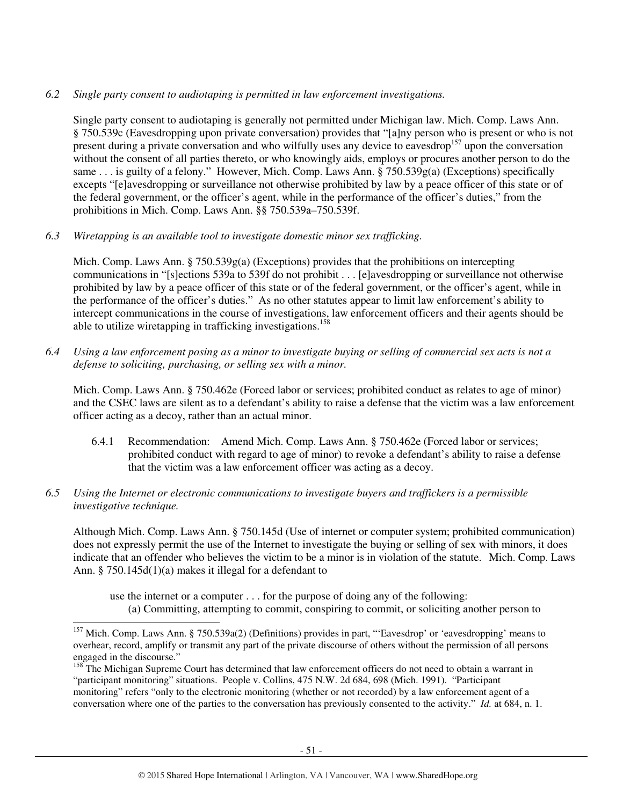## *6.2 Single party consent to audiotaping is permitted in law enforcement investigations.*

Single party consent to audiotaping is generally not permitted under Michigan law. Mich. Comp. Laws Ann. § 750.539c (Eavesdropping upon private conversation) provides that "[a]ny person who is present or who is not present during a private conversation and who wilfully uses any device to eavesdrop<sup>157</sup> upon the conversation without the consent of all parties thereto, or who knowingly aids, employs or procures another person to do the same . . . is guilty of a felony." However, Mich. Comp. Laws Ann. § 750.539g(a) (Exceptions) specifically excepts "[e]avesdropping or surveillance not otherwise prohibited by law by a peace officer of this state or of the federal government, or the officer's agent, while in the performance of the officer's duties," from the prohibitions in Mich. Comp. Laws Ann. §§ 750.539a–750.539f.

*6.3 Wiretapping is an available tool to investigate domestic minor sex trafficking.* 

Mich. Comp. Laws Ann.  $\S 750.539g(a)$  (Exceptions) provides that the prohibitions on intercepting communications in "[s]ections 539a to 539f do not prohibit . . . [e]avesdropping or surveillance not otherwise prohibited by law by a peace officer of this state or of the federal government, or the officer's agent, while in the performance of the officer's duties." As no other statutes appear to limit law enforcement's ability to intercept communications in the course of investigations, law enforcement officers and their agents should be able to utilize wiretapping in trafficking investigations.<sup>158</sup>

*6.4 Using a law enforcement posing as a minor to investigate buying or selling of commercial sex acts is not a defense to soliciting, purchasing, or selling sex with a minor.* 

Mich. Comp. Laws Ann. § 750.462e (Forced labor or services; prohibited conduct as relates to age of minor) and the CSEC laws are silent as to a defendant's ability to raise a defense that the victim was a law enforcement officer acting as a decoy, rather than an actual minor.

- 6.4.1 Recommendation: Amend Mich. Comp. Laws Ann. § 750.462e (Forced labor or services; prohibited conduct with regard to age of minor) to revoke a defendant's ability to raise a defense that the victim was a law enforcement officer was acting as a decoy.
- *6.5 Using the Internet or electronic communications to investigate buyers and traffickers is a permissible investigative technique.*

Although Mich. Comp. Laws Ann. § 750.145d (Use of internet or computer system; prohibited communication) does not expressly permit the use of the Internet to investigate the buying or selling of sex with minors, it does indicate that an offender who believes the victim to be a minor is in violation of the statute. Mich. Comp. Laws Ann. § 750.145d(1)(a) makes it illegal for a defendant to

use the internet or a computer . . . for the purpose of doing any of the following: (a) Committing, attempting to commit, conspiring to commit, or soliciting another person to

<sup>-</sup><sup>157</sup> Mich. Comp. Laws Ann. § 750.539a(2) (Definitions) provides in part, "'Eavesdrop' or 'eavesdropping' means to overhear, record, amplify or transmit any part of the private discourse of others without the permission of all persons engaged in the discourse."

<sup>&</sup>lt;sup>158</sup> The Michigan Supreme Court has determined that law enforcement officers do not need to obtain a warrant in "participant monitoring" situations. People v. Collins, 475 N.W. 2d 684, 698 (Mich. 1991). "Participant monitoring" refers "only to the electronic monitoring (whether or not recorded) by a law enforcement agent of a conversation where one of the parties to the conversation has previously consented to the activity." *Id.* at 684, n. 1.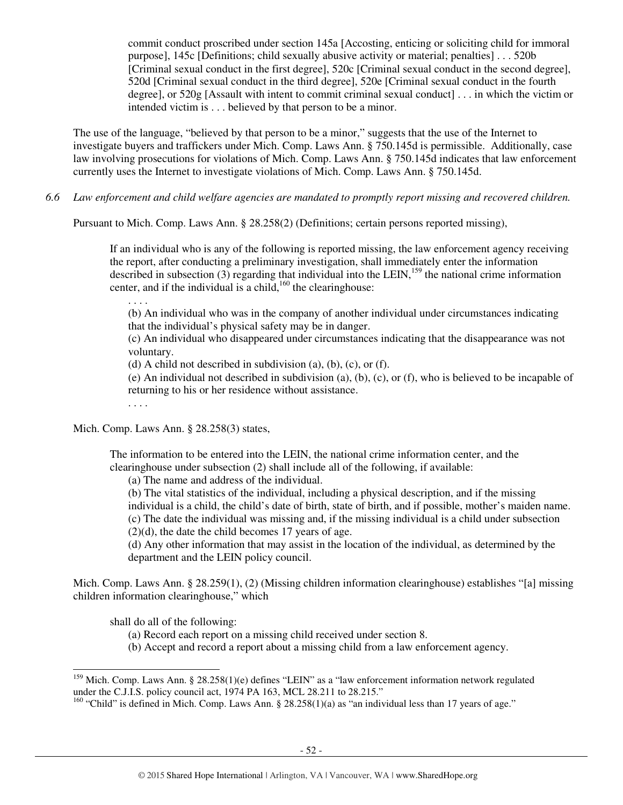commit conduct proscribed under section 145a [Accosting, enticing or soliciting child for immoral purpose], 145c [Definitions; child sexually abusive activity or material; penalties] . . . 520b [Criminal sexual conduct in the first degree], 520c [Criminal sexual conduct in the second degree], 520d [Criminal sexual conduct in the third degree], 520e [Criminal sexual conduct in the fourth degree], or 520g [Assault with intent to commit criminal sexual conduct] . . . in which the victim or intended victim is . . . believed by that person to be a minor.

The use of the language, "believed by that person to be a minor," suggests that the use of the Internet to investigate buyers and traffickers under Mich. Comp. Laws Ann. § 750.145d is permissible. Additionally, case law involving prosecutions for violations of Mich. Comp. Laws Ann. § 750.145d indicates that law enforcement currently uses the Internet to investigate violations of Mich. Comp. Laws Ann. § 750.145d.

*6.6 Law enforcement and child welfare agencies are mandated to promptly report missing and recovered children.* 

Pursuant to Mich. Comp. Laws Ann. § 28.258(2) (Definitions; certain persons reported missing),

If an individual who is any of the following is reported missing, the law enforcement agency receiving the report, after conducting a preliminary investigation, shall immediately enter the information described in subsection  $\overline{(3)}$  regarding that individual into the LEIN,<sup>159</sup> the national crime information center, and if the individual is a child,  $160$  the clearinghouse:

. . . .

(b) An individual who was in the company of another individual under circumstances indicating that the individual's physical safety may be in danger.

(c) An individual who disappeared under circumstances indicating that the disappearance was not voluntary.

(d) A child not described in subdivision (a), (b), (c), or (f).

(e) An individual not described in subdivision (a), (b), (c), or (f), who is believed to be incapable of returning to his or her residence without assistance.

. . . .

Mich. Comp. Laws Ann. § 28.258(3) states,

The information to be entered into the LEIN, the national crime information center, and the clearinghouse under subsection (2) shall include all of the following, if available:

(a) The name and address of the individual.

(b) The vital statistics of the individual, including a physical description, and if the missing individual is a child, the child's date of birth, state of birth, and if possible, mother's maiden name. (c) The date the individual was missing and, if the missing individual is a child under subsection  $(2)(d)$ , the date the child becomes 17 years of age.

(d) Any other information that may assist in the location of the individual, as determined by the department and the LEIN policy council.

Mich. Comp. Laws Ann. § 28.259(1), (2) (Missing children information clearinghouse) establishes "[a] missing children information clearinghouse," which

shall do all of the following:

l

- (a) Record each report on a missing child received under section 8.
- (b) Accept and record a report about a missing child from a law enforcement agency.

<sup>&</sup>lt;sup>159</sup> Mich. Comp. Laws Ann. § 28.258(1)(e) defines "LEIN" as a "law enforcement information network regulated under the C.J.I.S. policy council act, 1974 PA 163, MCL 28.211 to 28.215."

 $160$  "Child" is defined in Mich. Comp. Laws Ann. § 28.258(1)(a) as "an individual less than 17 years of age."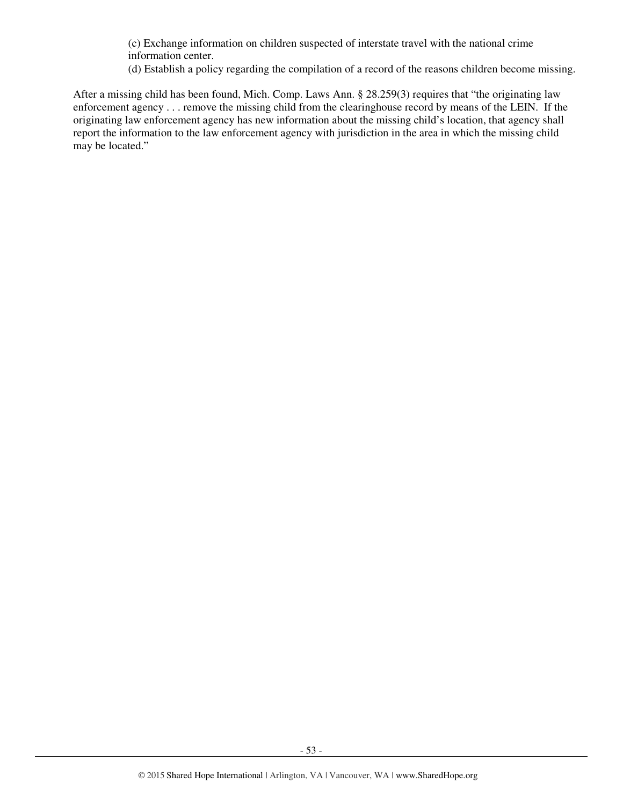(c) Exchange information on children suspected of interstate travel with the national crime information center.

(d) Establish a policy regarding the compilation of a record of the reasons children become missing.

After a missing child has been found, Mich. Comp. Laws Ann. § 28.259(3) requires that "the originating law enforcement agency . . . remove the missing child from the clearinghouse record by means of the LEIN. If the originating law enforcement agency has new information about the missing child's location, that agency shall report the information to the law enforcement agency with jurisdiction in the area in which the missing child may be located."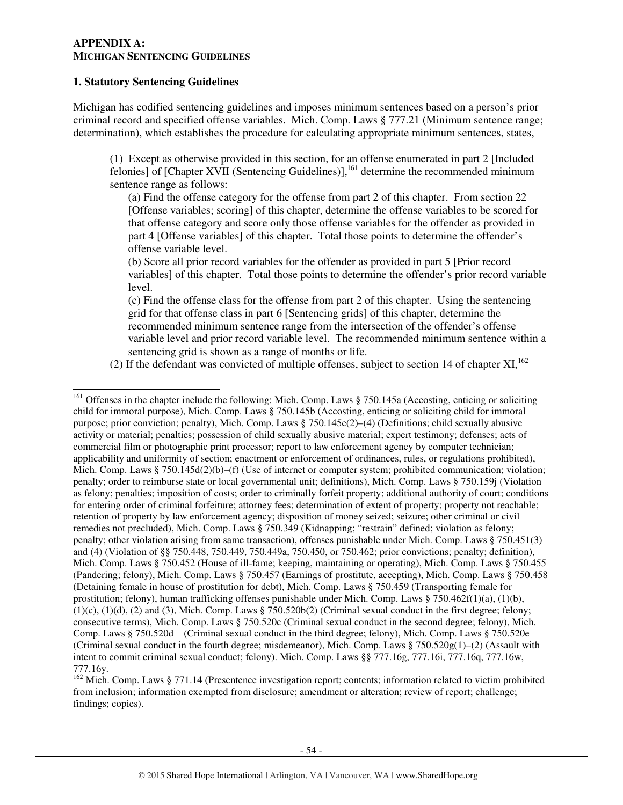#### **APPENDIX A: MICHIGAN SENTENCING GUIDELINES**

#### **1. Statutory Sentencing Guidelines**

l

Michigan has codified sentencing guidelines and imposes minimum sentences based on a person's prior criminal record and specified offense variables. Mich. Comp. Laws § 777.21 (Minimum sentence range; determination), which establishes the procedure for calculating appropriate minimum sentences, states,

(1) Except as otherwise provided in this section, for an offense enumerated in part 2 [Included felonies] of [Chapter XVII (Sentencing Guidelines)],<sup>161</sup> determine the recommended minimum sentence range as follows:

(a) Find the offense category for the offense from part 2 of this chapter. From section 22 [Offense variables; scoring] of this chapter, determine the offense variables to be scored for that offense category and score only those offense variables for the offender as provided in part 4 [Offense variables] of this chapter. Total those points to determine the offender's offense variable level.

(b) Score all prior record variables for the offender as provided in part 5 [Prior record variables] of this chapter. Total those points to determine the offender's prior record variable level.

(c) Find the offense class for the offense from part 2 of this chapter. Using the sentencing grid for that offense class in part 6 [Sentencing grids] of this chapter, determine the recommended minimum sentence range from the intersection of the offender's offense variable level and prior record variable level. The recommended minimum sentence within a sentencing grid is shown as a range of months or life.

(2) If the defendant was convicted of multiple offenses, subject to section 14 of chapter  $XI$ ,  $^{162}$ 

<sup>&</sup>lt;sup>161</sup> Offenses in the chapter include the following: Mich. Comp. Laws § 750.145a (Accosting, enticing or soliciting child for immoral purpose), Mich. Comp. Laws § 750.145b (Accosting, enticing or soliciting child for immoral purpose; prior conviction; penalty), Mich. Comp. Laws § 750.145c(2)–(4) (Definitions; child sexually abusive activity or material; penalties; possession of child sexually abusive material; expert testimony; defenses; acts of commercial film or photographic print processor; report to law enforcement agency by computer technician; applicability and uniformity of section; enactment or enforcement of ordinances, rules, or regulations prohibited), Mich. Comp. Laws § 750.145d(2)(b)–(f) (Use of internet or computer system; prohibited communication; violation; penalty; order to reimburse state or local governmental unit; definitions), Mich. Comp. Laws § 750.159j (Violation as felony; penalties; imposition of costs; order to criminally forfeit property; additional authority of court; conditions for entering order of criminal forfeiture; attorney fees; determination of extent of property; property not reachable; retention of property by law enforcement agency; disposition of money seized; seizure; other criminal or civil remedies not precluded), Mich. Comp. Laws § 750.349 (Kidnapping; "restrain" defined; violation as felony; penalty; other violation arising from same transaction), offenses punishable under Mich. Comp. Laws § 750.451(3) and (4) (Violation of §§ 750.448, 750.449, 750.449a, 750.450, or 750.462; prior convictions; penalty; definition), Mich. Comp. Laws § 750.452 (House of ill-fame; keeping, maintaining or operating), Mich. Comp. Laws § 750.455 (Pandering; felony), Mich. Comp. Laws § 750.457 (Earnings of prostitute, accepting), Mich. Comp. Laws § 750.458 (Detaining female in house of prostitution for debt), Mich. Comp. Laws § 750.459 (Transporting female for prostitution; felony), human trafficking offenses punishable under Mich. Comp. Laws § 750.462f(1)(a), (1)(b),  $(1)(c)$ ,  $(1)(d)$ ,  $(2)$  and  $(3)$ , Mich. Comp. Laws § 750.520b(2) (Criminal sexual conduct in the first degree; felony; consecutive terms), Mich. Comp. Laws § 750.520c (Criminal sexual conduct in the second degree; felony), Mich. Comp. Laws § 750.520d (Criminal sexual conduct in the third degree; felony), Mich. Comp. Laws § 750.520e (Criminal sexual conduct in the fourth degree; misdemeanor), Mich. Comp. Laws §  $750.520g(1)$ –(2) (Assault with intent to commit criminal sexual conduct; felony). Mich. Comp. Laws §§ 777.16g, 777.16i, 777.16q, 777.16w, 777.16y.

<sup>&</sup>lt;sup>162</sup> Mich. Comp. Laws § 771.14 (Presentence investigation report; contents; information related to victim prohibited from inclusion; information exempted from disclosure; amendment or alteration; review of report; challenge; findings; copies).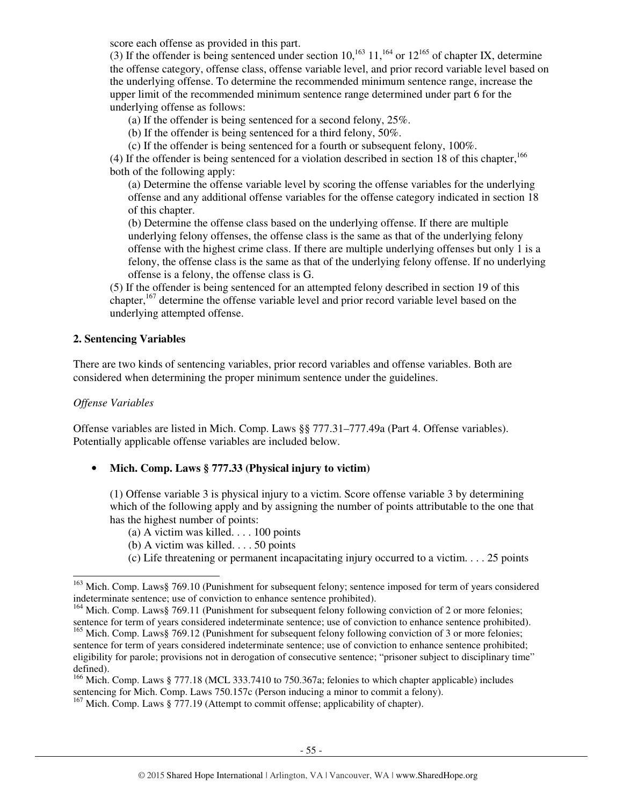score each offense as provided in this part.

(3) If the offender is being sentenced under section  $10$ ,<sup>163</sup> 11,<sup>164</sup> or  $12^{165}$  of chapter IX, determine the offense category, offense class, offense variable level, and prior record variable level based on the underlying offense. To determine the recommended minimum sentence range, increase the upper limit of the recommended minimum sentence range determined under part 6 for the underlying offense as follows:

(a) If the offender is being sentenced for a second felony, 25%.

(b) If the offender is being sentenced for a third felony, 50%.

(c) If the offender is being sentenced for a fourth or subsequent felony, 100%.

(4) If the offender is being sentenced for a violation described in section 18 of this chapter,  $^{166}$ both of the following apply:

(a) Determine the offense variable level by scoring the offense variables for the underlying offense and any additional offense variables for the offense category indicated in section 18 of this chapter.

(b) Determine the offense class based on the underlying offense. If there are multiple underlying felony offenses, the offense class is the same as that of the underlying felony offense with the highest crime class. If there are multiple underlying offenses but only 1 is a felony, the offense class is the same as that of the underlying felony offense. If no underlying offense is a felony, the offense class is G.

(5) If the offender is being sentenced for an attempted felony described in section 19 of this chapter,<sup>167</sup> determine the offense variable level and prior record variable level based on the underlying attempted offense.

## **2. Sentencing Variables**

There are two kinds of sentencing variables, prior record variables and offense variables. Both are considered when determining the proper minimum sentence under the guidelines.

## *Offense Variables*

j

Offense variables are listed in Mich. Comp. Laws §§ 777.31–777.49a (Part 4. Offense variables). Potentially applicable offense variables are included below.

## • **Mich. Comp. Laws § 777.33 (Physical injury to victim)**

(1) Offense variable 3 is physical injury to a victim. Score offense variable 3 by determining which of the following apply and by assigning the number of points attributable to the one that has the highest number of points:

- (a) A victim was killed.  $\dots$  100 points
- (b) A victim was killed. . . . 50 points
- (c) Life threatening or permanent incapacitating injury occurred to a victim. . . . 25 points

<sup>&</sup>lt;sup>163</sup> Mich. Comp. Laws§ 769.10 (Punishment for subsequent felony; sentence imposed for term of years considered indeterminate sentence; use of conviction to enhance sentence prohibited).

<sup>&</sup>lt;sup>164</sup> Mich. Comp. Laws§ 769.11 (Punishment for subsequent felony following conviction of 2 or more felonies; sentence for term of years considered indeterminate sentence; use of conviction to enhance sentence prohibited). <sup>165</sup> Mich. Comp. Laws§ 769.12 (Punishment for subsequent felony following conviction of 3 or more felonies;

sentence for term of years considered indeterminate sentence; use of conviction to enhance sentence prohibited; eligibility for parole; provisions not in derogation of consecutive sentence; "prisoner subject to disciplinary time" defined).

<sup>&</sup>lt;sup>166</sup> Mich. Comp. Laws § 777.18 (MCL 333.7410 to 750.367a; felonies to which chapter applicable) includes sentencing for Mich. Comp. Laws 750.157c (Person inducing a minor to commit a felony).

 $167$  Mich. Comp. Laws § 777.19 (Attempt to commit offense; applicability of chapter).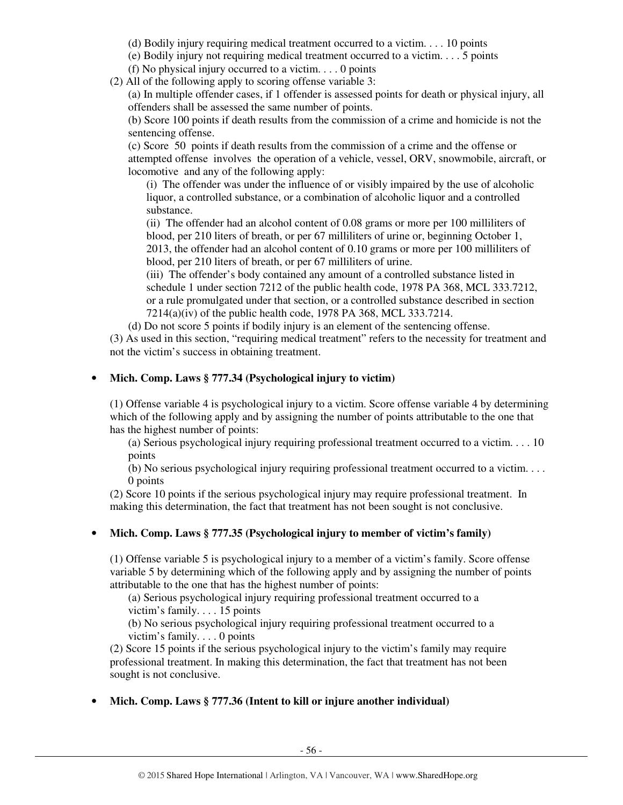- (d) Bodily injury requiring medical treatment occurred to a victim. . . . 10 points
- (e) Bodily injury not requiring medical treatment occurred to a victim. . . . 5 points
- (f) No physical injury occurred to a victim.  $\ldots$  0 points
- (2) All of the following apply to scoring offense variable 3:

(a) In multiple offender cases, if 1 offender is assessed points for death or physical injury, all offenders shall be assessed the same number of points.

(b) Score 100 points if death results from the commission of a crime and homicide is not the sentencing offense.

(c) Score 50 points if death results from the commission of a crime and the offense or attempted offense involves the operation of a vehicle, vessel, ORV, snowmobile, aircraft, or locomotive and any of the following apply:

(i) The offender was under the influence of or visibly impaired by the use of alcoholic liquor, a controlled substance, or a combination of alcoholic liquor and a controlled substance.

(ii) The offender had an alcohol content of 0.08 grams or more per 100 milliliters of blood, per 210 liters of breath, or per 67 milliliters of urine or, beginning October 1, 2013, the offender had an alcohol content of 0.10 grams or more per 100 milliliters of blood, per 210 liters of breath, or per 67 milliliters of urine.

(iii) The offender's body contained any amount of a controlled substance listed in schedule 1 under section 7212 of the public health code, 1978 PA 368, MCL 333.7212, or a rule promulgated under that section, or a controlled substance described in section 7214(a)(iv) of the public health code, 1978 PA 368, MCL 333.7214.

(d) Do not score 5 points if bodily injury is an element of the sentencing offense.

(3) As used in this section, "requiring medical treatment" refers to the necessity for treatment and not the victim's success in obtaining treatment.

## • **Mich. Comp. Laws § 777.34 (Psychological injury to victim)**

(1) Offense variable 4 is psychological injury to a victim. Score offense variable 4 by determining which of the following apply and by assigning the number of points attributable to the one that has the highest number of points:

(a) Serious psychological injury requiring professional treatment occurred to a victim. . . . 10 points

(b) No serious psychological injury requiring professional treatment occurred to a victim. . . . 0 points

(2) Score 10 points if the serious psychological injury may require professional treatment. In making this determination, the fact that treatment has not been sought is not conclusive.

## • **Mich. Comp. Laws § 777.35 (Psychological injury to member of victim's family)**

(1) Offense variable 5 is psychological injury to a member of a victim's family. Score offense variable 5 by determining which of the following apply and by assigning the number of points attributable to the one that has the highest number of points:

(a) Serious psychological injury requiring professional treatment occurred to a victim's family. . . . 15 points

(b) No serious psychological injury requiring professional treatment occurred to a victim's family. . . . 0 points

(2) Score 15 points if the serious psychological injury to the victim's family may require professional treatment. In making this determination, the fact that treatment has not been sought is not conclusive.

## • **Mich. Comp. Laws § 777.36 (Intent to kill or injure another individual)**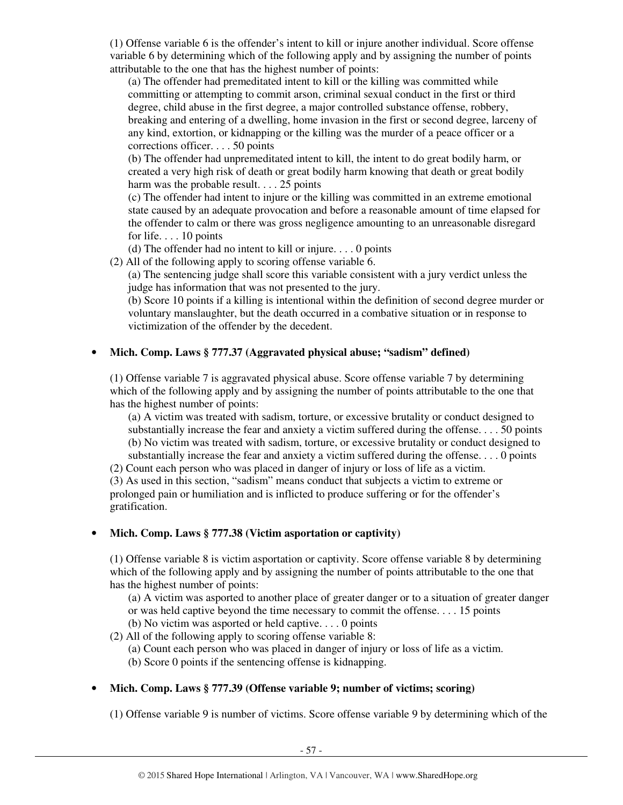(1) Offense variable 6 is the offender's intent to kill or injure another individual. Score offense variable 6 by determining which of the following apply and by assigning the number of points attributable to the one that has the highest number of points:

(a) The offender had premeditated intent to kill or the killing was committed while committing or attempting to commit arson, criminal sexual conduct in the first or third degree, child abuse in the first degree, a major controlled substance offense, robbery, breaking and entering of a dwelling, home invasion in the first or second degree, larceny of any kind, extortion, or kidnapping or the killing was the murder of a peace officer or a corrections officer. . . . 50 points

(b) The offender had unpremeditated intent to kill, the intent to do great bodily harm, or created a very high risk of death or great bodily harm knowing that death or great bodily harm was the probable result. . . . 25 points

(c) The offender had intent to injure or the killing was committed in an extreme emotional state caused by an adequate provocation and before a reasonable amount of time elapsed for the offender to calm or there was gross negligence amounting to an unreasonable disregard for life. . . . 10 points

(d) The offender had no intent to kill or injure. . . . 0 points

(2) All of the following apply to scoring offense variable 6.

(a) The sentencing judge shall score this variable consistent with a jury verdict unless the judge has information that was not presented to the jury.

(b) Score 10 points if a killing is intentional within the definition of second degree murder or voluntary manslaughter, but the death occurred in a combative situation or in response to victimization of the offender by the decedent.

# • **Mich. Comp. Laws § 777.37 (Aggravated physical abuse; "sadism" defined)**

(1) Offense variable 7 is aggravated physical abuse. Score offense variable 7 by determining which of the following apply and by assigning the number of points attributable to the one that has the highest number of points:

(a) A victim was treated with sadism, torture, or excessive brutality or conduct designed to substantially increase the fear and anxiety a victim suffered during the offense. . . . 50 points (b) No victim was treated with sadism, torture, or excessive brutality or conduct designed to substantially increase the fear and anxiety a victim suffered during the offense. . . . 0 points

(2) Count each person who was placed in danger of injury or loss of life as a victim. (3) As used in this section, "sadism" means conduct that subjects a victim to extreme or prolonged pain or humiliation and is inflicted to produce suffering or for the offender's gratification.

# • **Mich. Comp. Laws § 777.38 (Victim asportation or captivity)**

(1) Offense variable 8 is victim asportation or captivity. Score offense variable 8 by determining which of the following apply and by assigning the number of points attributable to the one that has the highest number of points:

(a) A victim was asported to another place of greater danger or to a situation of greater danger or was held captive beyond the time necessary to commit the offense. . . . 15 points (b) No victim was asported or held captive. . . . 0 points

(2) All of the following apply to scoring offense variable 8:

(a) Count each person who was placed in danger of injury or loss of life as a victim.

(b) Score 0 points if the sentencing offense is kidnapping.

# • **Mich. Comp. Laws § 777.39 (Offense variable 9; number of victims; scoring)**

(1) Offense variable 9 is number of victims. Score offense variable 9 by determining which of the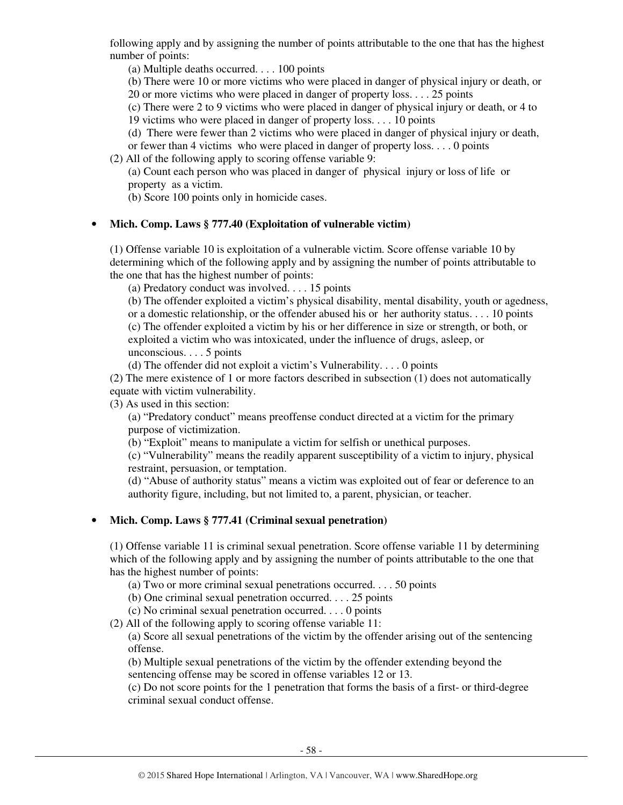following apply and by assigning the number of points attributable to the one that has the highest number of points:

(a) Multiple deaths occurred. . . . 100 points

(b) There were 10 or more victims who were placed in danger of physical injury or death, or

20 or more victims who were placed in danger of property loss. . . . 25 points

(c) There were 2 to 9 victims who were placed in danger of physical injury or death, or 4 to

19 victims who were placed in danger of property loss. . . . 10 points

(d) There were fewer than 2 victims who were placed in danger of physical injury or death,

or fewer than 4 victims who were placed in danger of property loss. . . . 0 points

(2) All of the following apply to scoring offense variable 9:

(a) Count each person who was placed in danger of physical injury or loss of life or property as a victim.

(b) Score 100 points only in homicide cases.

# • **Mich. Comp. Laws § 777.40 (Exploitation of vulnerable victim)**

(1) Offense variable 10 is exploitation of a vulnerable victim. Score offense variable 10 by determining which of the following apply and by assigning the number of points attributable to the one that has the highest number of points:

(a) Predatory conduct was involved. . . . 15 points

(b) The offender exploited a victim's physical disability, mental disability, youth or agedness, or a domestic relationship, or the offender abused his or her authority status. . . . 10 points (c) The offender exploited a victim by his or her difference in size or strength, or both, or exploited a victim who was intoxicated, under the influence of drugs, asleep, or unconscious. . . . 5 points

(d) The offender did not exploit a victim's Vulnerability. . . . 0 points

(2) The mere existence of 1 or more factors described in subsection (1) does not automatically equate with victim vulnerability.

(3) As used in this section:

(a) "Predatory conduct" means preoffense conduct directed at a victim for the primary purpose of victimization.

(b) "Exploit" means to manipulate a victim for selfish or unethical purposes.

(c) "Vulnerability" means the readily apparent susceptibility of a victim to injury, physical restraint, persuasion, or temptation.

(d) "Abuse of authority status" means a victim was exploited out of fear or deference to an authority figure, including, but not limited to, a parent, physician, or teacher.

# • **Mich. Comp. Laws § 777.41 (Criminal sexual penetration)**

(1) Offense variable 11 is criminal sexual penetration. Score offense variable 11 by determining which of the following apply and by assigning the number of points attributable to the one that has the highest number of points:

(a) Two or more criminal sexual penetrations occurred. . . . 50 points

(b) One criminal sexual penetration occurred. . . . 25 points

(c) No criminal sexual penetration occurred. . . . 0 points

(2) All of the following apply to scoring offense variable 11:

(a) Score all sexual penetrations of the victim by the offender arising out of the sentencing offense.

(b) Multiple sexual penetrations of the victim by the offender extending beyond the sentencing offense may be scored in offense variables 12 or 13.

(c) Do not score points for the 1 penetration that forms the basis of a first- or third-degree criminal sexual conduct offense.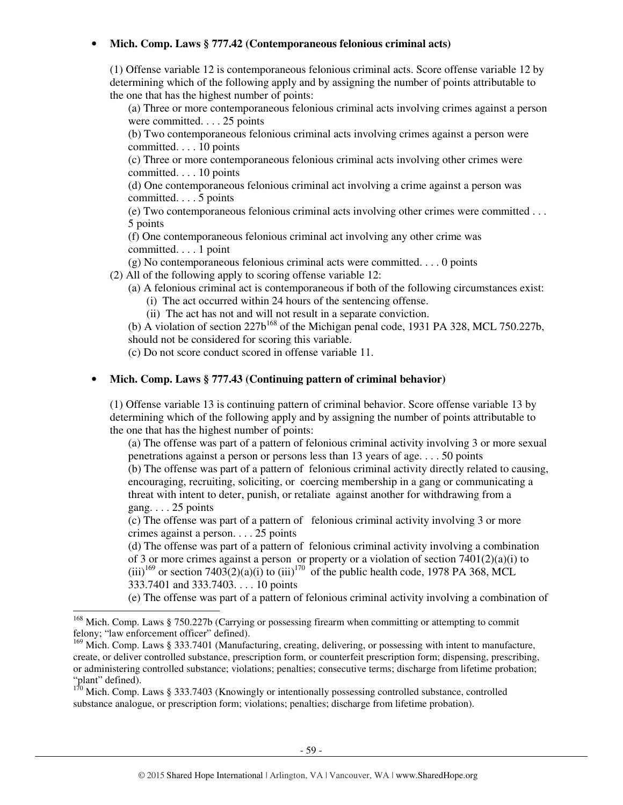## • **Mich. Comp. Laws § 777.42 (Contemporaneous felonious criminal acts)**

(1) Offense variable 12 is contemporaneous felonious criminal acts. Score offense variable 12 by determining which of the following apply and by assigning the number of points attributable to the one that has the highest number of points:

(a) Three or more contemporaneous felonious criminal acts involving crimes against a person were committed. . . . 25 points

(b) Two contemporaneous felonious criminal acts involving crimes against a person were committed. . . . 10 points

(c) Three or more contemporaneous felonious criminal acts involving other crimes were committed. . . . 10 points

(d) One contemporaneous felonious criminal act involving a crime against a person was committed. . . . 5 points

(e) Two contemporaneous felonious criminal acts involving other crimes were committed . . . 5 points

(f) One contemporaneous felonious criminal act involving any other crime was committed. . . . 1 point

(g) No contemporaneous felonious criminal acts were committed. . . . 0 points

(2) All of the following apply to scoring offense variable 12:

(a) A felonious criminal act is contemporaneous if both of the following circumstances exist:

(i) The act occurred within 24 hours of the sentencing offense.

(ii) The act has not and will not result in a separate conviction.

(b) A violation of section  $227b^{168}$  of the Michigan penal code, 1931 PA 328, MCL 750.227b, should not be considered for scoring this variable.

(c) Do not score conduct scored in offense variable 11.

## • **Mich. Comp. Laws § 777.43 (Continuing pattern of criminal behavior)**

(1) Offense variable 13 is continuing pattern of criminal behavior. Score offense variable 13 by determining which of the following apply and by assigning the number of points attributable to the one that has the highest number of points:

(a) The offense was part of a pattern of felonious criminal activity involving 3 or more sexual penetrations against a person or persons less than 13 years of age. . . . 50 points

(b) The offense was part of a pattern of felonious criminal activity directly related to causing, encouraging, recruiting, soliciting, or coercing membership in a gang or communicating a threat with intent to deter, punish, or retaliate against another for withdrawing from a gang.  $\ldots$  25 points

(c) The offense was part of a pattern of felonious criminal activity involving 3 or more crimes against a person. . . . 25 points

(d) The offense was part of a pattern of felonious criminal activity involving a combination of 3 or more crimes against a person or property or a violation of section 7401(2)(a)(i) to (iii)<sup>169</sup> or section 7403(2)(a)(i) to (iii)<sup>170</sup> of the public health code, 1978 PA 368, MCL

333.7401 and 333.7403. . . . 10 points

l

(e) The offense was part of a pattern of felonious criminal activity involving a combination of

<sup>&</sup>lt;sup>168</sup> Mich. Comp. Laws § 750.227b (Carrying or possessing firearm when committing or attempting to commit felony; "law enforcement officer" defined).

<sup>&</sup>lt;sup>169</sup> Mich. Comp. Laws § 333.7401 (Manufacturing, creating, delivering, or possessing with intent to manufacture, create, or deliver controlled substance, prescription form, or counterfeit prescription form; dispensing, prescribing, or administering controlled substance; violations; penalties; consecutive terms; discharge from lifetime probation; "plant" defined).

 $170$  Mich. Comp. Laws § 333.7403 (Knowingly or intentionally possessing controlled substance, controlled substance analogue, or prescription form; violations; penalties; discharge from lifetime probation).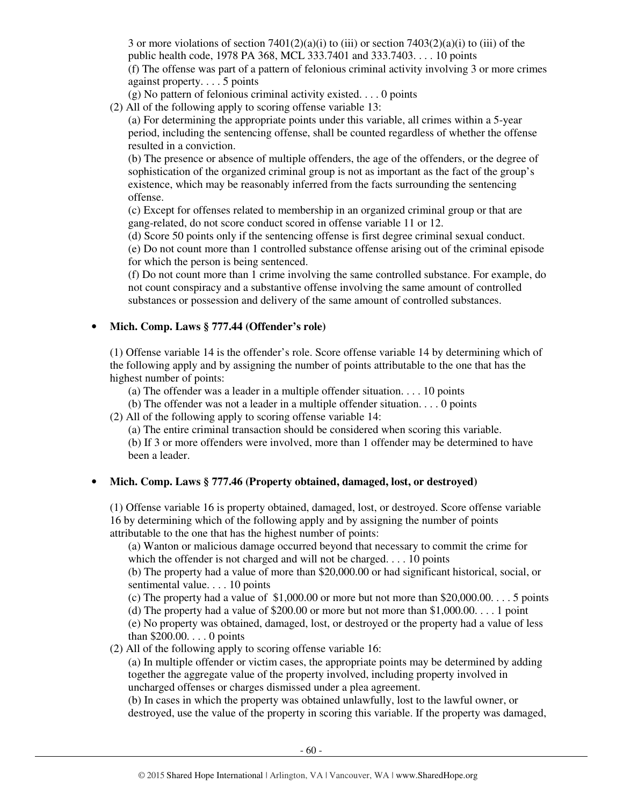3 or more violations of section  $7401(2)(a)(i)$  to (iii) or section  $7403(2)(a)(i)$  to (iii) of the public health code, 1978 PA 368, MCL 333.7401 and 333.7403. . . . 10 points (f) The offense was part of a pattern of felonious criminal activity involving 3 or more crimes against property. . . . 5 points

(g) No pattern of felonious criminal activity existed. . . . 0 points

(2) All of the following apply to scoring offense variable 13:

(a) For determining the appropriate points under this variable, all crimes within a 5-year period, including the sentencing offense, shall be counted regardless of whether the offense resulted in a conviction.

(b) The presence or absence of multiple offenders, the age of the offenders, or the degree of sophistication of the organized criminal group is not as important as the fact of the group's existence, which may be reasonably inferred from the facts surrounding the sentencing offense.

(c) Except for offenses related to membership in an organized criminal group or that are gang-related, do not score conduct scored in offense variable 11 or 12.

(d) Score 50 points only if the sentencing offense is first degree criminal sexual conduct.

(e) Do not count more than 1 controlled substance offense arising out of the criminal episode for which the person is being sentenced.

(f) Do not count more than 1 crime involving the same controlled substance. For example, do not count conspiracy and a substantive offense involving the same amount of controlled substances or possession and delivery of the same amount of controlled substances.

# • **Mich. Comp. Laws § 777.44 (Offender's role)**

(1) Offense variable 14 is the offender's role. Score offense variable 14 by determining which of the following apply and by assigning the number of points attributable to the one that has the highest number of points:

(a) The offender was a leader in a multiple offender situation. . . . 10 points

(b) The offender was not a leader in a multiple offender situation. . . . 0 points

(2) All of the following apply to scoring offense variable 14:

(a) The entire criminal transaction should be considered when scoring this variable. (b) If 3 or more offenders were involved, more than 1 offender may be determined to have been a leader.

# • **Mich. Comp. Laws § 777.46 (Property obtained, damaged, lost, or destroyed)**

(1) Offense variable 16 is property obtained, damaged, lost, or destroyed. Score offense variable 16 by determining which of the following apply and by assigning the number of points attributable to the one that has the highest number of points:

(a) Wanton or malicious damage occurred beyond that necessary to commit the crime for which the offender is not charged and will not be charged. . . . 10 points

(b) The property had a value of more than \$20,000.00 or had significant historical, social, or sentimental value. . . . 10 points

(c) The property had a value of  $$1,000.00$  or more but not more than  $$20,000.00$ .... . 5 points

(d) The property had a value of  $$200.00$  or more but not more than  $$1,000.00$ .... 1 point

(e) No property was obtained, damaged, lost, or destroyed or the property had a value of less than \$200.00. . . . 0 points

(2) All of the following apply to scoring offense variable 16:

(a) In multiple offender or victim cases, the appropriate points may be determined by adding together the aggregate value of the property involved, including property involved in uncharged offenses or charges dismissed under a plea agreement.

(b) In cases in which the property was obtained unlawfully, lost to the lawful owner, or destroyed, use the value of the property in scoring this variable. If the property was damaged,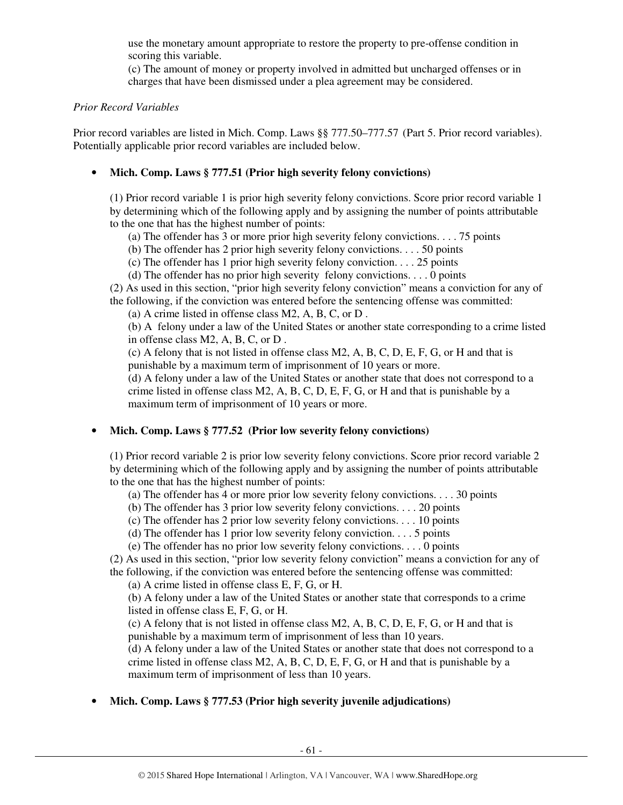use the monetary amount appropriate to restore the property to pre-offense condition in scoring this variable.

(c) The amount of money or property involved in admitted but uncharged offenses or in charges that have been dismissed under a plea agreement may be considered.

#### *Prior Record Variables*

Prior record variables are listed in Mich. Comp. Laws §§ 777.50–777.57 (Part 5. Prior record variables). Potentially applicable prior record variables are included below.

## • **Mich. Comp. Laws § 777.51 (Prior high severity felony convictions)**

(1) Prior record variable 1 is prior high severity felony convictions. Score prior record variable 1 by determining which of the following apply and by assigning the number of points attributable to the one that has the highest number of points:

(a) The offender has 3 or more prior high severity felony convictions. . . . 75 points

(b) The offender has 2 prior high severity felony convictions. . . . 50 points

(c) The offender has 1 prior high severity felony conviction. . . . 25 points

(d) The offender has no prior high severity felony convictions. . . . 0 points

(2) As used in this section, "prior high severity felony conviction" means a conviction for any of the following, if the conviction was entered before the sentencing offense was committed:

(a) A crime listed in offense class M2, A, B, C, or D .

(b) A felony under a law of the United States or another state corresponding to a crime listed in offense class M2, A, B, C, or D .

(c) A felony that is not listed in offense class M2, A, B, C, D, E, F, G, or H and that is punishable by a maximum term of imprisonment of 10 years or more.

(d) A felony under a law of the United States or another state that does not correspond to a crime listed in offense class M2, A, B, C, D, E, F, G, or H and that is punishable by a maximum term of imprisonment of 10 years or more.

# • **Mich. Comp. Laws § 777.52 (Prior low severity felony convictions)**

(1) Prior record variable 2 is prior low severity felony convictions. Score prior record variable 2 by determining which of the following apply and by assigning the number of points attributable to the one that has the highest number of points:

(a) The offender has 4 or more prior low severity felony convictions. . . . 30 points

(b) The offender has 3 prior low severity felony convictions. . . . 20 points

(c) The offender has 2 prior low severity felony convictions. . . . 10 points

(d) The offender has 1 prior low severity felony conviction.  $\dots$  5 points

(e) The offender has no prior low severity felony convictions. . . . 0 points

(2) As used in this section, "prior low severity felony conviction" means a conviction for any of the following, if the conviction was entered before the sentencing offense was committed:

(a) A crime listed in offense class E, F, G, or H.

(b) A felony under a law of the United States or another state that corresponds to a crime listed in offense class E, F, G, or H.

(c) A felony that is not listed in offense class M2, A, B, C, D, E, F, G, or H and that is punishable by a maximum term of imprisonment of less than 10 years.

(d) A felony under a law of the United States or another state that does not correspond to a crime listed in offense class  $M2$ , A, B, C, D, E, F, G, or H and that is punishable by a maximum term of imprisonment of less than 10 years.

# • **Mich. Comp. Laws § 777.53 (Prior high severity juvenile adjudications)**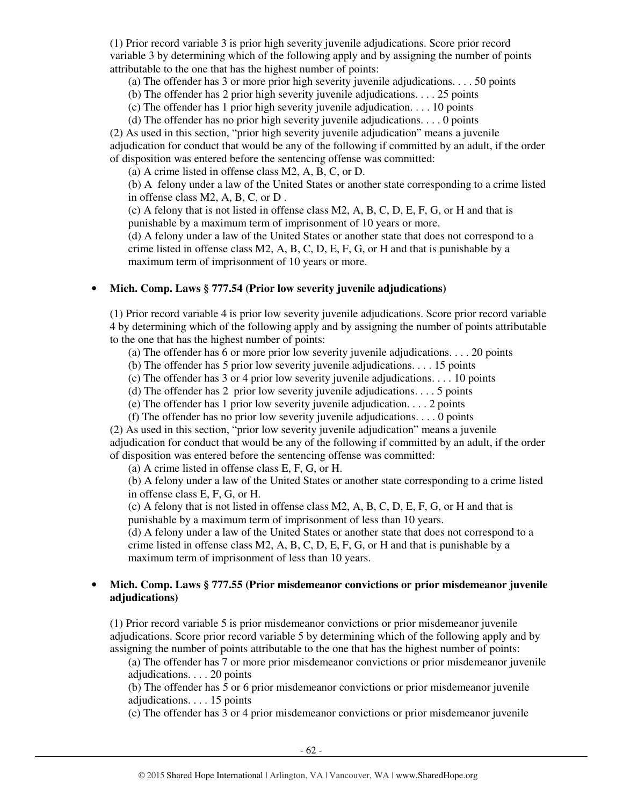(1) Prior record variable 3 is prior high severity juvenile adjudications. Score prior record variable 3 by determining which of the following apply and by assigning the number of points attributable to the one that has the highest number of points:

(a) The offender has 3 or more prior high severity juvenile adjudications. . . . 50 points

(b) The offender has 2 prior high severity juvenile adjudications. . . . 25 points

(c) The offender has 1 prior high severity juvenile adjudication. . . . 10 points

(d) The offender has no prior high severity juvenile adjudications. . . . 0 points

(2) As used in this section, "prior high severity juvenile adjudication" means a juvenile adjudication for conduct that would be any of the following if committed by an adult, if the order of disposition was entered before the sentencing offense was committed:

(a) A crime listed in offense class M2, A, B, C, or D.

(b) A felony under a law of the United States or another state corresponding to a crime listed in offense class M2, A, B, C, or D .

(c) A felony that is not listed in offense class M2, A, B, C, D, E, F, G, or H and that is punishable by a maximum term of imprisonment of 10 years or more.

(d) A felony under a law of the United States or another state that does not correspond to a crime listed in offense class  $M2$ , A, B, C, D, E, F, G, or H and that is punishable by a maximum term of imprisonment of 10 years or more.

## • **Mich. Comp. Laws § 777.54 (Prior low severity juvenile adjudications)**

(1) Prior record variable 4 is prior low severity juvenile adjudications. Score prior record variable 4 by determining which of the following apply and by assigning the number of points attributable to the one that has the highest number of points:

(a) The offender has 6 or more prior low severity juvenile adjudications. . . . 20 points

(b) The offender has 5 prior low severity juvenile adjudications. . . . 15 points

(c) The offender has 3 or 4 prior low severity juvenile adjudications. . . . 10 points

(d) The offender has 2 prior low severity juvenile adjudications. . . . 5 points

(e) The offender has 1 prior low severity juvenile adjudication. . . . 2 points

(f) The offender has no prior low severity juvenile adjudications. . . . 0 points

(2) As used in this section, "prior low severity juvenile adjudication" means a juvenile adjudication for conduct that would be any of the following if committed by an adult, if the order of disposition was entered before the sentencing offense was committed:

(a) A crime listed in offense class E, F, G, or H.

(b) A felony under a law of the United States or another state corresponding to a crime listed in offense class E, F, G, or H.

(c) A felony that is not listed in offense class M2, A, B, C, D, E, F, G, or H and that is punishable by a maximum term of imprisonment of less than 10 years.

(d) A felony under a law of the United States or another state that does not correspond to a crime listed in offense class  $M2$ , A, B, C, D, E, F, G, or H and that is punishable by a maximum term of imprisonment of less than 10 years.

## • **Mich. Comp. Laws § 777.55 (Prior misdemeanor convictions or prior misdemeanor juvenile adjudications)**

(1) Prior record variable 5 is prior misdemeanor convictions or prior misdemeanor juvenile adjudications. Score prior record variable 5 by determining which of the following apply and by assigning the number of points attributable to the one that has the highest number of points:

(a) The offender has 7 or more prior misdemeanor convictions or prior misdemeanor juvenile adjudications. . . . 20 points

(b) The offender has 5 or 6 prior misdemeanor convictions or prior misdemeanor juvenile adjudications. . . . 15 points

(c) The offender has 3 or 4 prior misdemeanor convictions or prior misdemeanor juvenile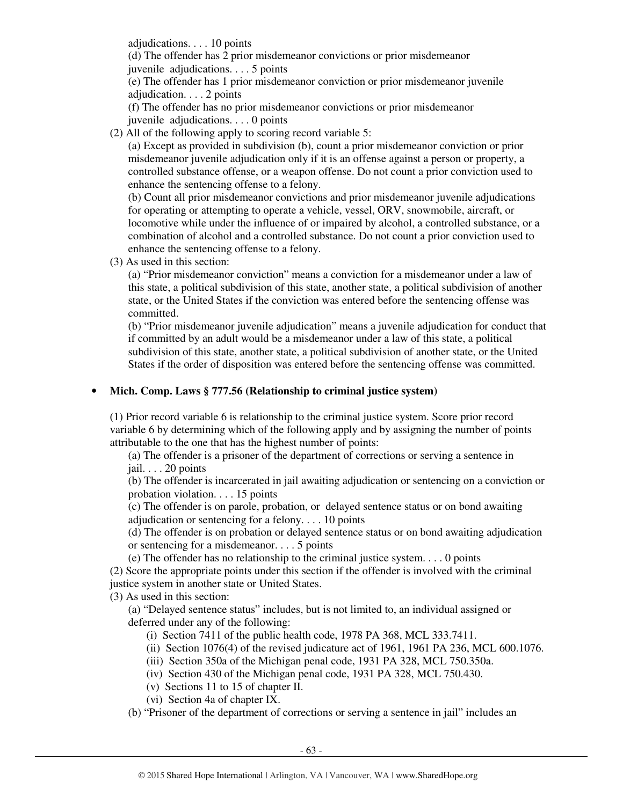adjudications. . . . 10 points

(d) The offender has 2 prior misdemeanor convictions or prior misdemeanor juvenile adjudications. . . . 5 points

(e) The offender has 1 prior misdemeanor conviction or prior misdemeanor juvenile adjudication. . . . 2 points

(f) The offender has no prior misdemeanor convictions or prior misdemeanor juvenile adjudications. . . . 0 points

(2) All of the following apply to scoring record variable 5:

(a) Except as provided in subdivision (b), count a prior misdemeanor conviction or prior misdemeanor juvenile adjudication only if it is an offense against a person or property, a controlled substance offense, or a weapon offense. Do not count a prior conviction used to enhance the sentencing offense to a felony.

(b) Count all prior misdemeanor convictions and prior misdemeanor juvenile adjudications for operating or attempting to operate a vehicle, vessel, ORV, snowmobile, aircraft, or locomotive while under the influence of or impaired by alcohol, a controlled substance, or a combination of alcohol and a controlled substance. Do not count a prior conviction used to enhance the sentencing offense to a felony.

(3) As used in this section:

(a) "Prior misdemeanor conviction" means a conviction for a misdemeanor under a law of this state, a political subdivision of this state, another state, a political subdivision of another state, or the United States if the conviction was entered before the sentencing offense was committed.

(b) "Prior misdemeanor juvenile adjudication" means a juvenile adjudication for conduct that if committed by an adult would be a misdemeanor under a law of this state, a political subdivision of this state, another state, a political subdivision of another state, or the United States if the order of disposition was entered before the sentencing offense was committed.

## • **Mich. Comp. Laws § 777.56 (Relationship to criminal justice system)**

(1) Prior record variable 6 is relationship to the criminal justice system. Score prior record variable 6 by determining which of the following apply and by assigning the number of points attributable to the one that has the highest number of points:

(a) The offender is a prisoner of the department of corrections or serving a sentence in jail. . . . 20 points

(b) The offender is incarcerated in jail awaiting adjudication or sentencing on a conviction or probation violation. . . . 15 points

(c) The offender is on parole, probation, or delayed sentence status or on bond awaiting adjudication or sentencing for a felony. . . . 10 points

(d) The offender is on probation or delayed sentence status or on bond awaiting adjudication or sentencing for a misdemeanor. . . . 5 points

(e) The offender has no relationship to the criminal justice system. . . . 0 points

(2) Score the appropriate points under this section if the offender is involved with the criminal justice system in another state or United States.

(3) As used in this section:

(a) "Delayed sentence status" includes, but is not limited to, an individual assigned or deferred under any of the following:

(i) Section 7411 of the public health code, 1978 PA 368, MCL 333.7411.

(ii) Section 1076(4) of the revised judicature act of 1961, 1961 PA 236, MCL 600.1076.

(iii) Section 350a of the Michigan penal code, 1931 PA 328, MCL 750.350a.

(iv) Section 430 of the Michigan penal code, 1931 PA 328, MCL 750.430.

- (v) Sections 11 to 15 of chapter II.
- (vi) Section 4a of chapter IX.

(b) "Prisoner of the department of corrections or serving a sentence in jail" includes an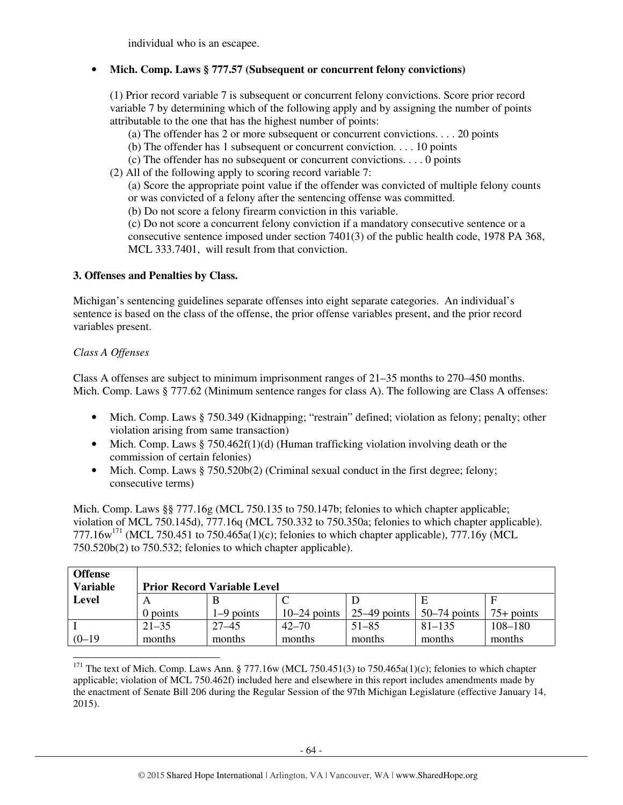individual who is an escapee.

# • **Mich. Comp. Laws § 777.57 (Subsequent or concurrent felony convictions)**

(1) Prior record variable 7 is subsequent or concurrent felony convictions. Score prior record variable 7 by determining which of the following apply and by assigning the number of points attributable to the one that has the highest number of points:

(a) The offender has 2 or more subsequent or concurrent convictions. . . . 20 points

- (b) The offender has 1 subsequent or concurrent conviction. . . . 10 points
- (c) The offender has no subsequent or concurrent convictions. . . . 0 points
- (2) All of the following apply to scoring record variable 7:

(a) Score the appropriate point value if the offender was convicted of multiple felony counts or was convicted of a felony after the sentencing offense was committed.

(b) Do not score a felony firearm conviction in this variable.

(c) Do not score a concurrent felony conviction if a mandatory consecutive sentence or a consecutive sentence imposed under section 7401(3) of the public health code, 1978 PA 368, MCL 333.7401, will result from that conviction.

## **3. Offenses and Penalties by Class.**

Michigan's sentencing guidelines separate offenses into eight separate categories. An individual's sentence is based on the class of the offense, the prior offense variables present, and the prior record variables present.

## *Class A Offenses*

-

Class A offenses are subject to minimum imprisonment ranges of 21–35 months to 270–450 months. Mich. Comp. Laws § 777.62 (Minimum sentence ranges for class A). The following are Class A offenses:

- Mich. Comp. Laws § 750.349 (Kidnapping; "restrain" defined; violation as felony; penalty; other violation arising from same transaction)
- Mich. Comp. Laws § 750.462f(1)(d) (Human trafficking violation involving death or the commission of certain felonies)
- Mich. Comp. Laws § 750.520b(2) (Criminal sexual conduct in the first degree; felony; consecutive terms)

Mich. Comp. Laws §§ 777.16g (MCL 750.135 to 750.147b; felonies to which chapter applicable; violation of MCL 750.145d), 777.16q (MCL 750.332 to 750.350a; felonies to which chapter applicable). 777.16w<sup>171</sup> (MCL 750.451 to 750.465a(1)(c); felonies to which chapter applicable), 777.16y (MCL 750.520b(2) to 750.532; felonies to which chapter applicable).

| <b>Offense</b><br><b>Variable</b> |            | <b>Prior Record Variable Level</b> |                |                |                |              |
|-----------------------------------|------------|------------------------------------|----------------|----------------|----------------|--------------|
| <b>Level</b>                      |            |                                    |                |                |                |              |
|                                   | $0$ points | $1-9$ points                       | $10-24$ points | $25-49$ points | $50-74$ points | $75+$ points |
|                                   | $21 - 35$  | $27 - 45$                          | $42 - 70$      | $51 - 85$      | $81 - 135$     | $108 - 180$  |
| $(0-19)$                          | months     | months                             | months         | months         | months         | months       |

<sup>&</sup>lt;sup>171</sup> The text of Mich. Comp. Laws Ann. § 777.16w (MCL 750.451(3) to 750.465a(1)(c); felonies to which chapter applicable; violation of MCL 750.462f) included here and elsewhere in this report includes amendments made by the enactment of Senate Bill 206 during the Regular Session of the 97th Michigan Legislature (effective January 14, 2015).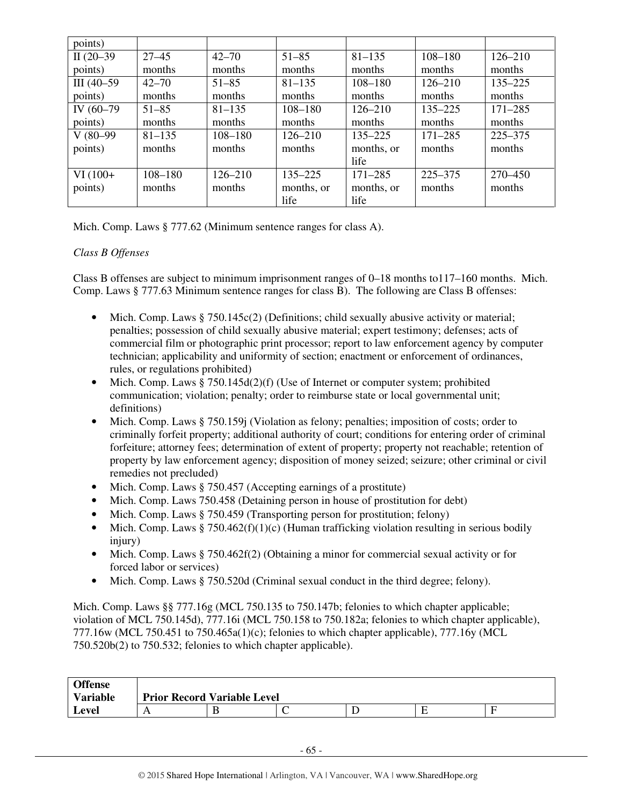| points)      |             |             |             |             |             |             |
|--------------|-------------|-------------|-------------|-------------|-------------|-------------|
| II $(20-39)$ | $27 - 45$   | $42 - 70$   | $51 - 85$   | $81 - 135$  | $108 - 180$ | $126 - 210$ |
| points)      | months      | months      | months      | months      | months      | months      |
| $III(40-59)$ | $42 - 70$   | $51 - 85$   | $81 - 135$  | 108-180     | $126 - 210$ | $135 - 225$ |
| points)      | months      | months      | months      | months      | months      | months      |
| IV (60-79)   | $51 - 85$   | $81 - 135$  | $108 - 180$ | $126 - 210$ | $135 - 225$ | $171 - 285$ |
| points)      | months      | months      | months      | months      | months      | months      |
| $V(80-99)$   | $81 - 135$  | $108 - 180$ | $126 - 210$ | $135 - 225$ | $171 - 285$ | $225 - 375$ |
| points)      | months      | months      | months      | months, or  | months      | months      |
|              |             |             |             | life        |             |             |
| $VI(100+$    | $108 - 180$ | $126 - 210$ | $135 - 225$ | $171 - 285$ | 225–375     | 270–450     |
| points)      | months      | months      | months, or  | months, or  | months      | months      |
|              |             |             | life        | life        |             |             |

Mich. Comp. Laws § 777.62 (Minimum sentence ranges for class A).

# *Class B Offenses*

Class B offenses are subject to minimum imprisonment ranges of 0–18 months to117–160 months. Mich. Comp. Laws § 777.63 Minimum sentence ranges for class B). The following are Class B offenses:

- Mich. Comp. Laws § 750.145c(2) (Definitions; child sexually abusive activity or material; penalties; possession of child sexually abusive material; expert testimony; defenses; acts of commercial film or photographic print processor; report to law enforcement agency by computer technician; applicability and uniformity of section; enactment or enforcement of ordinances, rules, or regulations prohibited)
- Mich. Comp. Laws  $§ 750.145d(2)(f)$  (Use of Internet or computer system; prohibited communication; violation; penalty; order to reimburse state or local governmental unit; definitions)
- Mich. Comp. Laws § 750.159j (Violation as felony; penalties; imposition of costs; order to criminally forfeit property; additional authority of court; conditions for entering order of criminal forfeiture; attorney fees; determination of extent of property; property not reachable; retention of property by law enforcement agency; disposition of money seized; seizure; other criminal or civil remedies not precluded)
- Mich. Comp. Laws § 750.457 (Accepting earnings of a prostitute)
- Mich. Comp. Laws 750.458 (Detaining person in house of prostitution for debt)
- Mich. Comp. Laws § 750.459 (Transporting person for prostitution; felony)
- Mich. Comp. Laws § 750.462(f)(1)(c) (Human trafficking violation resulting in serious bodily injury)
- Mich. Comp. Laws § 750.462f(2) (Obtaining a minor for commercial sexual activity or for forced labor or services)
- Mich. Comp. Laws § 750.520d (Criminal sexual conduct in the third degree; felony).

Mich. Comp. Laws §§ 777.16g (MCL 750.135 to 750.147b; felonies to which chapter applicable; violation of MCL 750.145d), 777.16i (MCL 750.158 to 750.182a; felonies to which chapter applicable), 777.16w (MCL 750.451 to 750.465a(1)(c); felonies to which chapter applicable), 777.16y (MCL 750.520b(2) to 750.532; felonies to which chapter applicable).

| <b>Offense</b>  |              |                                    |  |  |  |  |  |  |
|-----------------|--------------|------------------------------------|--|--|--|--|--|--|
| <b>Variable</b> |              | <b>Prior Record Variable Level</b> |  |  |  |  |  |  |
| Level           | $\mathbf{I}$ |                                    |  |  |  |  |  |  |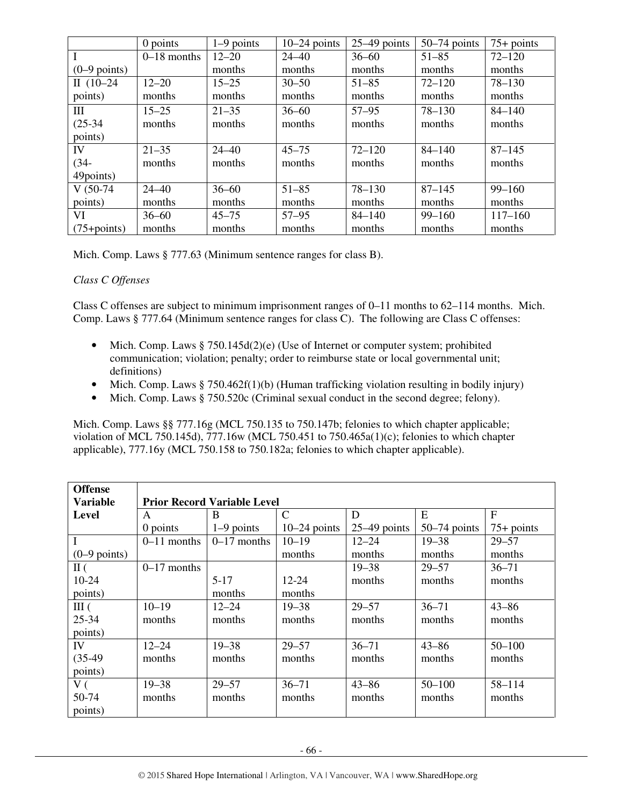|                 | $0$ points    | $1-9$ points | $10-24$ points | $25-49$ points | $50-74$ points | $75+$ points |
|-----------------|---------------|--------------|----------------|----------------|----------------|--------------|
|                 | $0-18$ months | $12 - 20$    | $24 - 40$      | $36 - 60$      | $51 - 85$      | $72 - 120$   |
| $(0-9$ points)  |               | months       | months         | months         | months         | months       |
| II $(10-24)$    | $12 - 20$     | $15 - 25$    | $30 - 50$      | $51 - 85$      | $72 - 120$     | $78 - 130$   |
| points)         | months        | months       | months         | months         | months         | months       |
| Ш               | $15 - 25$     | $21 - 35$    | $36 - 60$      | $57 - 95$      | $78 - 130$     | $84 - 140$   |
| $(25-34)$       | months        | months       | months         | months         | months         | months       |
| points)         |               |              |                |                |                |              |
| IV              | $21 - 35$     | $24 - 40$    | $45 - 75$      | $72 - 120$     | $84 - 140$     | $87 - 145$   |
| $(34 -$         | months        | months       | months         | months         | months         | months       |
| 49points)       |               |              |                |                |                |              |
| $V(50-74)$      | $24 - 40$     | $36 - 60$    | $51 - 85$      | $78 - 130$     | $87 - 145$     | $99 - 160$   |
| points)         | months        | months       | months         | months         | months         | months       |
| VI              | $36 - 60$     | $45 - 75$    | $57 - 95$      | $84 - 140$     | $99 - 160$     | $117 - 160$  |
| $(75 + points)$ | months        | months       | months         | months         | months         | months       |

Mich. Comp. Laws § 777.63 (Minimum sentence ranges for class B).

# *Class C Offenses*

Class C offenses are subject to minimum imprisonment ranges of 0–11 months to 62–114 months. Mich. Comp. Laws § 777.64 (Minimum sentence ranges for class C). The following are Class C offenses:

- Mich. Comp. Laws  $\S 750.145d(2)(e)$  (Use of Internet or computer system; prohibited communication; violation; penalty; order to reimburse state or local governmental unit; definitions)
- Mich. Comp. Laws  $\S 750.462f(1)(b)$  (Human trafficking violation resulting in bodily injury)
- Mich. Comp. Laws § 750.520c (Criminal sexual conduct in the second degree; felony).

Mich. Comp. Laws §§ 777.16g (MCL 750.135 to 750.147b; felonies to which chapter applicable; violation of MCL 750.145d), 777.16w (MCL 750.451 to 750.465a(1)(c); felonies to which chapter applicable), 777.16y (MCL 750.158 to 750.182a; felonies to which chapter applicable).

| <b>Offense</b><br><b>Variable</b> | <b>Prior Record Variable Level</b> |                                   |                |                |                |              |  |  |  |
|-----------------------------------|------------------------------------|-----------------------------------|----------------|----------------|----------------|--------------|--|--|--|
| <b>Level</b>                      | A                                  | E<br>$\mathcal{C}$<br>F<br>D<br>B |                |                |                |              |  |  |  |
|                                   | $0$ points                         | $1-9$ points                      | $10-24$ points | $25-49$ points | $50-74$ points | $75+$ points |  |  |  |
| $\mathbf I$                       | $0-11$ months                      | $0-17$ months                     | $10 - 19$      | $12 - 24$      | $19 - 38$      | $29 - 57$    |  |  |  |
| $(0-9$ points)                    |                                    |                                   | months         | months         | months         | months       |  |  |  |
| $\rm II$ (                        | $0-17$ months                      |                                   |                | $19 - 38$      | $29 - 57$      | $36 - 71$    |  |  |  |
| 10-24                             |                                    | $5-17$                            | 12-24          | months         | months         | months       |  |  |  |
| points)                           |                                    | months                            | months         |                |                |              |  |  |  |
| III(                              | $10 - 19$                          | $12 - 24$                         | $19 - 38$      | $29 - 57$      | $36 - 71$      | $43 - 86$    |  |  |  |
| 25-34                             | months                             | months                            | months         | months         | months         | months       |  |  |  |
| points)                           |                                    |                                   |                |                |                |              |  |  |  |
| IV                                | $12 - 24$                          | $19 - 38$                         | $29 - 57$      | $36 - 71$      | $43 - 86$      | $50 - 100$   |  |  |  |
| $(35-49)$                         | months                             | months                            | months         | months         | months         | months       |  |  |  |
| points)                           |                                    |                                   |                |                |                |              |  |  |  |
| V(                                | $19 - 38$                          | $29 - 57$                         | $36 - 71$      | $43 - 86$      | $50 - 100$     | $58 - 114$   |  |  |  |
| 50-74                             | months                             | months                            | months         | months         | months         | months       |  |  |  |
| points)                           |                                    |                                   |                |                |                |              |  |  |  |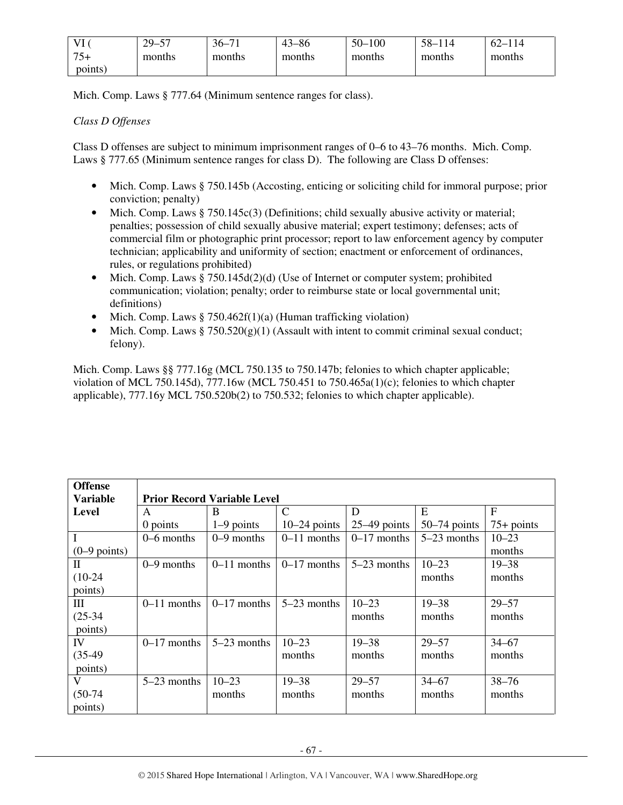| <b>TT</b><br>$\perp$ | $29 -$<br>$\epsilon$<br>ຼ | $36-$<br>$\sim$ | $3 - 86$<br>43 | $50 - 5$<br>$-100$ | $58-$<br>114 | $\epsilon$<br>$^{\backprime}14$<br>′ — ∣ |
|----------------------|---------------------------|-----------------|----------------|--------------------|--------------|------------------------------------------|
| $75+$                | months                    | months          | months         | months             | months       | months                                   |
| points)              |                           |                 |                |                    |              |                                          |

Mich. Comp. Laws § 777.64 (Minimum sentence ranges for class).

## *Class D Offenses*

Class D offenses are subject to minimum imprisonment ranges of 0–6 to 43–76 months. Mich. Comp. Laws § 777.65 (Minimum sentence ranges for class D). The following are Class D offenses:

- Mich. Comp. Laws § 750.145b (Accosting, enticing or soliciting child for immoral purpose; prior conviction; penalty)
- Mich. Comp. Laws § 750.145c(3) (Definitions; child sexually abusive activity or material; penalties; possession of child sexually abusive material; expert testimony; defenses; acts of commercial film or photographic print processor; report to law enforcement agency by computer technician; applicability and uniformity of section; enactment or enforcement of ordinances, rules, or regulations prohibited)
- Mich. Comp. Laws § 750.145d(2)(d) (Use of Internet or computer system; prohibited communication; violation; penalty; order to reimburse state or local governmental unit; definitions)
- Mich. Comp. Laws § 750.462f(1)(a) (Human trafficking violation)
- Mich. Comp. Laws  $\S 750.520(g)(1)$  (Assault with intent to commit criminal sexual conduct; felony).

Mich. Comp. Laws §§ 777.16g (MCL 750.135 to 750.147b; felonies to which chapter applicable; violation of MCL 750.145d), 777.16w (MCL 750.451 to 750.465a(1)(c); felonies to which chapter applicable), 777.16y MCL 750.520b(2) to 750.532; felonies to which chapter applicable).

| <b>Offense</b>  |               |                                    |                |                |                |              |  |  |  |
|-----------------|---------------|------------------------------------|----------------|----------------|----------------|--------------|--|--|--|
| <b>Variable</b> |               | <b>Prior Record Variable Level</b> |                |                |                |              |  |  |  |
| <b>Level</b>    | A             | B                                  | $\mathcal{C}$  | D              | E              | F            |  |  |  |
|                 | $0$ points    | $1-9$ points                       | $10-24$ points | $25-49$ points | $50-74$ points | $75+$ points |  |  |  |
|                 | $0-6$ months  | $0-9$ months                       | $0-11$ months  | $0-17$ months  | 5-23 months    | $10 - 23$    |  |  |  |
| $(0-9$ points)  |               |                                    |                |                |                | months       |  |  |  |
| П               | $0-9$ months  | $0-11$ months                      | $0-17$ months  | $5-23$ months  | $10 - 23$      | $19 - 38$    |  |  |  |
| $(10-24)$       |               |                                    |                |                | months         | months       |  |  |  |
| points)         |               |                                    |                |                |                |              |  |  |  |
| Ш               | $0-11$ months | $0-17$ months                      | $5-23$ months  | $10 - 23$      | $19 - 38$      | $29 - 57$    |  |  |  |
| $(25-34)$       |               |                                    |                | months         | months         | months       |  |  |  |
| points)         |               |                                    |                |                |                |              |  |  |  |
| IV              | $0-17$ months | $5-23$ months                      | $10 - 23$      | $19 - 38$      | $29 - 57$      | $34 - 67$    |  |  |  |
| $(35-49)$       |               |                                    | months         | months         | months         | months       |  |  |  |
| points)         |               |                                    |                |                |                |              |  |  |  |
| V               | $5-23$ months | $10 - 23$                          | $19 - 38$      | $29 - 57$      | $34 - 67$      | $38 - 76$    |  |  |  |
| $(50-74)$       |               | months                             | months         | months         | months         | months       |  |  |  |
| points)         |               |                                    |                |                |                |              |  |  |  |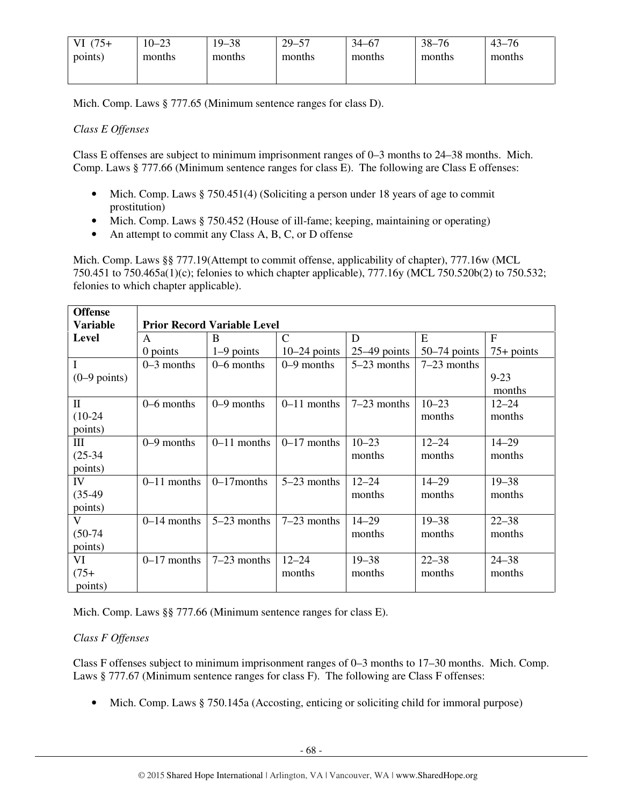| $(75+)$<br>VI. | $10 - 23$ | $19 - 38$ | $29 - 57$ | $34 - 67$ | $38 - 76$ | $43 - 76$ |
|----------------|-----------|-----------|-----------|-----------|-----------|-----------|
| points)        | months    | months    | months    | months    | months    | months    |
|                |           |           |           |           |           |           |

Mich. Comp. Laws § 777.65 (Minimum sentence ranges for class D).

# *Class E Offenses*

Class E offenses are subject to minimum imprisonment ranges of 0–3 months to 24–38 months. Mich. Comp. Laws § 777.66 (Minimum sentence ranges for class E). The following are Class E offenses:

- Mich. Comp. Laws § 750.451(4) (Soliciting a person under 18 years of age to commit prostitution)
- Mich. Comp. Laws § 750.452 (House of ill-fame; keeping, maintaining or operating)
- An attempt to commit any Class A, B, C, or D offense

Mich. Comp. Laws §§ 777.19(Attempt to commit offense, applicability of chapter), 777.16w (MCL 750.451 to 750.465a(1)(c); felonies to which chapter applicable), 777.16y (MCL 750.520b(2) to 750.532; felonies to which chapter applicable).

| <b>Offense</b>          |               |                                    |                |                |                |              |
|-------------------------|---------------|------------------------------------|----------------|----------------|----------------|--------------|
| <b>Variable</b>         |               | <b>Prior Record Variable Level</b> |                |                |                |              |
| <b>Level</b>            | $\mathsf{A}$  | B                                  | $\mathbf C$    | D              | E              | $\mathbf{F}$ |
|                         | 0 points      | $1-9$ points                       | $10-24$ points | $25-49$ points | $50-74$ points | $75+$ points |
| I                       | $0-3$ months  | $0 - 6$ months                     | $0-9$ months   | $5-23$ months  | $7-23$ months  |              |
| $(0-9$ points)          |               |                                    |                |                |                | $9 - 23$     |
|                         |               |                                    |                |                |                | months       |
| $\rm II$                | $0-6$ months  | $0-9$ months                       | $0-11$ months  | $7-23$ months  | $10 - 23$      | $12 - 24$    |
| $(10-24)$               |               |                                    |                |                | months         | months       |
| points)                 |               |                                    |                |                |                |              |
| III                     | $0-9$ months  | $0-11$ months                      | $0-17$ months  | $10 - 23$      | $12 - 24$      | $14 - 29$    |
| $(25-34)$               |               |                                    |                | months         | months         | months       |
| points)                 |               |                                    |                |                |                |              |
| IV                      | $0-11$ months | $0-17$ months                      | $5-23$ months  | $12 - 24$      | $14 - 29$      | $19 - 38$    |
| $(35-49)$               |               |                                    |                | months         | months         | months       |
| points)                 |               |                                    |                |                |                |              |
| $\overline{\mathbf{V}}$ | $0-14$ months | $5-23$ months                      | $7-23$ months  | $14 - 29$      | $19 - 38$      | $22 - 38$    |
| $(50-74)$               |               |                                    |                | months         | months         | months       |
| points)                 |               |                                    |                |                |                |              |
| VI                      | $0-17$ months | $7-23$ months                      | $12 - 24$      | $19 - 38$      | $22 - 38$      | $24 - 38$    |
| $(75 +$                 |               |                                    | months         | months         | months         | months       |
| points)                 |               |                                    |                |                |                |              |

Mich. Comp. Laws §§ 777.66 (Minimum sentence ranges for class E).

# *Class F Offenses*

Class F offenses subject to minimum imprisonment ranges of 0–3 months to 17–30 months. Mich. Comp. Laws § 777.67 (Minimum sentence ranges for class F). The following are Class F offenses:

• Mich. Comp. Laws § 750.145a (Accosting, enticing or soliciting child for immoral purpose)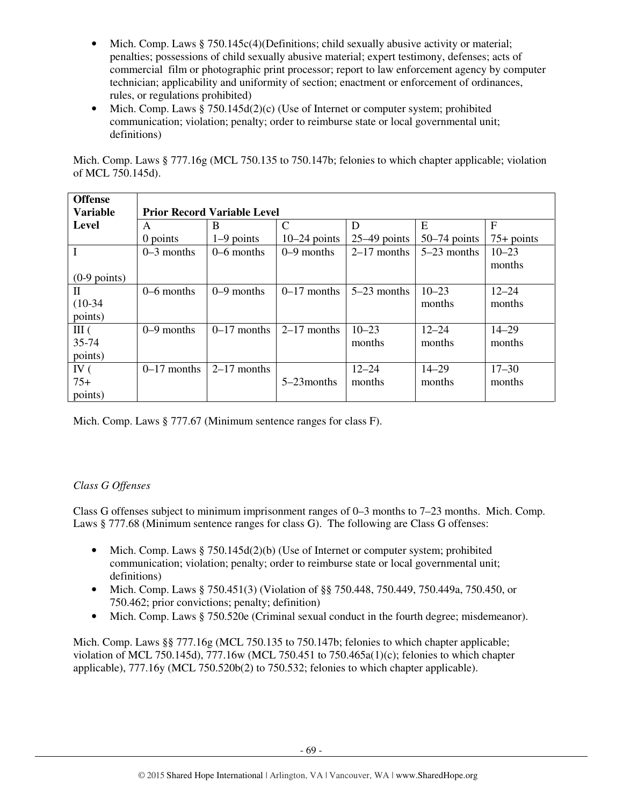- Mich. Comp. Laws § 750.145c(4)(Definitions; child sexually abusive activity or material; penalties; possessions of child sexually abusive material; expert testimony, defenses; acts of commercial film or photographic print processor; report to law enforcement agency by computer technician; applicability and uniformity of section; enactment or enforcement of ordinances, rules, or regulations prohibited)
- Mich. Comp. Laws  $§ 750.145d(2)(c)$  (Use of Internet or computer system; prohibited communication; violation; penalty; order to reimburse state or local governmental unit; definitions)

Mich. Comp. Laws § 777.16g (MCL 750.135 to 750.147b; felonies to which chapter applicable; violation of MCL 750.145d).

| <b>Offense</b>  |                                    |               |                |                |                |              |  |  |
|-----------------|------------------------------------|---------------|----------------|----------------|----------------|--------------|--|--|
| <b>Variable</b> | <b>Prior Record Variable Level</b> |               |                |                |                |              |  |  |
| <b>Level</b>    | A                                  | B             | $\mathcal{C}$  | D              | E              | F            |  |  |
|                 | 0 points                           | $1-9$ points  | $10-24$ points | $25-49$ points | $50-74$ points | $75+$ points |  |  |
|                 | $0-3$ months                       | $0-6$ months  | $0-9$ months   | $2-17$ months  | $5-23$ months  | $10 - 23$    |  |  |
|                 |                                    |               |                |                |                | months       |  |  |
| $(0-9$ points)  |                                    |               |                |                |                |              |  |  |
| П               | $0-6$ months                       | $0-9$ months  | $0-17$ months  | $5-23$ months  | $10 - 23$      | $12 - 24$    |  |  |
| $(10-34)$       |                                    |               |                |                | months         | months       |  |  |
| points)         |                                    |               |                |                |                |              |  |  |
| III(            | $0-9$ months                       | $0-17$ months | $2-17$ months  | $10 - 23$      | $12 - 24$      | $14 - 29$    |  |  |
| $35 - 74$       |                                    |               |                | months         | months         | months       |  |  |
| points)         |                                    |               |                |                |                |              |  |  |
| IV $($          | $0-17$ months                      | $2-17$ months |                | $12 - 24$      | $14 - 29$      | $17 - 30$    |  |  |
| $75+$           |                                    |               | $5-23$ months  | months         | months         | months       |  |  |
| points)         |                                    |               |                |                |                |              |  |  |

Mich. Comp. Laws § 777.67 (Minimum sentence ranges for class F).

# *Class G Offenses*

Class G offenses subject to minimum imprisonment ranges of 0–3 months to 7–23 months. Mich. Comp. Laws § 777.68 (Minimum sentence ranges for class G). The following are Class G offenses:

- Mich. Comp. Laws  $\S 750.145d(2)(b)$  (Use of Internet or computer system; prohibited communication; violation; penalty; order to reimburse state or local governmental unit; definitions)
- Mich. Comp. Laws § 750.451(3) (Violation of §§ 750.448, 750.449, 750.449a, 750.450, or 750.462; prior convictions; penalty; definition)
- Mich. Comp. Laws § 750.520e (Criminal sexual conduct in the fourth degree; misdemeanor).

Mich. Comp. Laws §§ 777.16g (MCL 750.135 to 750.147b; felonies to which chapter applicable; violation of MCL 750.145d), 777.16w (MCL 750.451 to 750.465a(1)(c); felonies to which chapter applicable), 777.16y (MCL 750.520b(2) to 750.532; felonies to which chapter applicable).